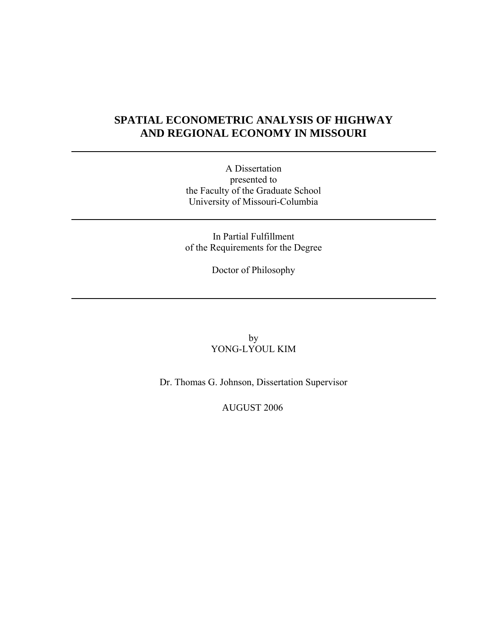# **SPATIAL ECONOMETRIC ANALYSIS OF HIGHWAY AND REGIONAL ECONOMY IN MISSOURI**

A Dissertation presented to the Faculty of the Graduate School University of Missouri-Columbia

In Partial Fulfillment of the Requirements for the Degree

Doctor of Philosophy

by YONG-LYOUL KIM

Dr. Thomas G. Johnson, Dissertation Supervisor

AUGUST 2006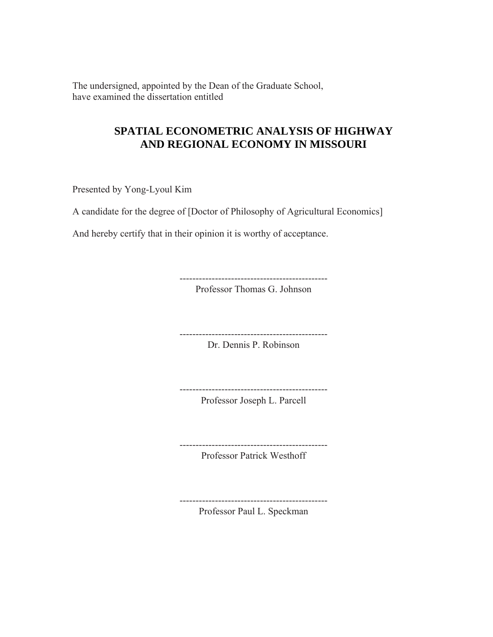The undersigned, appointed by the Dean of the Graduate School, have examined the dissertation entitled

## **SPATIAL ECONOMETRIC ANALYSIS OF HIGHWAY AND REGIONAL ECONOMY IN MISSOURI**

Presented by Yong-Lyoul Kim

A candidate for the degree of [Doctor of Philosophy of Agricultural Economics]

And hereby certify that in their opinion it is worthy of acceptance.

---------------------------------------------- Professor Thomas G. Johnson

Dr. Dennis P. Robinson

----------------------------------------------

---------------------------------------------- Professor Joseph L. Parcell

----------------------------------------------

Professor Patrick Westhoff

----------------------------------------------

Professor Paul L. Speckman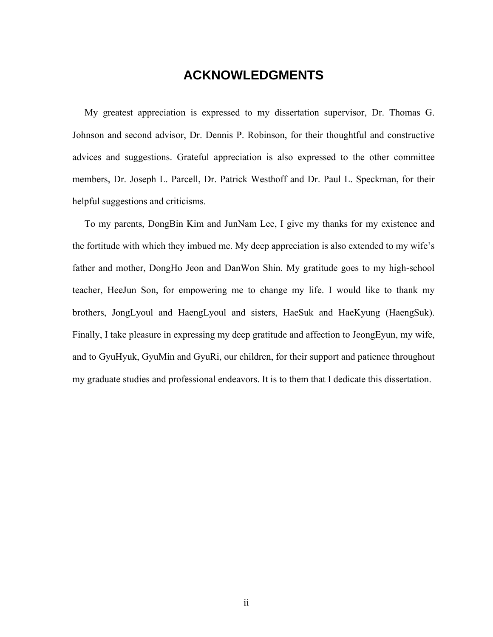# **ACKNOWLEDGMENTS**

 My greatest appreciation is expressed to my dissertation supervisor, Dr. Thomas G. Johnson and second advisor, Dr. Dennis P. Robinson, for their thoughtful and constructive advices and suggestions. Grateful appreciation is also expressed to the other committee members, Dr. Joseph L. Parcell, Dr. Patrick Westhoff and Dr. Paul L. Speckman, for their helpful suggestions and criticisms.

 To my parents, DongBin Kim and JunNam Lee, I give my thanks for my existence and the fortitude with which they imbued me. My deep appreciation is also extended to my wife's father and mother, DongHo Jeon and DanWon Shin. My gratitude goes to my high-school teacher, HeeJun Son, for empowering me to change my life. I would like to thank my brothers, JongLyoul and HaengLyoul and sisters, HaeSuk and HaeKyung (HaengSuk). Finally, I take pleasure in expressing my deep gratitude and affection to JeongEyun, my wife, and to GyuHyuk, GyuMin and GyuRi, our children, for their support and patience throughout my graduate studies and professional endeavors. It is to them that I dedicate this dissertation.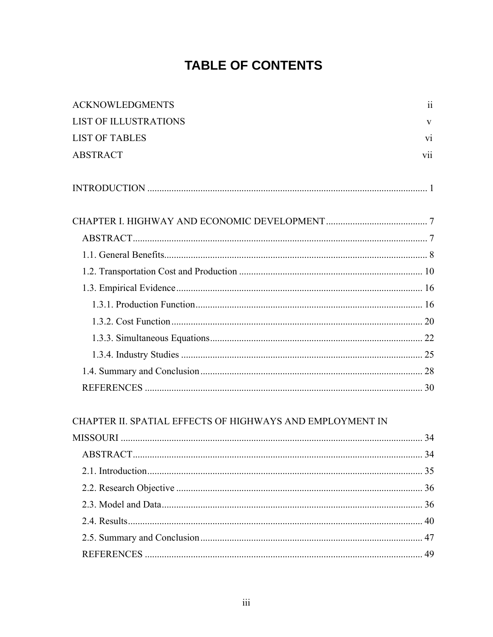# **TABLE OF CONTENTS**

| <b>ACKNOWLEDGMENTS</b>                                    | $\ddot{\rm ii}$ |
|-----------------------------------------------------------|-----------------|
| <b>LIST OF ILLUSTRATIONS</b>                              | $\mathbf{V}$    |
| <b>LIST OF TABLES</b>                                     | vi              |
| <b>ABSTRACT</b>                                           | V11             |
|                                                           |                 |
|                                                           |                 |
|                                                           |                 |
|                                                           |                 |
|                                                           |                 |
|                                                           |                 |
|                                                           |                 |
|                                                           |                 |
|                                                           |                 |
|                                                           |                 |
|                                                           |                 |
|                                                           |                 |
| CHAPTER II. SPATIAL EFFECTS OF HIGHWAYS AND EMPLOYMENT IN |                 |
|                                                           |                 |
|                                                           |                 |
| 21 Introduction                                           | 25              |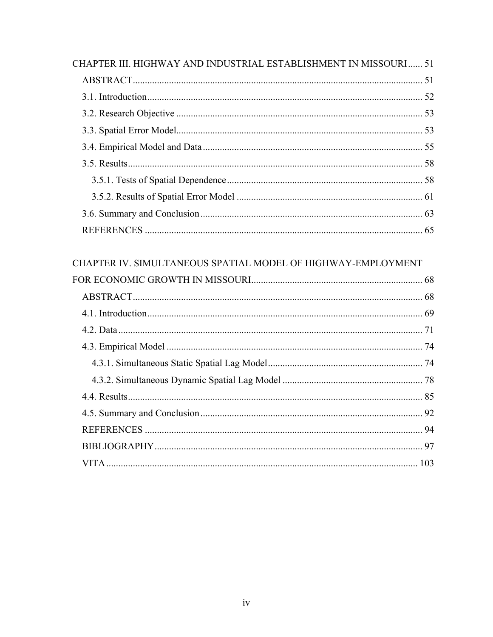| CHAPTER III. HIGHWAY AND INDUSTRIAL ESTABLISHMENT IN MISSOURI 51 |  |
|------------------------------------------------------------------|--|
|                                                                  |  |
|                                                                  |  |
|                                                                  |  |
|                                                                  |  |
|                                                                  |  |
|                                                                  |  |
|                                                                  |  |
|                                                                  |  |
|                                                                  |  |
|                                                                  |  |
| CHAPTER IV. SIMULTANEOUS SPATIAL MODEL OF HIGHWAY-EMPLOYMENT     |  |
|                                                                  |  |
|                                                                  |  |
|                                                                  |  |
|                                                                  |  |
|                                                                  |  |
|                                                                  |  |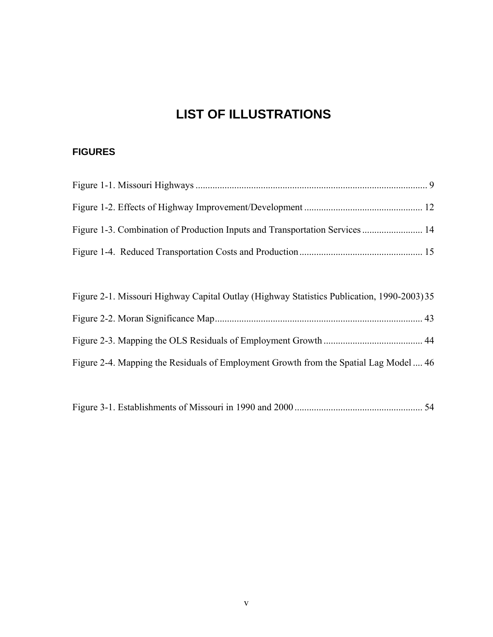# **LIST OF ILLUSTRATIONS**

# **FIGURES**

| Figure 2-1. Missouri Highway Capital Outlay (Highway Statistics Publication, 1990-2003) 35 |  |
|--------------------------------------------------------------------------------------------|--|
|                                                                                            |  |
|                                                                                            |  |
| Figure 2-4. Mapping the Residuals of Employment Growth from the Spatial Lag Model  46      |  |

Figure 3-1. Establishments of Missouri in 1990 and 2000 ..................................................... 54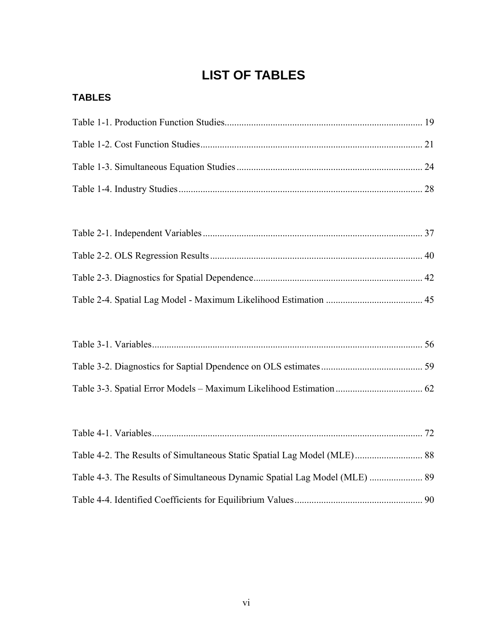# **LIST OF TABLES**

# <span id="page-6-0"></span>**TABLES**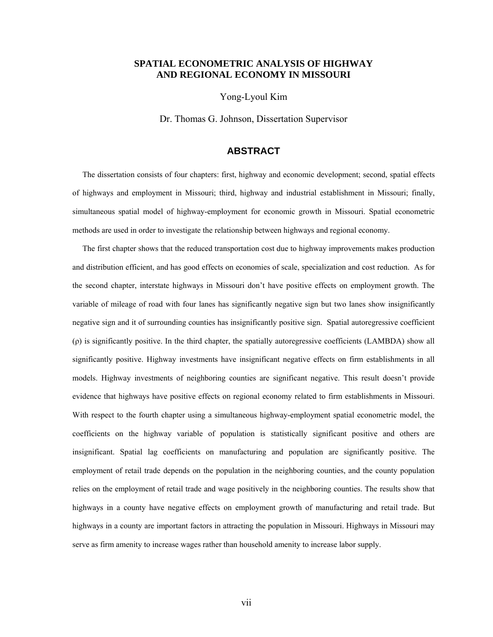#### <span id="page-7-0"></span>**SPATIAL ECONOMETRIC ANALYSIS OF HIGHWAY AND REGIONAL ECONOMY IN MISSOURI**

Yong-Lyoul Kim

Dr. Thomas G. Johnson, Dissertation Supervisor

#### **ABSTRACT**

 The dissertation consists of four chapters: first, highway and economic development; second, spatial effects of highways and employment in Missouri; third, highway and industrial establishment in Missouri; finally, simultaneous spatial model of highway-employment for economic growth in Missouri. Spatial econometric methods are used in order to investigate the relationship between highways and regional economy.

 The first chapter shows that the reduced transportation cost due to highway improvements makes production and distribution efficient, and has good effects on economies of scale, specialization and cost reduction. As for the second chapter, interstate highways in Missouri don't have positive effects on employment growth. The variable of mileage of road with four lanes has significantly negative sign but two lanes show insignificantly negative sign and it of surrounding counties has insignificantly positive sign. Spatial autoregressive coefficient (ρ) is significantly positive. In the third chapter, the spatially autoregressive coefficients (LAMBDA) show all significantly positive. Highway investments have insignificant negative effects on firm establishments in all models. Highway investments of neighboring counties are significant negative. This result doesn't provide evidence that highways have positive effects on regional economy related to firm establishments in Missouri. With respect to the fourth chapter using a simultaneous highway-employment spatial econometric model, the coefficients on the highway variable of population is statistically significant positive and others are insignificant. Spatial lag coefficients on manufacturing and population are significantly positive. The employment of retail trade depends on the population in the neighboring counties, and the county population relies on the employment of retail trade and wage positively in the neighboring counties. The results show that highways in a county have negative effects on employment growth of manufacturing and retail trade. But highways in a county are important factors in attracting the population in Missouri. Highways in Missouri may serve as firm amenity to increase wages rather than household amenity to increase labor supply.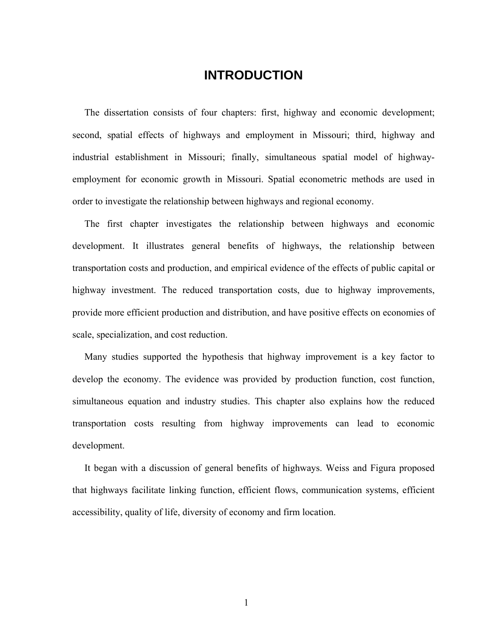# **INTRODUCTION**

<span id="page-8-0"></span> The dissertation consists of four chapters: first, highway and economic development; second, spatial effects of highways and employment in Missouri; third, highway and industrial establishment in Missouri; finally, simultaneous spatial model of highwayemployment for economic growth in Missouri. Spatial econometric methods are used in order to investigate the relationship between highways and regional economy.

 The first chapter investigates the relationship between highways and economic development. It illustrates general benefits of highways, the relationship between transportation costs and production, and empirical evidence of the effects of public capital or highway investment. The reduced transportation costs, due to highway improvements, provide more efficient production and distribution, and have positive effects on economies of scale, specialization, and cost reduction.

 Many studies supported the hypothesis that highway improvement is a key factor to develop the economy. The evidence was provided by production function, cost function, simultaneous equation and industry studies. This chapter also explains how the reduced transportation costs resulting from highway improvements can lead to economic development.

 It began with a discussion of general benefits of highways. Weiss and Figura proposed that highways facilitate linking function, efficient flows, communication systems, efficient accessibility, quality of life, diversity of economy and firm location.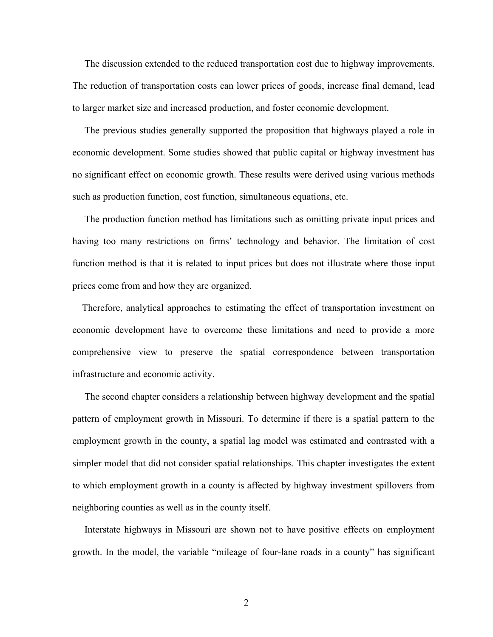The discussion extended to the reduced transportation cost due to highway improvements. The reduction of transportation costs can lower prices of goods, increase final demand, lead to larger market size and increased production, and foster economic development.

 The previous studies generally supported the proposition that highways played a role in economic development. Some studies showed that public capital or highway investment has no significant effect on economic growth. These results were derived using various methods such as production function, cost function, simultaneous equations, etc.

 The production function method has limitations such as omitting private input prices and having too many restrictions on firms' technology and behavior. The limitation of cost function method is that it is related to input prices but does not illustrate where those input prices come from and how they are organized.

 Therefore, analytical approaches to estimating the effect of transportation investment on economic development have to overcome these limitations and need to provide a more comprehensive view to preserve the spatial correspondence between transportation infrastructure and economic activity.

 The second chapter considers a relationship between highway development and the spatial pattern of employment growth in Missouri. To determine if there is a spatial pattern to the employment growth in the county, a spatial lag model was estimated and contrasted with a simpler model that did not consider spatial relationships. This chapter investigates the extent to which employment growth in a county is affected by highway investment spillovers from neighboring counties as well as in the county itself.

 Interstate highways in Missouri are shown not to have positive effects on employment growth. In the model, the variable "mileage of four-lane roads in a county" has significant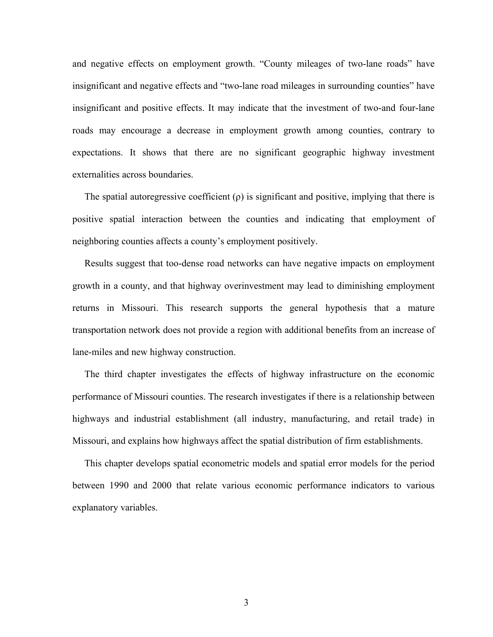and negative effects on employment growth. "County mileages of two-lane roads" have insignificant and negative effects and "two-lane road mileages in surrounding counties" have insignificant and positive effects. It may indicate that the investment of two-and four-lane roads may encourage a decrease in employment growth among counties, contrary to expectations. It shows that there are no significant geographic highway investment externalities across boundaries.

The spatial autoregressive coefficient  $(\rho)$  is significant and positive, implying that there is positive spatial interaction between the counties and indicating that employment of neighboring counties affects a county's employment positively.

 Results suggest that too-dense road networks can have negative impacts on employment growth in a county, and that highway overinvestment may lead to diminishing employment returns in Missouri. This research supports the general hypothesis that a mature transportation network does not provide a region with additional benefits from an increase of lane-miles and new highway construction.

 The third chapter investigates the effects of highway infrastructure on the economic performance of Missouri counties. The research investigates if there is a relationship between highways and industrial establishment (all industry, manufacturing, and retail trade) in Missouri, and explains how highways affect the spatial distribution of firm establishments.

 This chapter develops spatial econometric models and spatial error models for the period between 1990 and 2000 that relate various economic performance indicators to various explanatory variables.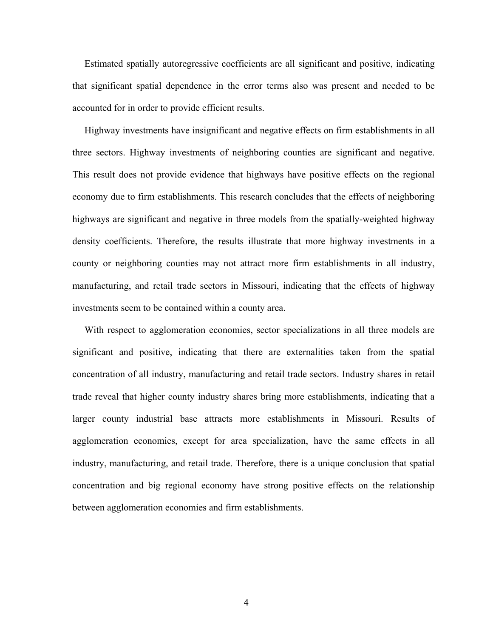Estimated spatially autoregressive coefficients are all significant and positive, indicating that significant spatial dependence in the error terms also was present and needed to be accounted for in order to provide efficient results.

 Highway investments have insignificant and negative effects on firm establishments in all three sectors. Highway investments of neighboring counties are significant and negative. This result does not provide evidence that highways have positive effects on the regional economy due to firm establishments. This research concludes that the effects of neighboring highways are significant and negative in three models from the spatially-weighted highway density coefficients. Therefore, the results illustrate that more highway investments in a county or neighboring counties may not attract more firm establishments in all industry, manufacturing, and retail trade sectors in Missouri, indicating that the effects of highway investments seem to be contained within a county area.

 With respect to agglomeration economies, sector specializations in all three models are significant and positive, indicating that there are externalities taken from the spatial concentration of all industry, manufacturing and retail trade sectors. Industry shares in retail trade reveal that higher county industry shares bring more establishments, indicating that a larger county industrial base attracts more establishments in Missouri. Results of agglomeration economies, except for area specialization, have the same effects in all industry, manufacturing, and retail trade. Therefore, there is a unique conclusion that spatial concentration and big regional economy have strong positive effects on the relationship between agglomeration economies and firm establishments.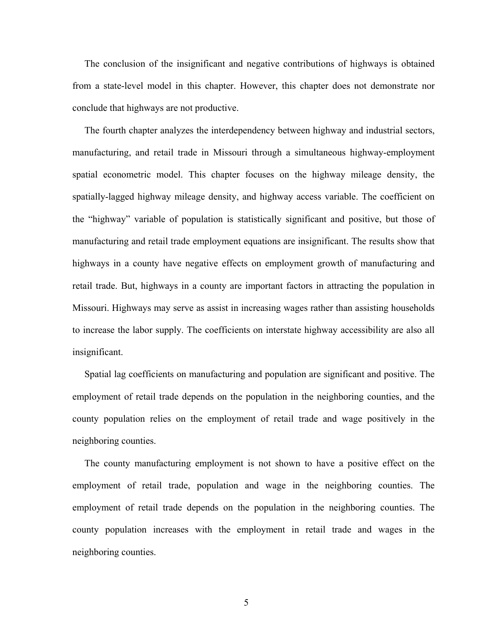The conclusion of the insignificant and negative contributions of highways is obtained from a state-level model in this chapter. However, this chapter does not demonstrate nor conclude that highways are not productive.

 The fourth chapter analyzes the interdependency between highway and industrial sectors, manufacturing, and retail trade in Missouri through a simultaneous highway-employment spatial econometric model. This chapter focuses on the highway mileage density, the spatially-lagged highway mileage density, and highway access variable. The coefficient on the "highway" variable of population is statistically significant and positive, but those of manufacturing and retail trade employment equations are insignificant. The results show that highways in a county have negative effects on employment growth of manufacturing and retail trade. But, highways in a county are important factors in attracting the population in Missouri. Highways may serve as assist in increasing wages rather than assisting households to increase the labor supply. The coefficients on interstate highway accessibility are also all insignificant.

 Spatial lag coefficients on manufacturing and population are significant and positive. The employment of retail trade depends on the population in the neighboring counties, and the county population relies on the employment of retail trade and wage positively in the neighboring counties.

 The county manufacturing employment is not shown to have a positive effect on the employment of retail trade, population and wage in the neighboring counties. The employment of retail trade depends on the population in the neighboring counties. The county population increases with the employment in retail trade and wages in the neighboring counties.

 $\overline{5}$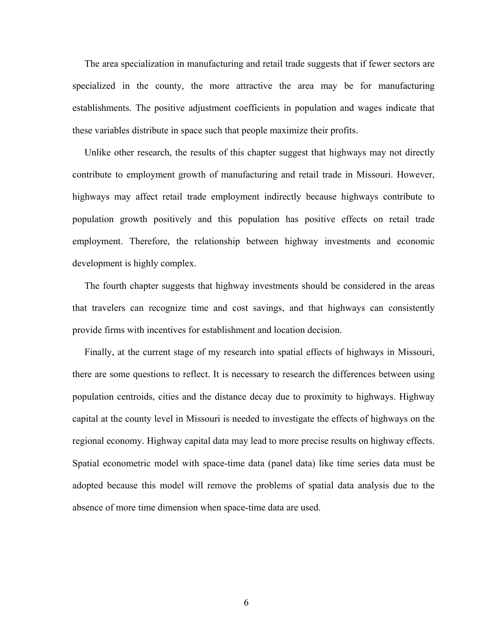The area specialization in manufacturing and retail trade suggests that if fewer sectors are specialized in the county, the more attractive the area may be for manufacturing establishments. The positive adjustment coefficients in population and wages indicate that these variables distribute in space such that people maximize their profits.

 Unlike other research, the results of this chapter suggest that highways may not directly contribute to employment growth of manufacturing and retail trade in Missouri. However, highways may affect retail trade employment indirectly because highways contribute to population growth positively and this population has positive effects on retail trade employment. Therefore, the relationship between highway investments and economic development is highly complex.

 The fourth chapter suggests that highway investments should be considered in the areas that travelers can recognize time and cost savings, and that highways can consistently provide firms with incentives for establishment and location decision.

 Finally, at the current stage of my research into spatial effects of highways in Missouri, there are some questions to reflect. It is necessary to research the differences between using population centroids, cities and the distance decay due to proximity to highways. Highway capital at the county level in Missouri is needed to investigate the effects of highways on the regional economy. Highway capital data may lead to more precise results on highway effects. Spatial econometric model with space-time data (panel data) like time series data must be adopted because this model will remove the problems of spatial data analysis due to the absence of more time dimension when space-time data are used.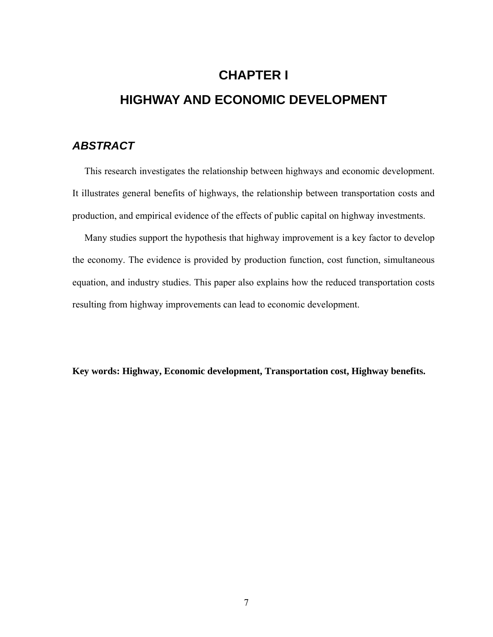# <span id="page-14-0"></span>**CHAPTER I HIGHWAY AND ECONOMIC DEVELOPMENT**

## *ABSTRACT*

 This research investigates the relationship between highways and economic development. It illustrates general benefits of highways, the relationship between transportation costs and production, and empirical evidence of the effects of public capital on highway investments.

 Many studies support the hypothesis that highway improvement is a key factor to develop the economy. The evidence is provided by production function, cost function, simultaneous equation, and industry studies. This paper also explains how the reduced transportation costs resulting from highway improvements can lead to economic development.

**Key words: Highway, Economic development, Transportation cost, Highway benefits.**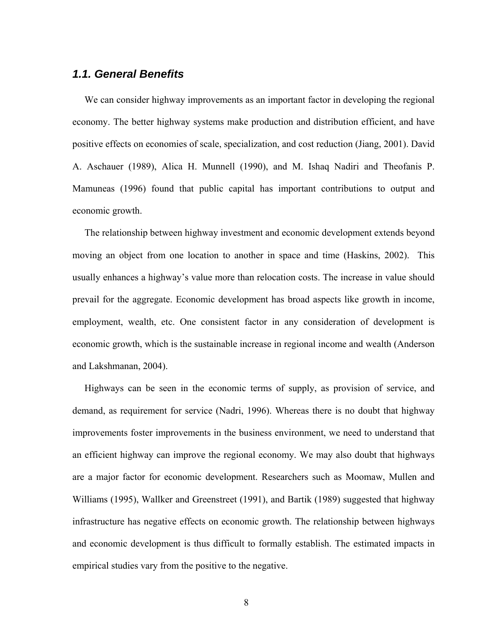#### <span id="page-15-0"></span>*1.1. General Benefits*

 We can consider highway improvements as an important factor in developing the regional economy. The better highway systems make production and distribution efficient, and have positive effects on economies of scale, specialization, and cost reduction (Jiang, 2001). David A. Aschauer (1989), Alica H. Munnell (1990), and M. Ishaq Nadiri and Theofanis P. Mamuneas (1996) found that public capital has important contributions to output and economic growth.

 The relationship between highway investment and economic development extends beyond moving an object from one location to another in space and time (Haskins, 2002). This usually enhances a highway's value more than relocation costs. The increase in value should prevail for the aggregate. Economic development has broad aspects like growth in income, employment, wealth, etc. One consistent factor in any consideration of development is economic growth, which is the sustainable increase in regional income and wealth (Anderson and Lakshmanan, 2004).

 Highways can be seen in the economic terms of supply, as provision of service, and demand, as requirement for service (Nadri, 1996). Whereas there is no doubt that highway improvements foster improvements in the business environment, we need to understand that an efficient highway can improve the regional economy. We may also doubt that highways are a major factor for economic development. Researchers such as Moomaw, Mullen and Williams (1995), Wallker and Greenstreet (1991), and Bartik (1989) suggested that highway infrastructure has negative effects on economic growth. The relationship between highways and economic development is thus difficult to formally establish. The estimated impacts in empirical studies vary from the positive to the negative.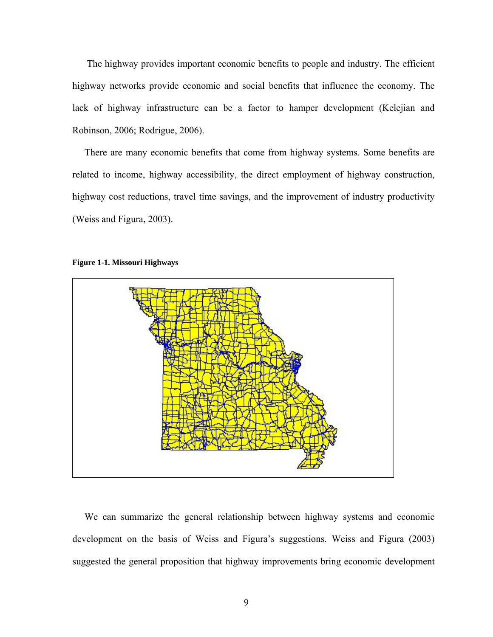<span id="page-16-0"></span> The highway provides important economic benefits to people and industry. The efficient highway networks provide economic and social benefits that influence the economy. The lack of highway infrastructure can be a factor to hamper development (Kelejian and Robinson, 2006; Rodrigue, 2006).

 There are many economic benefits that come from highway systems. Some benefits are related to income, highway accessibility, the direct employment of highway construction, highway cost reductions, travel time savings, and the improvement of industry productivity (Weiss and Figura, 2003).



#### **Figure 1-1. Missouri Highways**

 We can summarize the general relationship between highway systems and economic development on the basis of Weiss and Figura's suggestions. Weiss and Figura (2003) suggested the general proposition that highway improvements bring economic development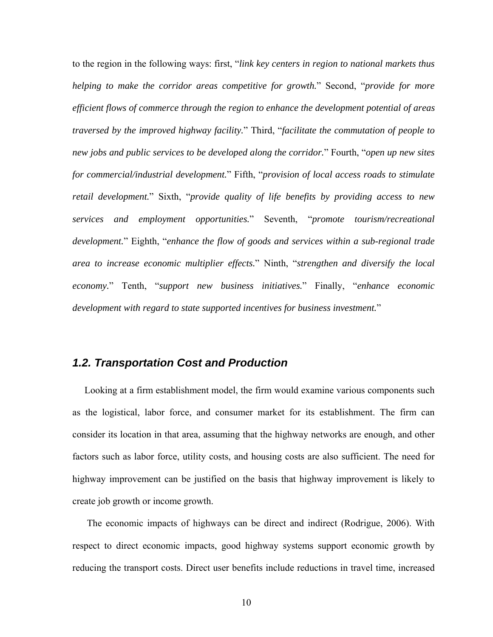<span id="page-17-0"></span>to the region in the following ways: first, "*link key centers in region to national markets thus helping to make the corridor areas competitive for growth.*" Second, "*provide for more efficient flows of commerce through the region to enhance the development potential of areas traversed by the improved highway facility.*" Third, "*facilitate the commutation of people to new jobs and public services to be developed along the corridor.*" Fourth, "*open up new sites for commercial/industrial development.*" Fifth, "*provision of local access roads to stimulate retail development.*" Sixth, "*provide quality of life benefits by providing access to new services and employment opportunities.*" Seventh, "*promote tourism/recreational development.*" Eighth, "*enhance the flow of goods and services within a sub-regional trade area to increase economic multiplier effects.*" Ninth, "*strengthen and diversify the local economy.*" Tenth, "*support new business initiatives.*" Finally, "*enhance economic development with regard to state supported incentives for business investment.*"

## *1.2. Transportation Cost and Production*

 Looking at a firm establishment model, the firm would examine various components such as the logistical, labor force, and consumer market for its establishment. The firm can consider its location in that area, assuming that the highway networks are enough, and other factors such as labor force, utility costs, and housing costs are also sufficient. The need for highway improvement can be justified on the basis that highway improvement is likely to create job growth or income growth.

 The economic impacts of highways can be direct and indirect (Rodrigue, 2006). With respect to direct economic impacts, good highway systems support economic growth by reducing the transport costs. Direct user benefits include reductions in travel time, increased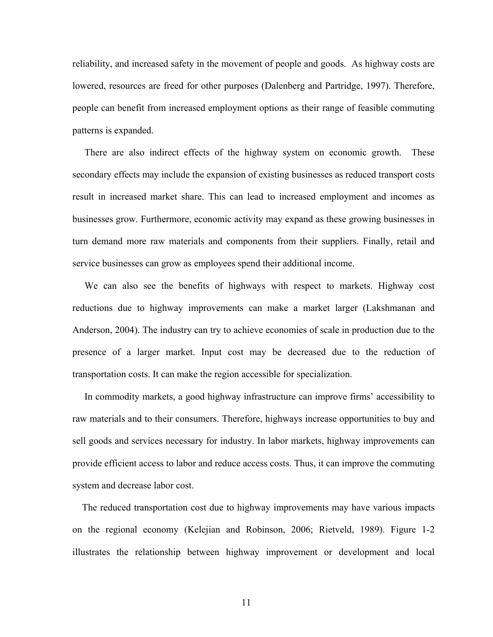reliability, and increased safety in the movement of people and goods. As highway costs are lowered, resources are freed for other purposes (Dalenberg and Partridge, 1997). Therefore, people can benefit from increased employment options as their range of feasible commuting patterns is expanded.

 There are also indirect effects of the highway system on economic growth. These secondary effects may include the expansion of existing businesses as reduced transport costs result in increased market share. This can lead to increased employment and incomes as businesses grow. Furthermore, economic activity may expand as these growing businesses in turn demand more raw materials and components from their suppliers. Finally, retail and service businesses can grow as employees spend their additional income.

 We can also see the benefits of highways with respect to markets. Highway cost reductions due to highway improvements can make a market larger (Lakshmanan and Anderson, 2004). The industry can try to achieve economies of scale in production due to the presence of a larger market. Input cost may be decreased due to the reduction of transportation costs. It can make the region accessible for specialization.

 In commodity markets, a good highway infrastructure can improve firms' accessibility to raw materials and to their consumers. Therefore, highways increase opportunities to buy and sell goods and services necessary for industry. In labor markets, highway improvements can provide efficient access to labor and reduce access costs. Thus, it can improve the commuting system and decrease labor cost.

 The reduced transportation cost due to highway improvements may have various impacts on the regional economy (Kelejian and Robinson, 2006; Rietveld, 1989). Figure 1-2 illustrates the relationship between highway improvement or development and local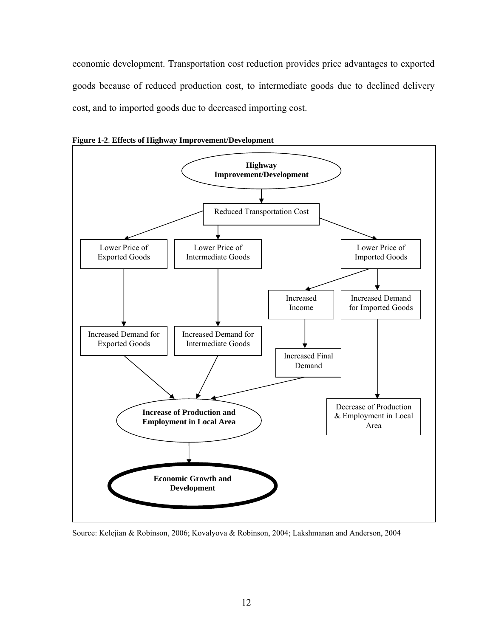<span id="page-19-0"></span>economic development. Transportation cost reduction provides price advantages to exported goods because of reduced production cost, to intermediate goods due to declined delivery cost, and to imported goods due to decreased importing cost.



**Figure 1-2**. **Effects of Highway Improvement/Development**

Source: Kelejian & Robinson, 2006; Kovalyova & Robinson, 2004; Lakshmanan and Anderson, 2004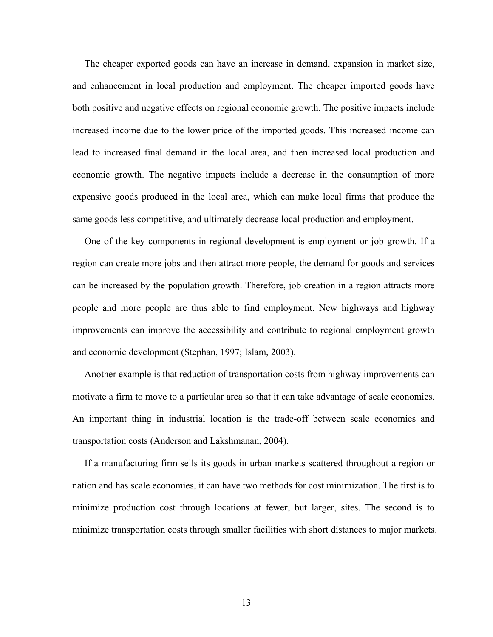The cheaper exported goods can have an increase in demand, expansion in market size, and enhancement in local production and employment. The cheaper imported goods have both positive and negative effects on regional economic growth. The positive impacts include increased income due to the lower price of the imported goods. This increased income can lead to increased final demand in the local area, and then increased local production and economic growth. The negative impacts include a decrease in the consumption of more expensive goods produced in the local area, which can make local firms that produce the same goods less competitive, and ultimately decrease local production and employment.

 One of the key components in regional development is employment or job growth. If a region can create more jobs and then attract more people, the demand for goods and services can be increased by the population growth. Therefore, job creation in a region attracts more people and more people are thus able to find employment. New highways and highway improvements can improve the accessibility and contribute to regional employment growth and economic development (Stephan, 1997; Islam, 2003).

 Another example is that reduction of transportation costs from highway improvements can motivate a firm to move to a particular area so that it can take advantage of scale economies. An important thing in industrial location is the trade-off between scale economies and transportation costs (Anderson and Lakshmanan, 2004).

 If a manufacturing firm sells its goods in urban markets scattered throughout a region or nation and has scale economies, it can have two methods for cost minimization. The first is to minimize production cost through locations at fewer, but larger, sites. The second is to minimize transportation costs through smaller facilities with short distances to major markets.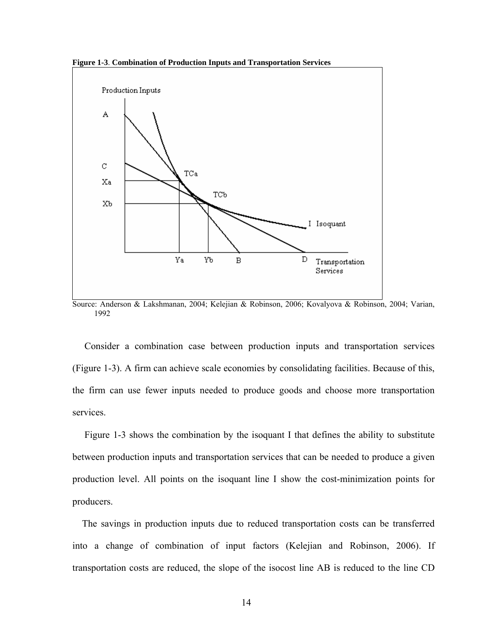<span id="page-21-0"></span>**Figure 1-3**. **Combination of Production Inputs and Transportation Services**



Source: Anderson & Lakshmanan, 2004; Kelejian & Robinson, 2006; Kovalyova & Robinson, 2004; Varian, 1992

 Consider a combination case between production inputs and transportation services (Figure 1-3). A firm can achieve scale economies by consolidating facilities. Because of this, the firm can use fewer inputs needed to produce goods and choose more transportation services.

 Figure 1-3 shows the combination by the isoquant I that defines the ability to substitute between production inputs and transportation services that can be needed to produce a given production level. All points on the isoquant line I show the cost-minimization points for producers.

 The savings in production inputs due to reduced transportation costs can be transferred into a change of combination of input factors (Kelejian and Robinson, 2006). If transportation costs are reduced, the slope of the isocost line AB is reduced to the line CD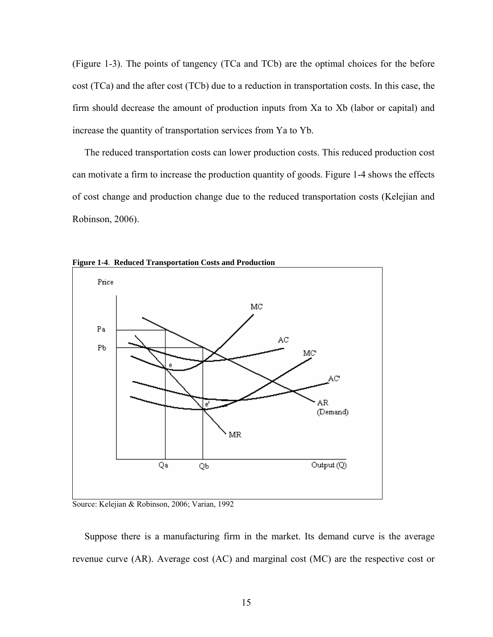<span id="page-22-0"></span>(Figure 1-3). The points of tangency (TCa and TCb) are the optimal choices for the before cost (TCa) and the after cost (TCb) due to a reduction in transportation costs. In this case, the firm should decrease the amount of production inputs from Xa to Xb (labor or capital) and increase the quantity of transportation services from Ya to Yb.

 The reduced transportation costs can lower production costs. This reduced production cost can motivate a firm to increase the production quantity of goods. Figure 1-4 shows the effects of cost change and production change due to the reduced transportation costs (Kelejian and Robinson, 2006).



**Figure 1-4**. **Reduced Transportation Costs and Production**

Source: Kelejian & Robinson, 2006; Varian, 1992

 Suppose there is a manufacturing firm in the market. Its demand curve is the average revenue curve (AR). Average cost (AC) and marginal cost (MC) are the respective cost or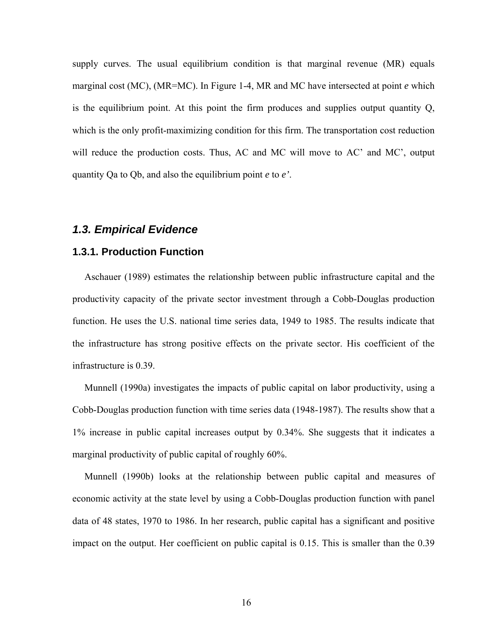<span id="page-23-0"></span>supply curves. The usual equilibrium condition is that marginal revenue (MR) equals marginal cost (MC), (MR=MC). In Figure 1-4, MR and MC have intersected at point *e* which is the equilibrium point. At this point the firm produces and supplies output quantity Q, which is the only profit-maximizing condition for this firm. The transportation cost reduction will reduce the production costs. Thus, AC and MC will move to AC' and MC', output quantity Qa to Qb, and also the equilibrium point *e* to *e'*.

#### *1.3. Empirical Evidence*

#### **1.3.1. Production Function**

 Aschauer (1989) estimates the relationship between public infrastructure capital and the productivity capacity of the private sector investment through a Cobb-Douglas production function. He uses the U.S. national time series data, 1949 to 1985. The results indicate that the infrastructure has strong positive effects on the private sector. His coefficient of the infrastructure is 0.39.

 Munnell (1990a) investigates the impacts of public capital on labor productivity, using a Cobb-Douglas production function with time series data (1948-1987). The results show that a 1% increase in public capital increases output by 0.34%. She suggests that it indicates a marginal productivity of public capital of roughly 60%.

 Munnell (1990b) looks at the relationship between public capital and measures of economic activity at the state level by using a Cobb-Douglas production function with panel data of 48 states, 1970 to 1986. In her research, public capital has a significant and positive impact on the output. Her coefficient on public capital is 0.15. This is smaller than the 0.39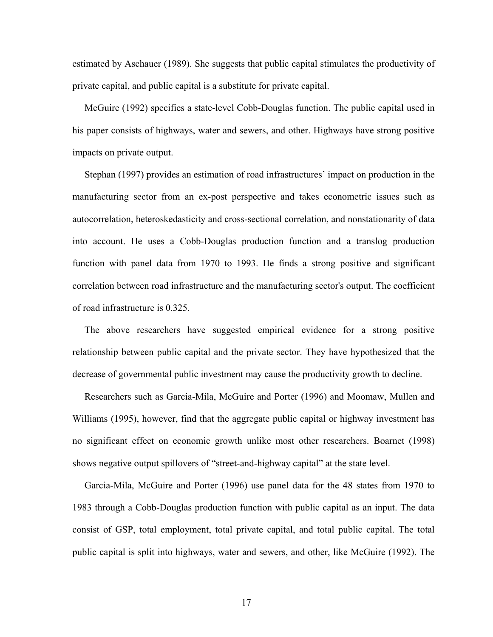estimated by Aschauer (1989). She suggests that public capital stimulates the productivity of private capital, and public capital is a substitute for private capital.

 McGuire (1992) specifies a state-level Cobb-Douglas function. The public capital used in his paper consists of highways, water and sewers, and other. Highways have strong positive impacts on private output.

 Stephan (1997) provides an estimation of road infrastructures' impact on production in the manufacturing sector from an ex-post perspective and takes econometric issues such as autocorrelation, heteroskedasticity and cross-sectional correlation, and nonstationarity of data into account. He uses a Cobb-Douglas production function and a translog production function with panel data from 1970 to 1993. He finds a strong positive and significant correlation between road infrastructure and the manufacturing sector's output. The coefficient of road infrastructure is 0.325.

 The above researchers have suggested empirical evidence for a strong positive relationship between public capital and the private sector. They have hypothesized that the decrease of governmental public investment may cause the productivity growth to decline.

 Researchers such as Garcia-Mila, McGuire and Porter (1996) and Moomaw, Mullen and Williams (1995), however, find that the aggregate public capital or highway investment has no significant effect on economic growth unlike most other researchers. Boarnet (1998) shows negative output spillovers of "street-and-highway capital" at the state level.

 Garcia-Mila, McGuire and Porter (1996) use panel data for the 48 states from 1970 to 1983 through a Cobb-Douglas production function with public capital as an input. The data consist of GSP, total employment, total private capital, and total public capital. The total public capital is split into highways, water and sewers, and other, like McGuire (1992). The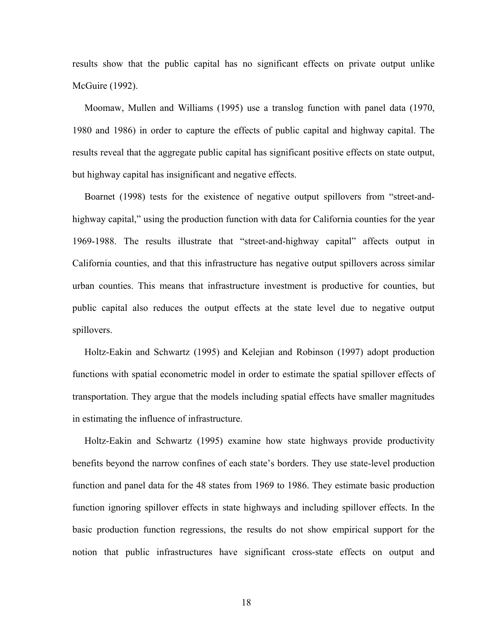results show that the public capital has no significant effects on private output unlike McGuire (1992).

 Moomaw, Mullen and Williams (1995) use a translog function with panel data (1970, 1980 and 1986) in order to capture the effects of public capital and highway capital. The results reveal that the aggregate public capital has significant positive effects on state output, but highway capital has insignificant and negative effects.

 Boarnet (1998) tests for the existence of negative output spillovers from "street-andhighway capital," using the production function with data for California counties for the year 1969-1988. The results illustrate that "street-and-highway capital" affects output in California counties, and that this infrastructure has negative output spillovers across similar urban counties. This means that infrastructure investment is productive for counties, but public capital also reduces the output effects at the state level due to negative output spillovers.

 Holtz-Eakin and Schwartz (1995) and Kelejian and Robinson (1997) adopt production functions with spatial econometric model in order to estimate the spatial spillover effects of transportation. They argue that the models including spatial effects have smaller magnitudes in estimating the influence of infrastructure.

 Holtz-Eakin and Schwartz (1995) examine how state highways provide productivity benefits beyond the narrow confines of each state's borders. They use state-level production function and panel data for the 48 states from 1969 to 1986. They estimate basic production function ignoring spillover effects in state highways and including spillover effects. In the basic production function regressions, the results do not show empirical support for the notion that public infrastructures have significant cross-state effects on output and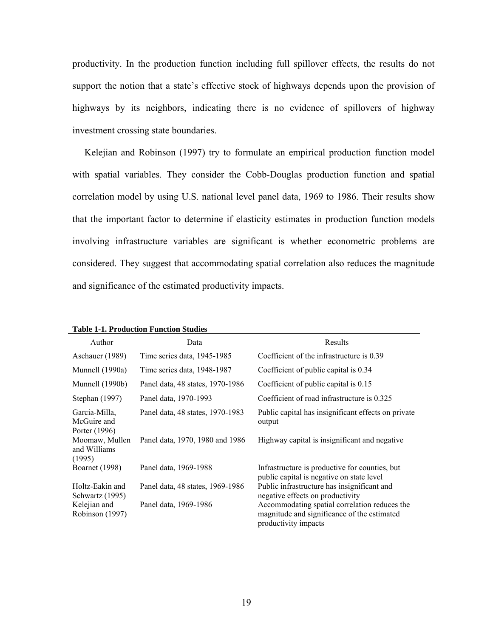<span id="page-26-0"></span>productivity. In the production function including full spillover effects, the results do not support the notion that a state's effective stock of highways depends upon the provision of highways by its neighbors, indicating there is no evidence of spillovers of highway investment crossing state boundaries.

 Kelejian and Robinson (1997) try to formulate an empirical production function model with spatial variables. They consider the Cobb-Douglas production function and spatial correlation model by using U.S. national level panel data, 1969 to 1986. Their results show that the important factor to determine if elasticity estimates in production function models involving infrastructure variables are significant is whether econometric problems are considered. They suggest that accommodating spatial correlation also reduces the magnitude and significance of the estimated productivity impacts.

| Author                                        | Data                             | Results                                                                                                              |
|-----------------------------------------------|----------------------------------|----------------------------------------------------------------------------------------------------------------------|
| Aschauer (1989)                               | Time series data, 1945-1985      | Coefficient of the infrastructure is 0.39                                                                            |
| Munnell (1990a)                               | Time series data, 1948-1987      | Coefficient of public capital is 0.34                                                                                |
| Munnell (1990b)                               | Panel data, 48 states, 1970-1986 | Coefficient of public capital is 0.15                                                                                |
| Stephan $(1997)$                              | Panel data, 1970-1993            | Coefficient of road infrastructure is 0.325                                                                          |
| Garcia-Milla.<br>McGuire and<br>Porter (1996) | Panel data, 48 states, 1970-1983 | Public capital has insignificant effects on private<br>output                                                        |
| Moomaw, Mullen<br>and Williams<br>(1995)      | Panel data, 1970, 1980 and 1986  | Highway capital is insignificant and negative                                                                        |
| <b>Boarnet</b> (1998)                         | Panel data, 1969-1988            | Infrastructure is productive for counties, but<br>public capital is negative on state level                          |
| Holtz-Eakin and<br>Schwartz (1995)            | Panel data, 48 states, 1969-1986 | Public infrastructure has insignificant and<br>negative effects on productivity                                      |
| Kelejian and<br>Robinson (1997)               | Panel data, 1969-1986            | Accommodating spatial correlation reduces the<br>magnitude and significance of the estimated<br>productivity impacts |

**Table 1-1. Production Function Studies**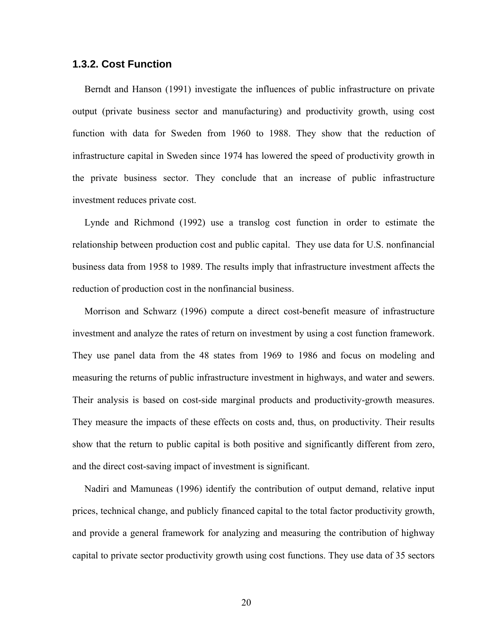#### <span id="page-27-0"></span>**1.3.2. Cost Function**

 Berndt and Hanson (1991) investigate the influences of public infrastructure on private output (private business sector and manufacturing) and productivity growth, using cost function with data for Sweden from 1960 to 1988. They show that the reduction of infrastructure capital in Sweden since 1974 has lowered the speed of productivity growth in the private business sector. They conclude that an increase of public infrastructure investment reduces private cost.

 Lynde and Richmond (1992) use a translog cost function in order to estimate the relationship between production cost and public capital. They use data for U.S. nonfinancial business data from 1958 to 1989. The results imply that infrastructure investment affects the reduction of production cost in the nonfinancial business.

 Morrison and Schwarz (1996) compute a direct cost-benefit measure of infrastructure investment and analyze the rates of return on investment by using a cost function framework. They use panel data from the 48 states from 1969 to 1986 and focus on modeling and measuring the returns of public infrastructure investment in highways, and water and sewers. Their analysis is based on cost-side marginal products and productivity-growth measures. They measure the impacts of these effects on costs and, thus, on productivity. Their results show that the return to public capital is both positive and significantly different from zero, and the direct cost-saving impact of investment is significant.

 Nadiri and Mamuneas (1996) identify the contribution of output demand, relative input prices, technical change, and publicly financed capital to the total factor productivity growth, and provide a general framework for analyzing and measuring the contribution of highway capital to private sector productivity growth using cost functions. They use data of 35 sectors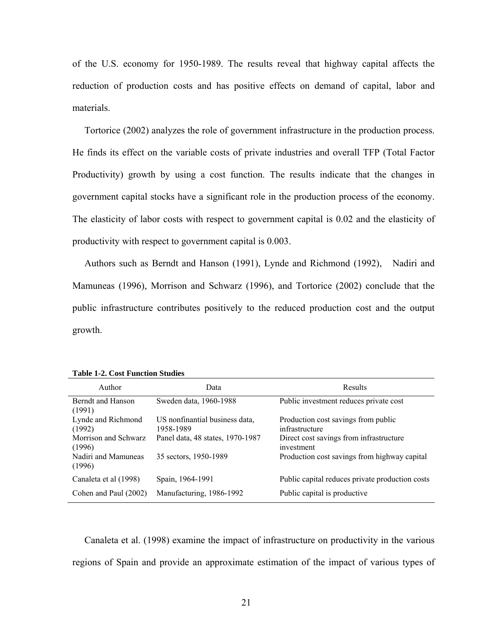<span id="page-28-0"></span>of the U.S. economy for 1950-1989. The results reveal that highway capital affects the reduction of production costs and has positive effects on demand of capital, labor and materials.

 Tortorice (2002) analyzes the role of government infrastructure in the production process. He finds its effect on the variable costs of private industries and overall TFP (Total Factor Productivity) growth by using a cost function. The results indicate that the changes in government capital stocks have a significant role in the production process of the economy. The elasticity of labor costs with respect to government capital is 0.02 and the elasticity of productivity with respect to government capital is 0.003.

 Authors such as Berndt and Hanson (1991), Lynde and Richmond (1992), Nadiri and Mamuneas (1996), Morrison and Schwarz (1996), and Tortorice (2002) conclude that the public infrastructure contributes positively to the reduced production cost and the output growth.

| Author                         | Data                                        | Results                                               |
|--------------------------------|---------------------------------------------|-------------------------------------------------------|
| Berndt and Hanson<br>(1991)    | Sweden data, 1960-1988                      | Public investment reduces private cost                |
| Lynde and Richmond<br>(1992)   | US nonfinantial business data,<br>1958-1989 | Production cost savings from public<br>infrastructure |
| Morrison and Schwarz<br>(1996) | Panel data, 48 states, 1970-1987            | Direct cost savings from infrastructure<br>investment |
| Nadiri and Mamuneas<br>(1996)  | 35 sectors, 1950-1989                       | Production cost savings from highway capital          |
| Canaleta et al (1998)          | Spain, 1964-1991                            | Public capital reduces private production costs       |
| Cohen and Paul (2002)          | Manufacturing, 1986-1992                    | Public capital is productive.                         |

**Table 1-2. Cost Function Studies** 

 Canaleta et al. (1998) examine the impact of infrastructure on productivity in the various regions of Spain and provide an approximate estimation of the impact of various types of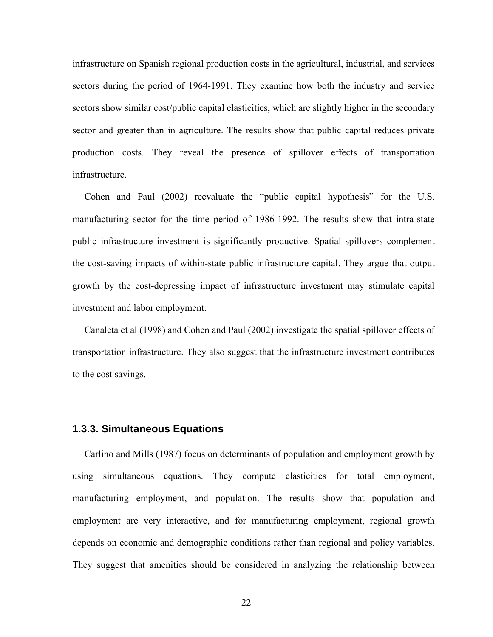<span id="page-29-0"></span>infrastructure on Spanish regional production costs in the agricultural, industrial, and services sectors during the period of 1964-1991. They examine how both the industry and service sectors show similar cost/public capital elasticities, which are slightly higher in the secondary sector and greater than in agriculture. The results show that public capital reduces private production costs. They reveal the presence of spillover effects of transportation infrastructure.

 Cohen and Paul (2002) reevaluate the "public capital hypothesis" for the U.S. manufacturing sector for the time period of 1986-1992. The results show that intra-state public infrastructure investment is significantly productive. Spatial spillovers complement the cost-saving impacts of within-state public infrastructure capital. They argue that output growth by the cost-depressing impact of infrastructure investment may stimulate capital investment and labor employment.

 Canaleta et al (1998) and Cohen and Paul (2002) investigate the spatial spillover effects of transportation infrastructure. They also suggest that the infrastructure investment contributes to the cost savings.

#### **1.3.3. Simultaneous Equations**

 Carlino and Mills (1987) focus on determinants of population and employment growth by using simultaneous equations. They compute elasticities for total employment, manufacturing employment, and population. The results show that population and employment are very interactive, and for manufacturing employment, regional growth depends on economic and demographic conditions rather than regional and policy variables. They suggest that amenities should be considered in analyzing the relationship between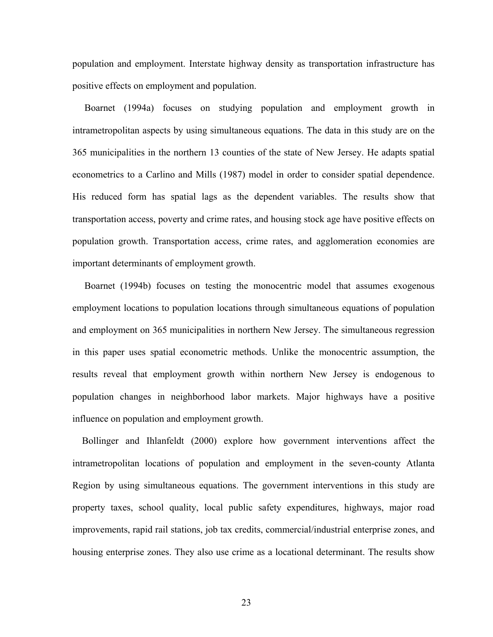population and employment. Interstate highway density as transportation infrastructure has positive effects on employment and population.

 Boarnet (1994a) focuses on studying population and employment growth in intrametropolitan aspects by using simultaneous equations. The data in this study are on the 365 municipalities in the northern 13 counties of the state of New Jersey. He adapts spatial econometrics to a Carlino and Mills (1987) model in order to consider spatial dependence. His reduced form has spatial lags as the dependent variables. The results show that transportation access, poverty and crime rates, and housing stock age have positive effects on population growth. Transportation access, crime rates, and agglomeration economies are important determinants of employment growth.

 Boarnet (1994b) focuses on testing the monocentric model that assumes exogenous employment locations to population locations through simultaneous equations of population and employment on 365 municipalities in northern New Jersey. The simultaneous regression in this paper uses spatial econometric methods. Unlike the monocentric assumption, the results reveal that employment growth within northern New Jersey is endogenous to population changes in neighborhood labor markets. Major highways have a positive influence on population and employment growth.

 Bollinger and Ihlanfeldt (2000) explore how government interventions affect the intrametropolitan locations of population and employment in the seven-county Atlanta Region by using simultaneous equations. The government interventions in this study are property taxes, school quality, local public safety expenditures, highways, major road improvements, rapid rail stations, job tax credits, commercial/industrial enterprise zones, and housing enterprise zones. They also use crime as a locational determinant. The results show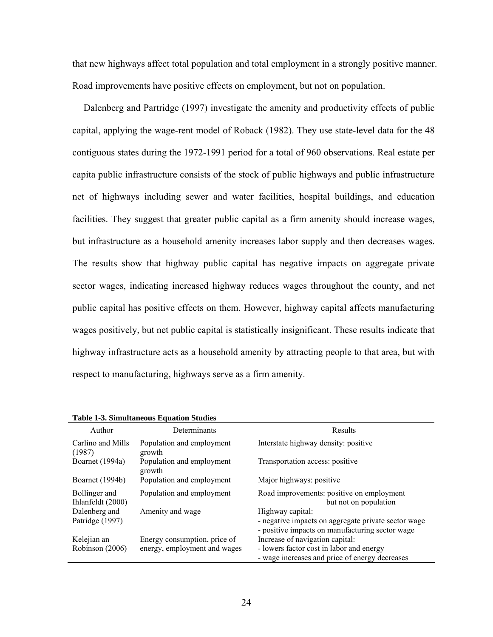<span id="page-31-0"></span>that new highways affect total population and total employment in a strongly positive manner. Road improvements have positive effects on employment, but not on population.

 Dalenberg and Partridge (1997) investigate the amenity and productivity effects of public capital, applying the wage-rent model of Roback (1982). They use state-level data for the 48 contiguous states during the 1972-1991 period for a total of 960 observations. Real estate per capita public infrastructure consists of the stock of public highways and public infrastructure net of highways including sewer and water facilities, hospital buildings, and education facilities. They suggest that greater public capital as a firm amenity should increase wages, but infrastructure as a household amenity increases labor supply and then decreases wages. The results show that highway public capital has negative impacts on aggregate private sector wages, indicating increased highway reduces wages throughout the county, and net public capital has positive effects on them. However, highway capital affects manufacturing wages positively, but net public capital is statistically insignificant. These results indicate that highway infrastructure acts as a household amenity by attracting people to that area, but with respect to manufacturing, highways serve as a firm amenity.

| Author                             | Determinants                                                 | Results                                                                                                                       |
|------------------------------------|--------------------------------------------------------------|-------------------------------------------------------------------------------------------------------------------------------|
| Carlino and Mills<br>(1987)        | Population and employment<br>growth                          | Interstate highway density: positive                                                                                          |
| Boarnet (1994a)                    | Population and employment<br>growth                          | Transportation access: positive                                                                                               |
| Boarnet (1994b)                    | Population and employment                                    | Major highways: positive                                                                                                      |
| Bollinger and<br>Ihlanfeldt (2000) | Population and employment                                    | Road improvements: positive on employment<br>but not on population                                                            |
| Dalenberg and<br>Patridge (1997)   | Amenity and wage                                             | Highway capital:<br>- negative impacts on aggregate private sector wage<br>- positive impacts on manufacturing sector wage    |
| Kelejian an<br>Robinson (2006)     | Energy consumption, price of<br>energy, employment and wages | Increase of navigation capital:<br>- lowers factor cost in labor and energy<br>- wage increases and price of energy decreases |

**Table 1-3. Simultaneous Equation Studies**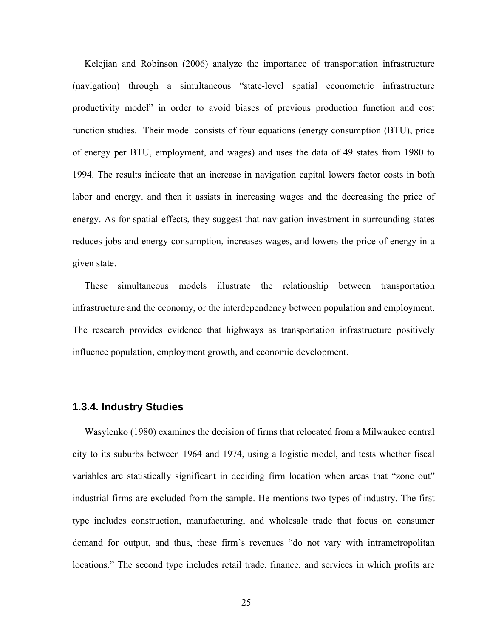<span id="page-32-0"></span> Kelejian and Robinson (2006) analyze the importance of transportation infrastructure (navigation) through a simultaneous "state-level spatial econometric infrastructure productivity model" in order to avoid biases of previous production function and cost function studies. Their model consists of four equations (energy consumption (BTU), price of energy per BTU, employment, and wages) and uses the data of 49 states from 1980 to 1994. The results indicate that an increase in navigation capital lowers factor costs in both labor and energy, and then it assists in increasing wages and the decreasing the price of energy. As for spatial effects, they suggest that navigation investment in surrounding states reduces jobs and energy consumption, increases wages, and lowers the price of energy in a given state.

 These simultaneous models illustrate the relationship between transportation infrastructure and the economy, or the interdependency between population and employment. The research provides evidence that highways as transportation infrastructure positively influence population, employment growth, and economic development.

#### **1.3.4. Industry Studies**

 Wasylenko (1980) examines the decision of firms that relocated from a Milwaukee central city to its suburbs between 1964 and 1974, using a logistic model, and tests whether fiscal variables are statistically significant in deciding firm location when areas that "zone out" industrial firms are excluded from the sample. He mentions two types of industry. The first type includes construction, manufacturing, and wholesale trade that focus on consumer demand for output, and thus, these firm's revenues "do not vary with intrametropolitan locations." The second type includes retail trade, finance, and services in which profits are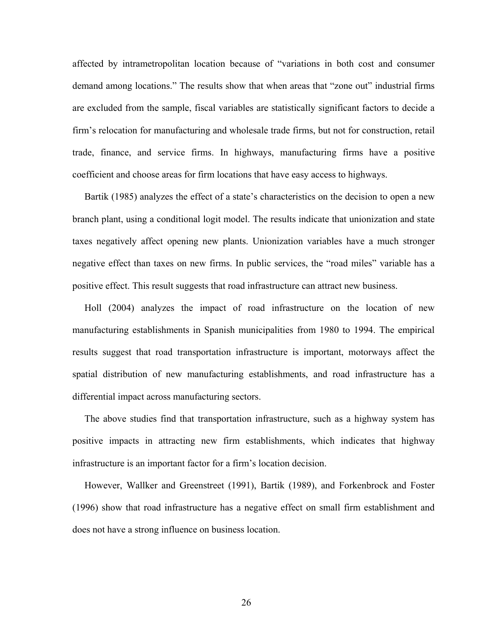affected by intrametropolitan location because of "variations in both cost and consumer demand among locations." The results show that when areas that "zone out" industrial firms are excluded from the sample, fiscal variables are statistically significant factors to decide a firm's relocation for manufacturing and wholesale trade firms, but not for construction, retail trade, finance, and service firms. In highways, manufacturing firms have a positive coefficient and choose areas for firm locations that have easy access to highways.

 Bartik (1985) analyzes the effect of a state's characteristics on the decision to open a new branch plant, using a conditional logit model. The results indicate that unionization and state taxes negatively affect opening new plants. Unionization variables have a much stronger negative effect than taxes on new firms. In public services, the "road miles" variable has a positive effect. This result suggests that road infrastructure can attract new business.

 Holl (2004) analyzes the impact of road infrastructure on the location of new manufacturing establishments in Spanish municipalities from 1980 to 1994. The empirical results suggest that road transportation infrastructure is important, motorways affect the spatial distribution of new manufacturing establishments, and road infrastructure has a differential impact across manufacturing sectors.

 The above studies find that transportation infrastructure, such as a highway system has positive impacts in attracting new firm establishments, which indicates that highway infrastructure is an important factor for a firm's location decision.

 However, Wallker and Greenstreet (1991), Bartik (1989), and Forkenbrock and Foster (1996) show that road infrastructure has a negative effect on small firm establishment and does not have a strong influence on business location.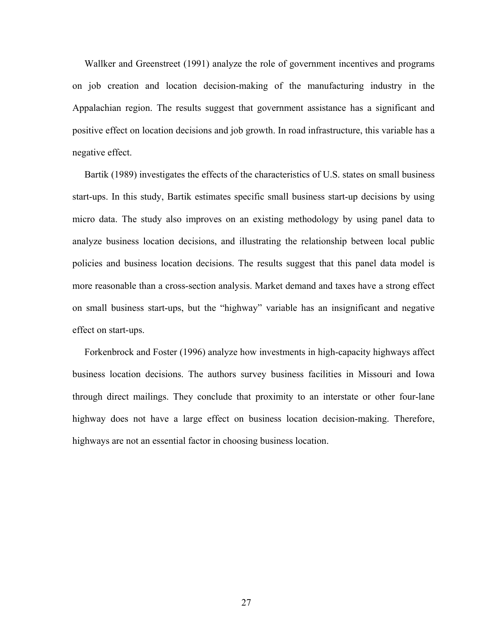Wallker and Greenstreet (1991) analyze the role of government incentives and programs on job creation and location decision-making of the manufacturing industry in the Appalachian region. The results suggest that government assistance has a significant and positive effect on location decisions and job growth. In road infrastructure, this variable has a negative effect.

 Bartik (1989) investigates the effects of the characteristics of U.S. states on small business start-ups. In this study, Bartik estimates specific small business start-up decisions by using micro data. The study also improves on an existing methodology by using panel data to analyze business location decisions, and illustrating the relationship between local public policies and business location decisions. The results suggest that this panel data model is more reasonable than a cross-section analysis. Market demand and taxes have a strong effect on small business start-ups, but the "highway" variable has an insignificant and negative effect on start-ups.

 Forkenbrock and Foster (1996) analyze how investments in high-capacity highways affect business location decisions. The authors survey business facilities in Missouri and Iowa through direct mailings. They conclude that proximity to an interstate or other four-lane highway does not have a large effect on business location decision-making. Therefore, highways are not an essential factor in choosing business location.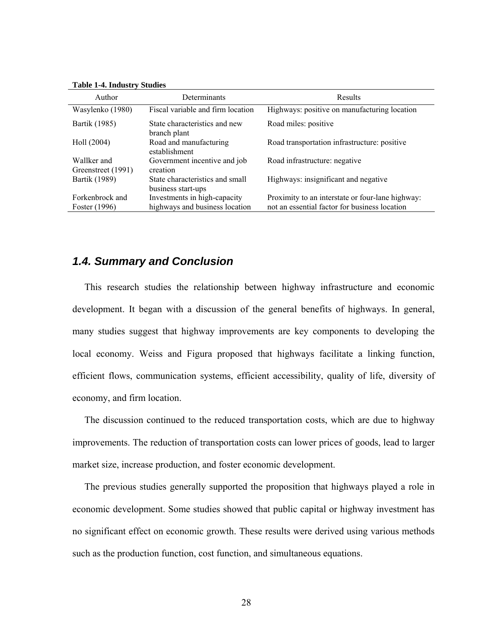<span id="page-35-0"></span>

|  |  | <b>Table 1-4. Industry Studies</b> |  |
|--|--|------------------------------------|--|
|--|--|------------------------------------|--|

| Author                            | Determinants                                          | Results                                          |
|-----------------------------------|-------------------------------------------------------|--------------------------------------------------|
| Wasylenko (1980)                  | Fiscal variable and firm location                     | Highways: positive on manufacturing location     |
| Bartik (1985)                     | State characteristics and new<br>branch plant         | Road miles: positive                             |
| Holl (2004)                       | Road and manufacturing<br>establishment               | Road transportation infrastructure: positive     |
| Wallker and<br>Greenstreet (1991) | Government incentive and job<br>creation              | Road infrastructure: negative                    |
| Bartik (1989)                     | State characteristics and small<br>business start-ups | Highways: insignificant and negative             |
| Forkenbrock and                   | Investments in high-capacity                          | Proximity to an interstate or four-lane highway: |
| Foster (1996)                     | highways and business location                        | not an essential factor for business location    |

## *1.4. Summary and Conclusion*

 This research studies the relationship between highway infrastructure and economic development. It began with a discussion of the general benefits of highways. In general, many studies suggest that highway improvements are key components to developing the local economy. Weiss and Figura proposed that highways facilitate a linking function, efficient flows, communication systems, efficient accessibility, quality of life, diversity of economy, and firm location.

 The discussion continued to the reduced transportation costs, which are due to highway improvements. The reduction of transportation costs can lower prices of goods, lead to larger market size, increase production, and foster economic development.

 The previous studies generally supported the proposition that highways played a role in economic development. Some studies showed that public capital or highway investment has no significant effect on economic growth. These results were derived using various methods such as the production function, cost function, and simultaneous equations.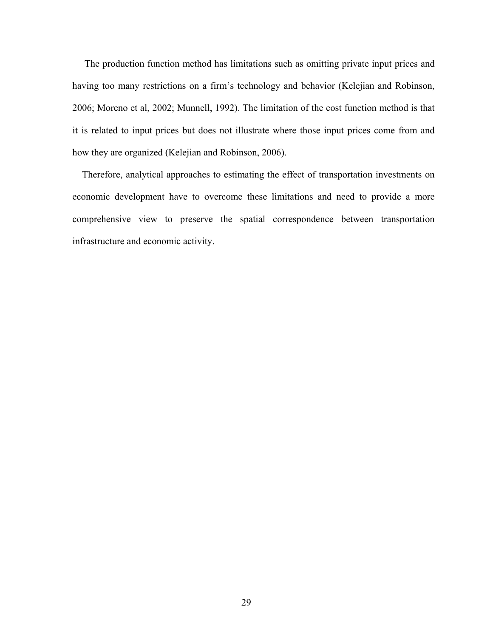The production function method has limitations such as omitting private input prices and having too many restrictions on a firm's technology and behavior (Kelejian and Robinson, 2006; Moreno et al, 2002; Munnell, 1992). The limitation of the cost function method is that it is related to input prices but does not illustrate where those input prices come from and how they are organized (Kelejian and Robinson, 2006).

 Therefore, analytical approaches to estimating the effect of transportation investments on economic development have to overcome these limitations and need to provide a more comprehensive view to preserve the spatial correspondence between transportation infrastructure and economic activity.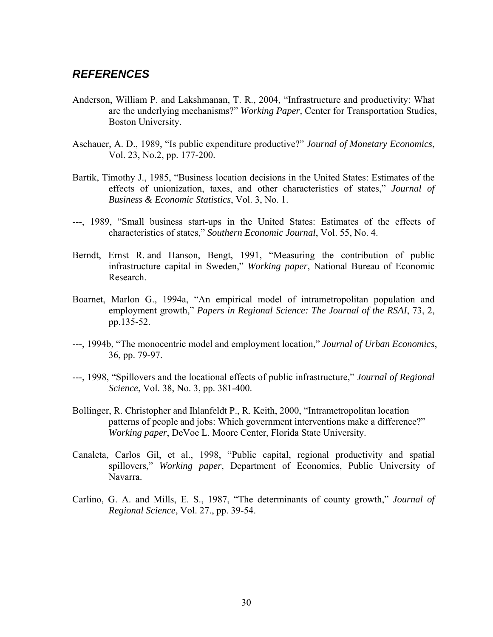## *REFERENCES*

- Anderson, William P. and Lakshmanan, T. R., 2004, "Infrastructure and productivity: What are the underlying mechanisms?" *Working Paper,* Center for Transportation Studies, Boston University.
- Aschauer, A. D., 1989, "Is public expenditure productive?" *Journal of Monetary Economics*, Vol. 23, No.2, pp. 177-200.
- Bartik, Timothy J., 1985, "Business location decisions in the United States: Estimates of the effects of unionization, taxes, and other characteristics of states," *Journal of Business & Economic Statistics*, Vol. 3, No. 1.
- ---, 1989, "Small business start-ups in the United States: Estimates of the effects of characteristics of states," *Southern Economic Journal*, Vol. 55, No. 4.
- Berndt, Ernst R. and Hanson, Bengt, 1991, "Measuring the contribution of public infrastructure capital in Sweden," *Working paper*, National Bureau of Economic Research.
- Boarnet, Marlon G., 1994a, "An empirical model of intrametropolitan population and employment growth," *Papers in Regional Science: The Journal of the RSAI*, 73, 2, pp.135-52.
- ---, 1994b, "The monocentric model and employment location," *Journal of Urban Economics*, 36, pp. 79-97.
- ---, 1998, "Spillovers and the locational effects of public infrastructure," *Journal of Regional Science*, Vol. 38, No. 3, pp. 381-400.
- Bollinger, R. Christopher and Ihlanfeldt P., R. Keith, 2000, "Intrametropolitan location patterns of people and jobs: Which government interventions make a difference?" *Working paper*, DeVoe L. Moore Center, Florida State University.
- Canaleta, Carlos Gil, et al., 1998, "Public capital, regional productivity and spatial spillovers," *Working paper*, Department of Economics, Public University of Navarra.
- Carlino, G. A. and Mills, E. S., 1987, "The determinants of county growth," *Journal of Regional Science*, Vol. 27., pp. 39-54.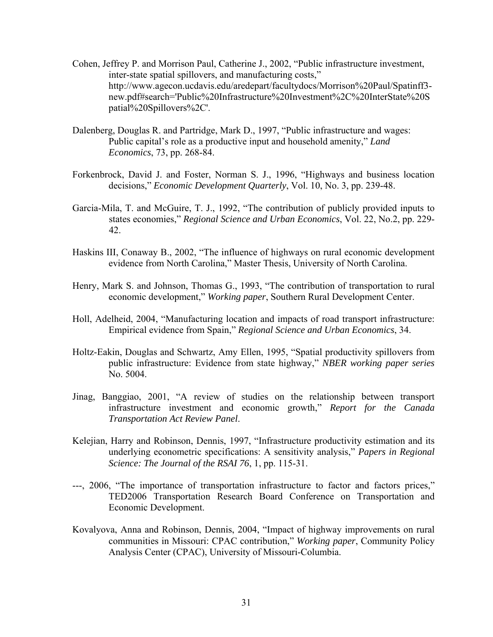- Cohen, Jeffrey P. and Morrison Paul, Catherine J., 2002, "Public infrastructure investment, inter-state spatial spillovers, and manufacturing costs," http://www.agecon.ucdavis.edu/aredepart/facultydocs/Morrison%20Paul/Spatinff3 new.pdf#search='Public%20Infrastructure%20Investment%2C%20InterState%20S patial%20Spillovers%2C'.
- Dalenberg, Douglas R. and Partridge, Mark D., 1997, "Public infrastructure and wages: Public capital's role as a productive input and household amenity," *Land Economics*, 73, pp. 268-84.
- Forkenbrock, David J. and Foster, Norman S. J., 1996, "Highways and business location decisions," *Economic Development Quarterly*, Vol. 10, No. 3, pp. 239-48.
- Garcia-Mila, T. and McGuire, T. J., 1992, "The contribution of publicly provided inputs to states economies," *Regional Science and Urban Economics*, Vol. 22, No.2, pp. 229- 42.
- Haskins III, Conaway B., 2002, "The influence of highways on rural economic development evidence from North Carolina," Master Thesis, University of North Carolina.
- Henry, Mark S. and Johnson, Thomas G., 1993, "The contribution of transportation to rural economic development," *Working paper*, Southern Rural Development Center.
- Holl, Adelheid, 2004, "Manufacturing location and impacts of road transport infrastructure: Empirical evidence from Spain," *Regional Science and Urban Economics*, 34.
- Holtz-Eakin, Douglas and Schwartz, Amy Ellen, 1995, "Spatial productivity spillovers from public infrastructure: Evidence from state highway," *NBER working paper series* No. 5004.
- Jinag, Banggiao, 2001, "A review of studies on the relationship between transport infrastructure investment and economic growth," *Report for the Canada Transportation Act Review Panel*.
- Kelejian, Harry and Robinson, Dennis, 1997, "Infrastructure productivity estimation and its underlying econometric specifications: A sensitivity analysis," *Papers in Regional Science: The Journal of the RSAI 76*, 1, pp. 115-31.
- ---, 2006, "The importance of transportation infrastructure to factor and factors prices," TED2006 Transportation Research Board Conference on Transportation and Economic Development.
- Kovalyova, Anna and Robinson, Dennis, 2004, "Impact of highway improvements on rural communities in Missouri: CPAC contribution," *Working paper*, Community Policy Analysis Center (CPAC), University of Missouri-Columbia.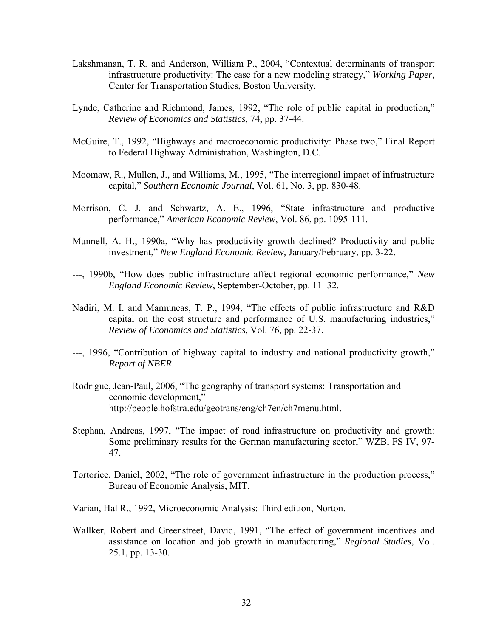- Lakshmanan, T. R. and Anderson, William P., 2004, "Contextual determinants of transport infrastructure productivity: The case for a new modeling strategy," *Working Paper,*  Center for Transportation Studies, Boston University.
- Lynde, Catherine and Richmond, James, 1992, "The role of public capital in production," *Review of Economics and Statistics*, 74, pp. 37-44.
- McGuire, T., 1992, "Highways and macroeconomic productivity: Phase two," Final Report to Federal Highway Administration, Washington, D.C.
- Moomaw, R., Mullen, J., and Williams, M., 1995, "The interregional impact of infrastructure capital," *Southern Economic Journal*, Vol. 61, No. 3, pp. 830-48.
- Morrison, C. J. and Schwartz, A. E., 1996, "State infrastructure and productive performance," *American Economic Review*, Vol. 86, pp. 1095-111.
- Munnell, A. H., 1990a, "Why has productivity growth declined? Productivity and public investment," *New England Economic Review*, January/February, pp. 3-22.
- ---, 1990b, "How does public infrastructure affect regional economic performance," *New England Economic Review*, September-October, pp. 11–32.
- Nadiri, M. I. and Mamuneas, T. P., 1994, "The effects of public infrastructure and R&D capital on the cost structure and performance of U.S. manufacturing industries," *Review of Economics and Statistics*, Vol. 76, pp. 22-37.
- ---, 1996, "Contribution of highway capital to industry and national productivity growth," *Report of NBER*.
- Rodrigue, Jean-Paul, 2006, "The geography of transport systems: Transportation and economic development," http://people.hofstra.edu/geotrans/eng/ch7en/ch7menu.html.
- Stephan, Andreas, 1997, "The impact of road infrastructure on productivity and growth: Some preliminary results for the German manufacturing sector," WZB, FS IV, 97- 47.
- Tortorice, Daniel, 2002, "The role of government infrastructure in the production process," Bureau of Economic Analysis, MIT.
- Varian, Hal R., 1992, Microeconomic Analysis: Third edition, Norton.
- Wallker, Robert and Greenstreet, David, 1991, "The effect of government incentives and assistance on location and job growth in manufacturing," *Regional Studies*, Vol. 25.1, pp. 13-30.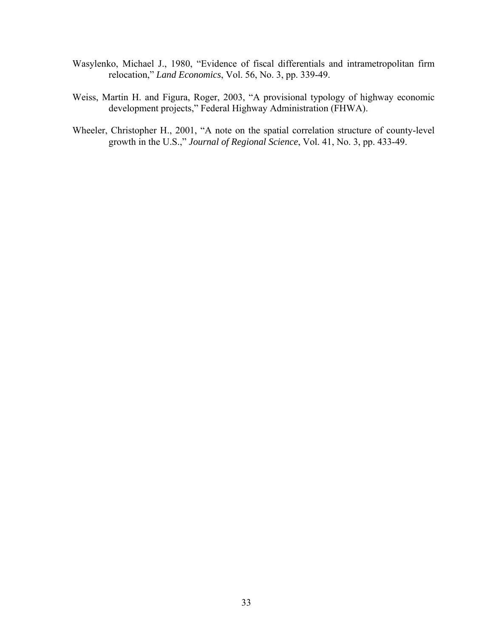- Wasylenko, Michael J., 1980, "Evidence of fiscal differentials and intrametropolitan firm relocation," *Land Economics*, Vol. 56, No. 3, pp. 339-49.
- Weiss, Martin H. and Figura, Roger, 2003, "A provisional typology of highway economic development projects," Federal Highway Administration (FHWA).
- Wheeler, Christopher H., 2001, "A note on the spatial correlation structure of county-level growth in the U.S.," *Journal of Regional Science*, Vol. 41, No. 3, pp. 433-49.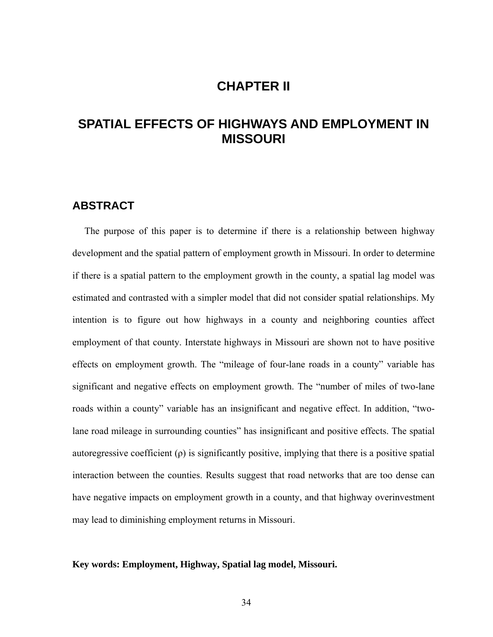# **CHAPTER II**

# **SPATIAL EFFECTS OF HIGHWAYS AND EMPLOYMENT IN MISSOURI**

### **ABSTRACT**

 The purpose of this paper is to determine if there is a relationship between highway development and the spatial pattern of employment growth in Missouri. In order to determine if there is a spatial pattern to the employment growth in the county, a spatial lag model was estimated and contrasted with a simpler model that did not consider spatial relationships. My intention is to figure out how highways in a county and neighboring counties affect employment of that county. Interstate highways in Missouri are shown not to have positive effects on employment growth. The "mileage of four-lane roads in a county" variable has significant and negative effects on employment growth. The "number of miles of two-lane roads within a county" variable has an insignificant and negative effect. In addition, "twolane road mileage in surrounding counties" has insignificant and positive effects. The spatial autoregressive coefficient  $(\rho)$  is significantly positive, implying that there is a positive spatial interaction between the counties. Results suggest that road networks that are too dense can have negative impacts on employment growth in a county, and that highway overinvestment may lead to diminishing employment returns in Missouri.

#### **Key words: Employment, Highway, Spatial lag model, Missouri.**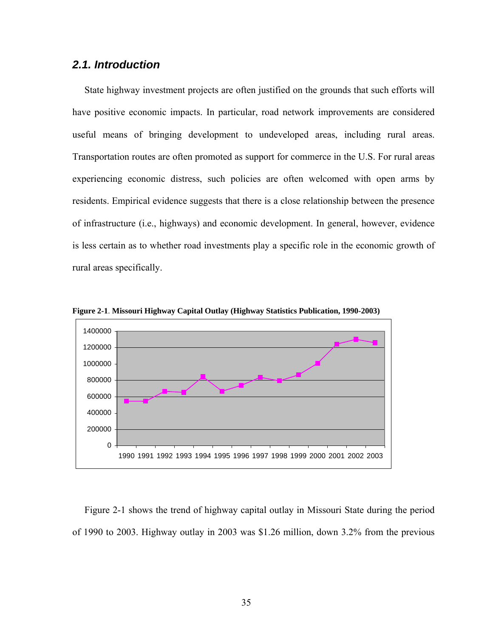## *2.1. Introduction*

 State highway investment projects are often justified on the grounds that such efforts will have positive economic impacts. In particular, road network improvements are considered useful means of bringing development to undeveloped areas, including rural areas. Transportation routes are often promoted as support for commerce in the U.S. For rural areas experiencing economic distress, such policies are often welcomed with open arms by residents. Empirical evidence suggests that there is a close relationship between the presence of infrastructure (i.e., highways) and economic development. In general, however, evidence is less certain as to whether road investments play a specific role in the economic growth of rural areas specifically.



**Figure 2-1**. **Missouri Highway Capital Outlay (Highway Statistics Publication, 1990-2003)**

 Figure 2-1 shows the trend of highway capital outlay in Missouri State during the period of 1990 to 2003. Highway outlay in 2003 was \$1.26 million, down 3.2% from the previous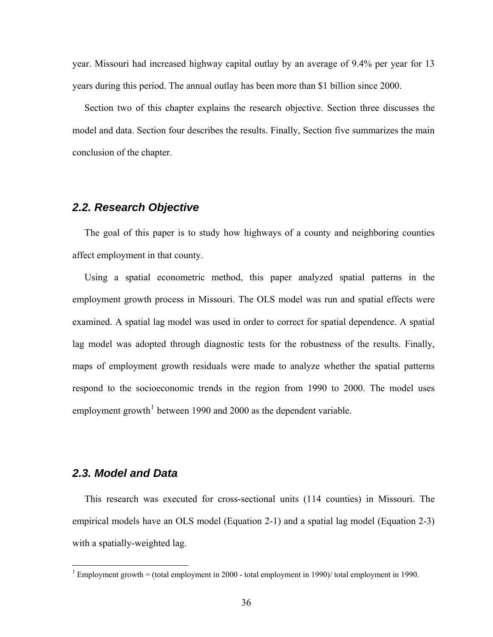year. Missouri had increased highway capital outlay by an average of 9.4% per year for 13 years during this period. The annual outlay has been more than \$1 billion since 2000.

 Section two of this chapter explains the research objective. Section three discusses the model and data. Section four describes the results. Finally, Section five summarizes the main conclusion of the chapter.

## *2.2. Research Objective*

 The goal of this paper is to study how highways of a county and neighboring counties affect employment in that county.

 Using a spatial econometric method, this paper analyzed spatial patterns in the employment growth process in Missouri. The OLS model was run and spatial effects were examined. A spatial lag model was used in order to correct for spatial dependence. A spatial lag model was adopted through diagnostic tests for the robustness of the results. Finally, maps of employment growth residuals were made to analyze whether the spatial patterns respond to the socioeconomic trends in the region from 1990 to 2000. The model uses employment growth<sup>[1](#page-43-0)</sup> between 1990 and 2000 as the dependent variable.

### *2.3. Model and Data*

 $\overline{a}$ 

 This research was executed for cross-sectional units (114 counties) in Missouri. The empirical models have an OLS model (Equation 2-1) and a spatial lag model (Equation 2-3) with a spatially-weighted lag.

<span id="page-43-0"></span><sup>&</sup>lt;sup>1</sup> Employment growth = (total employment in 2000 - total employment in 1990)/ total employment in 1990.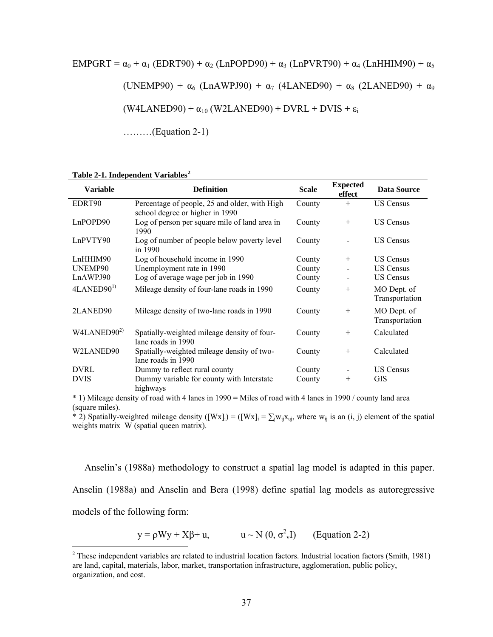$$
EMPGRT = \alpha_0 + \alpha_1 (EDRT90) + \alpha_2 (LnPOPD90) + \alpha_3 (LnPVRT90) + \alpha_4 (LnHHIM90) + \alpha_5
$$
  
(UNEMP90) +  $\alpha_6$  (LnAWPI90) +  $\alpha_7$  (4LANED90) +  $\alpha_8$  (2LANED90) +  $\alpha_9$   
(W4LANED90) +  $\alpha_{10}$  (W2LANED90) + DVRL + DVIS +  $\varepsilon_i$ 

………(Equation 2-1)

#### **Table 2-1. Independent Variables[2](#page-44-0)**

| <b>Variable</b>        | <b>Definition</b>                                                                | <b>Scale</b> | <b>Expected</b><br>effect | <b>Data Source</b>            |
|------------------------|----------------------------------------------------------------------------------|--------------|---------------------------|-------------------------------|
| EDRT90                 | Percentage of people, 25 and older, with High<br>school degree or higher in 1990 | County       | $+$                       | <b>US Census</b>              |
| LnPOPD90               | Log of person per square mile of land area in<br>1990                            | County       | $^{+}$                    | <b>US Census</b>              |
| LnPVTY90               | Log of number of people below poverty level<br>in 1990                           | County       |                           | <b>US Census</b>              |
| LnHHIM90               | Log of household income in 1990                                                  | County       | $^{+}$                    | <b>US Census</b>              |
| UNEMP90                | Unemployment rate in 1990                                                        | County       |                           | <b>US Census</b>              |
| LnAWPJ90               | Log of average wage per job in 1990                                              | County       |                           | <b>US Census</b>              |
| $4$ LANED $90^{1}$     | Mileage density of four-lane roads in 1990                                       | County       | $^{+}$                    | MO Dept. of<br>Transportation |
| 2LANED90               | Mileage density of two-lane roads in 1990                                        | County       | $^{+}$                    | MO Dept. of<br>Transportation |
| W4LANED90 <sup>2</sup> | Spatially-weighted mileage density of four-<br>lane roads in 1990                | County       | $^{+}$                    | Calculated                    |
| W2LANED90              | Spatially-weighted mileage density of two-<br>lane roads in 1990                 | County       | $^{+}$                    | Calculated                    |
| DVRL                   | Dummy to reflect rural county                                                    | County       |                           | <b>US Census</b>              |
| <b>DVIS</b>            | Dummy variable for county with Interstate<br>highways                            | County       | $^{+}$                    | <b>GIS</b>                    |

\* 1) Mileage density of road with 4 lanes in 1990 = Miles of road with 4 lanes in 1990 / county land area (square miles).

\* 2) Spatially-weighted mileage density ([Wx]<sub>i</sub>) = ([Wx]<sub>i</sub> =  $\sum_j w_{ij}x_{uj}$ , where w<sub>ij</sub> is an (i, j) element of the spatial weights matrix W (spatial queen matrix).

 Anselin's (1988a) methodology to construct a spatial lag model is adapted in this paper. Anselin (1988a) and Anselin and Bera (1998) define spatial lag models as autoregressive models of the following form:

 $y = \rho Wy + X\beta + u,$   $u \sim N(0, \sigma^2v)$  (Equation 2-2)

<span id="page-44-0"></span><sup>&</sup>lt;sup>2</sup> These independent variables are related to industrial location factors. Industrial location factors (Smith, 1981) are land, capital, materials, labor, market, transportation infrastructure, agglomeration, public policy, organization, and cost.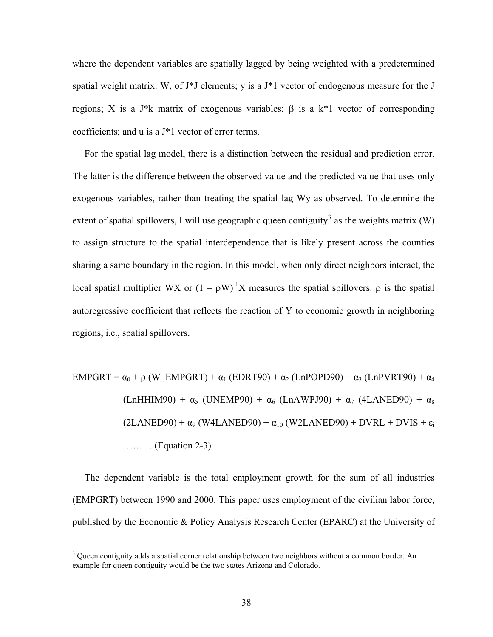where the dependent variables are spatially lagged by being weighted with a predetermined spatial weight matrix: W, of J\*J elements; y is a J\*1 vector of endogenous measure for the J regions; X is a J\*k matrix of exogenous variables;  $\beta$  is a k\*1 vector of corresponding coefficients; and u is a J\*1 vector of error terms.

 For the spatial lag model, there is a distinction between the residual and prediction error. The latter is the difference between the observed value and the predicted value that uses only exogenous variables, rather than treating the spatial lag Wy as observed. To determine the extent of spatial spillovers, I will use geographic queen contiguity<sup>[3](#page-45-0)</sup> as the weights matrix (W) to assign structure to the spatial interdependence that is likely present across the counties sharing a same boundary in the region. In this model, when only direct neighbors interact, the local spatial multiplier WX or  $(1 - \rho W)^{-1}X$  measures the spatial spillovers.  $\rho$  is the spatial autoregressive coefficient that reflects the reaction of Y to economic growth in neighboring regions, i.e., spatial spillovers.

 $EMPGRT = \alpha_0 + \rho$  (W\_EMPGRT) +  $\alpha_1$  (EDRT90) +  $\alpha_2$  (LnPOPD90) +  $\alpha_3$  (LnPVRT90) +  $\alpha_4$  $(LnHHIM90) + \alpha_5$  (UNEMP90) +  $\alpha_6$  (LnAWPJ90) +  $\alpha_7$  (4LANED90) +  $\alpha_8$  $(2LANED90) + \alpha_9 (W4LANED90) + \alpha_{10} (W2LANED90) + DVRL + DVIS + \epsilon_i$ ……… (Equation 2-3)

 The dependent variable is the total employment growth for the sum of all industries (EMPGRT) between 1990 and 2000. This paper uses employment of the civilian labor force, published by the Economic & Policy Analysis Research Center (EPARC) at the University of

 $\overline{a}$ 

<span id="page-45-0"></span> $3$  Queen contiguity adds a spatial corner relationship between two neighbors without a common border. An example for queen contiguity would be the two states Arizona and Colorado.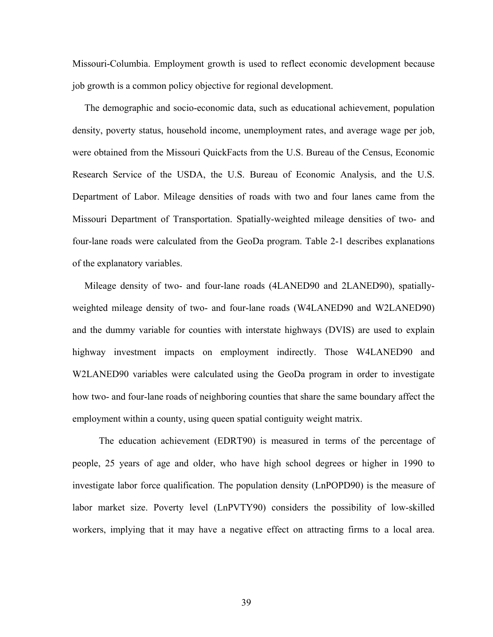Missouri-Columbia. Employment growth is used to reflect economic development because job growth is a common policy objective for regional development.

 The demographic and socio-economic data, such as educational achievement, population density, poverty status, household income, unemployment rates, and average wage per job, were obtained from the Missouri QuickFacts from the U.S. Bureau of the Census, Economic Research Service of the USDA, the U.S. Bureau of Economic Analysis, and the U.S. Department of Labor. Mileage densities of roads with two and four lanes came from the Missouri Department of Transportation. Spatially-weighted mileage densities of two- and four-lane roads were calculated from the GeoDa program. Table 2-1 describes explanations of the explanatory variables.

 Mileage density of two- and four-lane roads (4LANED90 and 2LANED90), spatiallyweighted mileage density of two- and four-lane roads (W4LANED90 and W2LANED90) and the dummy variable for counties with interstate highways (DVIS) are used to explain highway investment impacts on employment indirectly. Those W4LANED90 and W2LANED90 variables were calculated using the GeoDa program in order to investigate how two- and four-lane roads of neighboring counties that share the same boundary affect the employment within a county, using queen spatial contiguity weight matrix.

 The education achievement (EDRT90) is measured in terms of the percentage of people, 25 years of age and older, who have high school degrees or higher in 1990 to investigate labor force qualification. The population density (LnPOPD90) is the measure of labor market size. Poverty level (LnPVTY90) considers the possibility of low-skilled workers, implying that it may have a negative effect on attracting firms to a local area.

39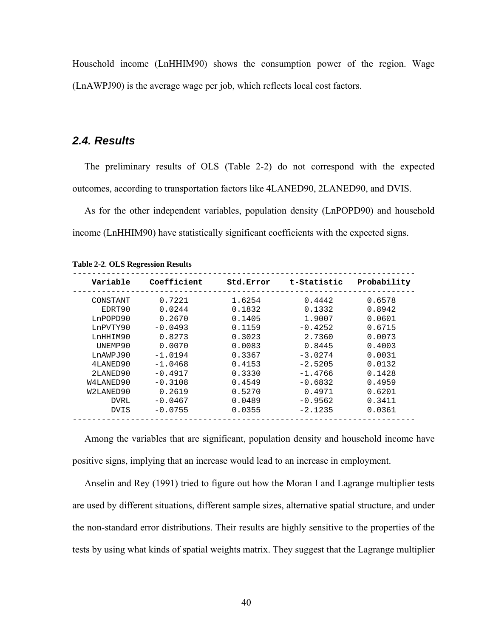Household income (LnHHIM90) shows the consumption power of the region. Wage (LnAWPJ90) is the average wage per job, which reflects local cost factors.

### *2.4. Results*

 The preliminary results of OLS (Table 2-2) do not correspond with the expected outcomes, according to transportation factors like 4LANED90, 2LANED90, and DVIS.

 As for the other independent variables, population density (LnPOPD90) and household income (LnHHIM90) have statistically significant coefficients with the expected signs.

| Variable    | Coefficient | Std.Error | t-Statistic | Probability |
|-------------|-------------|-----------|-------------|-------------|
| CONSTANT    | 0.7221      | 1.6254    | 0.4442      | 0.6578      |
| EDRT90      | 0.0244      | 0.1832    | 0.1332      | 0.8942      |
| LnPOPD90    | 0.2670      | 0.1405    | 1.9007      | 0.0601      |
| LnPVTY90    | $-0.0493$   | 0.1159    | $-0.4252$   | 0.6715      |
| LnHHIM90    | 0.8273      | 0.3023    | 2.7360      | 0.0073      |
| UNEMP90     | 0.0070      | 0.0083    | 0.8445      | 0.4003      |
| LnAWPJ90    | $-1.0194$   | 0.3367    | $-3.0274$   | 0.0031      |
| 4LANED90    | $-1.0468$   | 0.4153    | $-2.5205$   | 0.0132      |
| 2LANED90    | $-0.4917$   | 0.3330    | $-1.4766$   | 0.1428      |
| W4LANED90   | $-0.3108$   | 0.4549    | $-0.6832$   | 0.4959      |
| W2LANED90   | 0.2619      | 0.5270    | 0.4971      | 0.6201      |
| <b>DVRL</b> | $-0.0467$   | 0.0489    | $-0.9562$   | 0.3411      |
| DVIS        | $-0.0755$   | 0.0355    | $-2.1235$   | 0.0361      |
|             |             |           |             |             |

**Table 2-2**. **OLS Regression Results**

 Among the variables that are significant, population density and household income have positive signs, implying that an increase would lead to an increase in employment.

 Anselin and Rey (1991) tried to figure out how the Moran I and Lagrange multiplier tests are used by different situations, different sample sizes, alternative spatial structure, and under the non-standard error distributions. Their results are highly sensitive to the properties of the tests by using what kinds of spatial weights matrix. They suggest that the Lagrange multiplier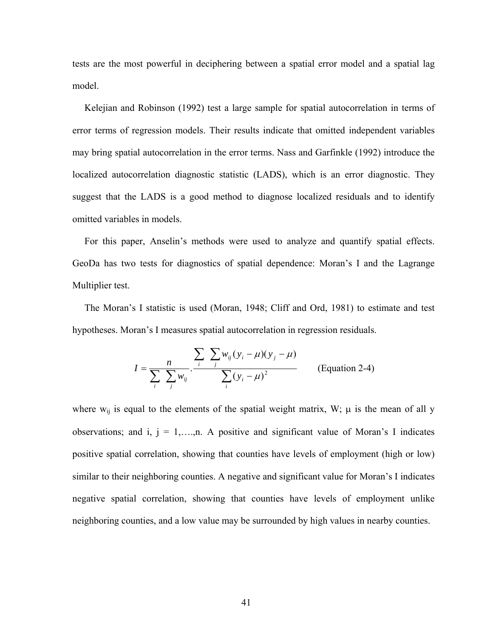tests are the most powerful in deciphering between a spatial error model and a spatial lag model.

 Kelejian and Robinson (1992) test a large sample for spatial autocorrelation in terms of error terms of regression models. Their results indicate that omitted independent variables may bring spatial autocorrelation in the error terms. Nass and Garfinkle (1992) introduce the localized autocorrelation diagnostic statistic (LADS), which is an error diagnostic. They suggest that the LADS is a good method to diagnose localized residuals and to identify omitted variables in models.

 For this paper, Anselin's methods were used to analyze and quantify spatial effects. GeoDa has two tests for diagnostics of spatial dependence: Moran's I and the Lagrange Multiplier test.

 The Moran's I statistic is used (Moran, 1948; Cliff and Ord, 1981) to estimate and test hypotheses. Moran's I measures spatial autocorrelation in regression residuals.

$$
I = \frac{n}{\sum_{i} \sum_{j} w_{ij}} \cdot \frac{\sum_{i} \sum_{j} w_{ij} (y_i - \mu)(y_j - \mu)}{\sum_{i} (y_i - \mu)^2}
$$
 (Equation 2-4)

where  $w_{ij}$  is equal to the elements of the spatial weight matrix, W;  $\mu$  is the mean of all y observations; and i,  $j = 1,...,n$ . A positive and significant value of Moran's I indicates positive spatial correlation, showing that counties have levels of employment (high or low) similar to their neighboring counties. A negative and significant value for Moran's I indicates negative spatial correlation, showing that counties have levels of employment unlike neighboring counties, and a low value may be surrounded by high values in nearby counties.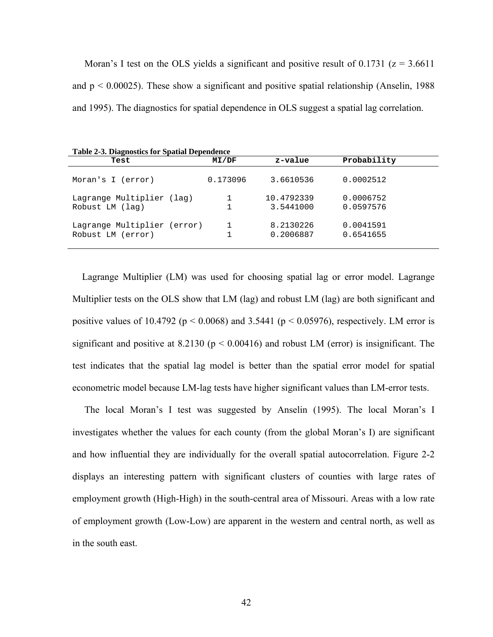Moran's I test on the OLS yields a significant and positive result of 0.1731 ( $z = 3.6611$ ) and  $p < 0.00025$ ). These show a significant and positive spatial relationship (Anselin, 1988) and 1995). The diagnostics for spatial dependence in OLS suggest a spatial lag correlation.

| <b>Table 2-3. Diagnostics for Spatial Dependence</b> |          |                         |                        |  |  |
|------------------------------------------------------|----------|-------------------------|------------------------|--|--|
| Test                                                 | M I/DF   | z-value                 | Probability            |  |  |
| Moran's I (error)                                    | 0.173096 | 3.6610536               | 0.0002512              |  |  |
| Lagrange Multiplier (lag)<br>Robust LM (lag)         | 1        | 10.4792339<br>3.5441000 | 0.0006752<br>0.0597576 |  |  |
| Lagrange Multiplier (error)<br>Robust LM (error)     |          | 8.2130226<br>0.2006887  | 0.0041591<br>0.6541655 |  |  |

 Lagrange Multiplier (LM) was used for choosing spatial lag or error model. Lagrange Multiplier tests on the OLS show that LM (lag) and robust LM (lag) are both significant and positive values of 10.4792 ( $p < 0.0068$ ) and 3.5441 ( $p < 0.05976$ ), respectively. LM error is significant and positive at 8.2130 ( $p < 0.00416$ ) and robust LM (error) is insignificant. The test indicates that the spatial lag model is better than the spatial error model for spatial econometric model because LM-lag tests have higher significant values than LM-error tests.

 The local Moran's I test was suggested by Anselin (1995). The local Moran's I investigates whether the values for each county (from the global Moran's I) are significant and how influential they are individually for the overall spatial autocorrelation. Figure 2-2 displays an interesting pattern with significant clusters of counties with large rates of employment growth (High-High) in the south-central area of Missouri. Areas with a low rate of employment growth (Low-Low) are apparent in the western and central north, as well as in the south east.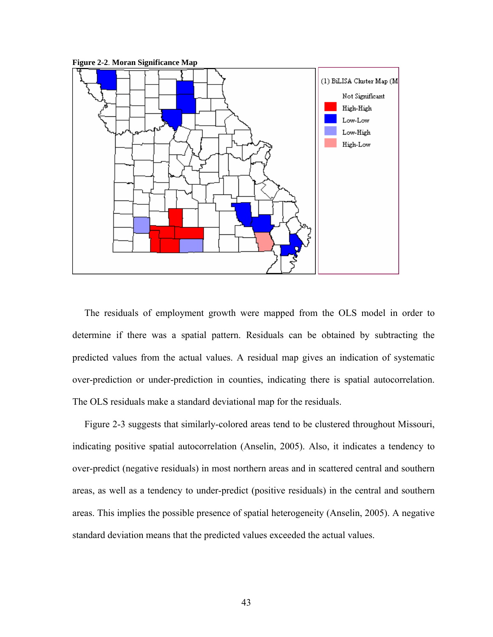**Figure 2-2**. **Moran Significance Map** 



 The residuals of employment growth were mapped from the OLS model in order to determine if there was a spatial pattern. Residuals can be obtained by subtracting the predicted values from the actual values. A residual map gives an indication of systematic over-prediction or under-prediction in counties, indicating there is spatial autocorrelation. The OLS residuals make a standard deviational map for the residuals.

 Figure 2-3 suggests that similarly-colored areas tend to be clustered throughout Missouri, indicating positive spatial autocorrelation (Anselin, 2005). Also, it indicates a tendency to over-predict (negative residuals) in most northern areas and in scattered central and southern areas, as well as a tendency to under-predict (positive residuals) in the central and southern areas. This implies the possible presence of spatial heterogeneity (Anselin, 2005). A negative standard deviation means that the predicted values exceeded the actual values.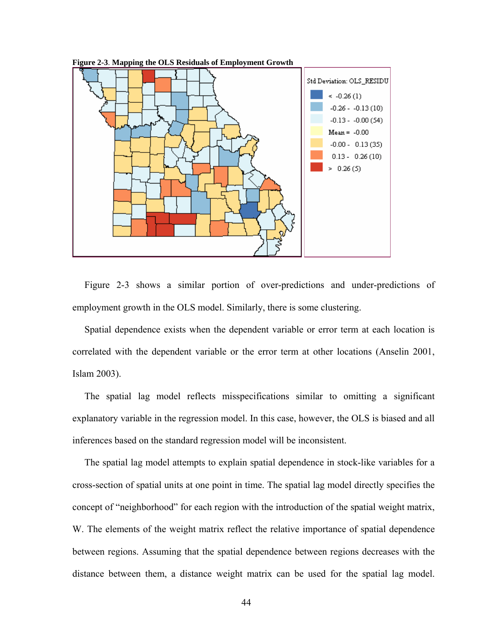



 Figure 2-3 shows a similar portion of over-predictions and under-predictions of employment growth in the OLS model. Similarly, there is some clustering.

 Spatial dependence exists when the dependent variable or error term at each location is correlated with the dependent variable or the error term at other locations (Anselin 2001, Islam 2003).

 The spatial lag model reflects misspecifications similar to omitting a significant explanatory variable in the regression model. In this case, however, the OLS is biased and all inferences based on the standard regression model will be inconsistent.

 The spatial lag model attempts to explain spatial dependence in stock-like variables for a cross-section of spatial units at one point in time. The spatial lag model directly specifies the concept of "neighborhood" for each region with the introduction of the spatial weight matrix, W. The elements of the weight matrix reflect the relative importance of spatial dependence between regions. Assuming that the spatial dependence between regions decreases with the distance between them, a distance weight matrix can be used for the spatial lag model.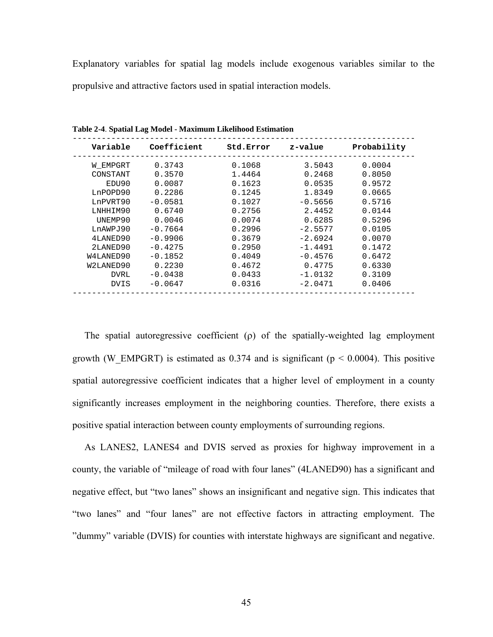Explanatory variables for spatial lag models include exogenous variables similar to the propulsive and attractive factors used in spatial interaction models.

| Variable  | Coefficient | Std.Error | z-value   | Probability |
|-----------|-------------|-----------|-----------|-------------|
| W EMPGRT  | 0.3743      | 0.1068    | 3.5043    | 0.0004      |
| CONSTANT  | 0.3570      | 1.4464    | 0.2468    | 0.8050      |
| EDU90     | 0.0087      | 0.1623    | 0.0535    | 0.9572      |
| LnPOPD90  | 0.2286      | 0.1245    | 1.8349    | 0.0665      |
| LnPVRT90  | $-0.0581$   | 0.1027    | $-0.5656$ | 0.5716      |
| LNHHIM90  | 0.6740      | 0.2756    | 2.4452    | 0.0144      |
| UNEMP90   | 0.0046      | 0.0074    | 0.6285    | 0.5296      |
| LnAWPJ90  | $-0.7664$   | 0.2996    | $-2.5577$ | 0.0105      |
| 4LANED90  | $-0.9906$   | 0.3679    | $-2.6924$ | 0.0070      |
| 2LANED90  | $-0.4275$   | 0.2950    | $-1.4491$ | 0.1472      |
| W4LANED90 | $-0.1852$   | 0.4049    | $-0.4576$ | 0.6472      |
| W2LANED90 | 0.2230      | 0.4672    | 0.4775    | 0.6330      |
| DVRL      | $-0.0438$   | 0.0433    | $-1.0132$ | 0.3109      |
| DVIS      | $-0.0647$   | 0.0316    | $-2.0471$ | 0.0406      |

**Table 2-4**. **Spatial Lag Model - Maximum Likelihood Estimation** 

The spatial autoregressive coefficient  $(\rho)$  of the spatially-weighted lag employment growth (W\_EMPGRT) is estimated as 0.374 and is significant ( $p < 0.0004$ ). This positive spatial autoregressive coefficient indicates that a higher level of employment in a county significantly increases employment in the neighboring counties. Therefore, there exists a positive spatial interaction between county employments of surrounding regions.

 As LANES2, LANES4 and DVIS served as proxies for highway improvement in a county, the variable of "mileage of road with four lanes" (4LANED90) has a significant and negative effect, but "two lanes" shows an insignificant and negative sign. This indicates that "two lanes" and "four lanes" are not effective factors in attracting employment. The "dummy" variable (DVIS) for counties with interstate highways are significant and negative.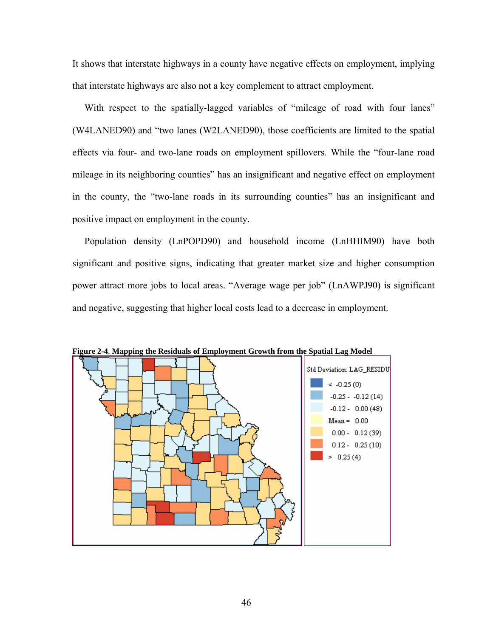It shows that interstate highways in a county have negative effects on employment, implying that interstate highways are also not a key complement to attract employment.

 With respect to the spatially-lagged variables of "mileage of road with four lanes" (W4LANED90) and "two lanes (W2LANED90), those coefficients are limited to the spatial effects via four- and two-lane roads on employment spillovers. While the "four-lane road mileage in its neighboring counties" has an insignificant and negative effect on employment in the county, the "two-lane roads in its surrounding counties" has an insignificant and positive impact on employment in the county.

 Population density (LnPOPD90) and household income (LnHHIM90) have both significant and positive signs, indicating that greater market size and higher consumption power attract more jobs to local areas. "Average wage per job" (LnAWPJ90) is significant and negative, suggesting that higher local costs lead to a decrease in employment.



**Figure 2-4**. **Mapping the Residuals of Employment Growth from the Spatial Lag Model**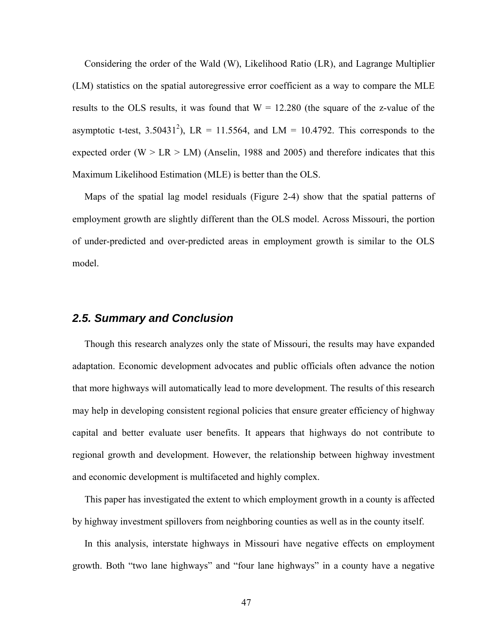Considering the order of the Wald (W), Likelihood Ratio (LR), and Lagrange Multiplier (LM) statistics on the spatial autoregressive error coefficient as a way to compare the MLE results to the OLS results, it was found that  $W = 12.280$  (the square of the z-value of the asymptotic t-test, 3.50431<sup>2</sup>), LR = 11.5564, and LM = 10.4792. This corresponds to the expected order (W  $>$  LR  $>$  LM) (Anselin, 1988 and 2005) and therefore indicates that this Maximum Likelihood Estimation (MLE) is better than the OLS.

 Maps of the spatial lag model residuals (Figure 2-4) show that the spatial patterns of employment growth are slightly different than the OLS model. Across Missouri, the portion of under-predicted and over-predicted areas in employment growth is similar to the OLS model.

## *2.5. Summary and Conclusion*

 Though this research analyzes only the state of Missouri, the results may have expanded adaptation. Economic development advocates and public officials often advance the notion that more highways will automatically lead to more development. The results of this research may help in developing consistent regional policies that ensure greater efficiency of highway capital and better evaluate user benefits. It appears that highways do not contribute to regional growth and development. However, the relationship between highway investment and economic development is multifaceted and highly complex.

 This paper has investigated the extent to which employment growth in a county is affected by highway investment spillovers from neighboring counties as well as in the county itself.

 In this analysis, interstate highways in Missouri have negative effects on employment growth. Both "two lane highways" and "four lane highways" in a county have a negative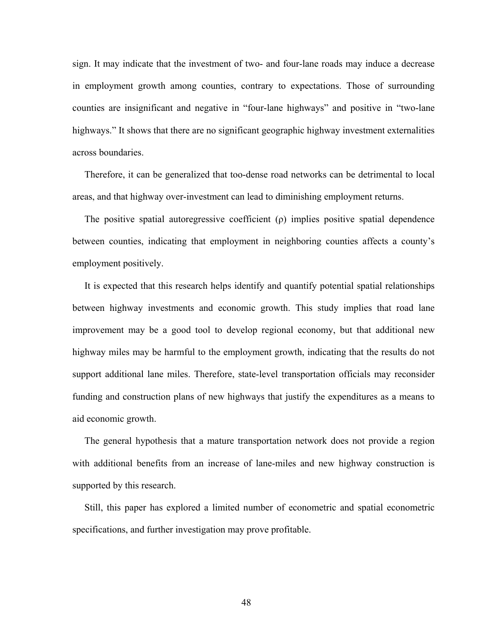sign. It may indicate that the investment of two- and four-lane roads may induce a decrease in employment growth among counties, contrary to expectations. Those of surrounding counties are insignificant and negative in "four-lane highways" and positive in "two-lane highways." It shows that there are no significant geographic highway investment externalities across boundaries.

 Therefore, it can be generalized that too-dense road networks can be detrimental to local areas, and that highway over-investment can lead to diminishing employment returns.

 The positive spatial autoregressive coefficient (ρ) implies positive spatial dependence between counties, indicating that employment in neighboring counties affects a county's employment positively.

 It is expected that this research helps identify and quantify potential spatial relationships between highway investments and economic growth. This study implies that road lane improvement may be a good tool to develop regional economy, but that additional new highway miles may be harmful to the employment growth, indicating that the results do not support additional lane miles. Therefore, state-level transportation officials may reconsider funding and construction plans of new highways that justify the expenditures as a means to aid economic growth.

 The general hypothesis that a mature transportation network does not provide a region with additional benefits from an increase of lane-miles and new highway construction is supported by this research.

 Still, this paper has explored a limited number of econometric and spatial econometric specifications, and further investigation may prove profitable.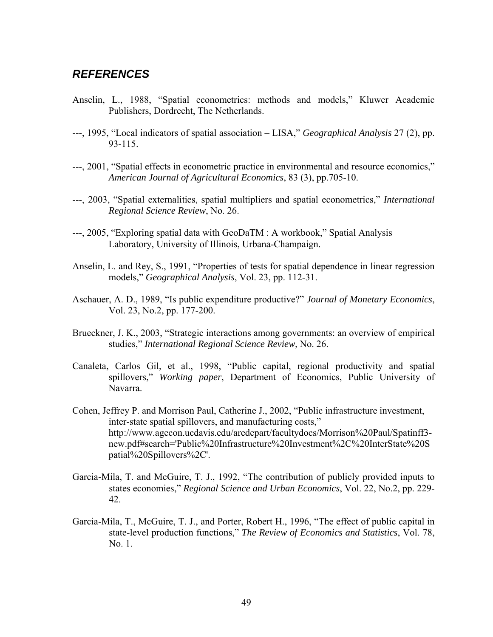## *REFERENCES*

- Anselin, L., 1988, "Spatial econometrics: methods and models," Kluwer Academic Publishers, Dordrecht, The Netherlands.
- ---, 1995, "Local indicators of spatial association LISA," *Geographical Analysis* 27 (2), pp. 93-115.
- ---, 2001, "Spatial effects in econometric practice in environmental and resource economics," *American Journal of Agricultural Economics*, 83 (3), pp.705-10.
- ---, 2003, "Spatial externalities, spatial multipliers and spatial econometrics," *International Regional Science Review*, No. 26.
- ---, 2005, "Exploring spatial data with GeoDaTM : A workbook," Spatial Analysis Laboratory, University of Illinois, Urbana-Champaign.
- Anselin, L. and Rey, S., 1991, "Properties of tests for spatial dependence in linear regression models," *Geographical Analysis*, Vol. 23, pp. 112-31.
- Aschauer, A. D., 1989, "Is public expenditure productive?" *Journal of Monetary Economics*, Vol. 23, No.2, pp. 177-200.
- Brueckner, J. K., 2003, "Strategic interactions among governments: an overview of empirical studies," *International Regional Science Review*, No. 26.
- Canaleta, Carlos Gil, et al., 1998, "Public capital, regional productivity and spatial spillovers," *Working paper*, Department of Economics, Public University of Navarra.
- Cohen, Jeffrey P. and Morrison Paul, Catherine J., 2002, "Public infrastructure investment, inter-state spatial spillovers, and manufacturing costs," http://www.agecon.ucdavis.edu/aredepart/facultydocs/Morrison%20Paul/Spatinff3 new.pdf#search='Public%20Infrastructure%20Investment%2C%20InterState%20S patial%20Spillovers%2C'.
- Garcia-Mila, T. and McGuire, T. J., 1992, "The contribution of publicly provided inputs to states economies," *Regional Science and Urban Economics*, Vol. 22, No.2, pp. 229- 42.
- Garcia-Mila, T., McGuire, T. J., and Porter, Robert H., 1996, "The effect of public capital in state-level production functions," *The Review of Economics and Statistics*, Vol. 78, No. 1.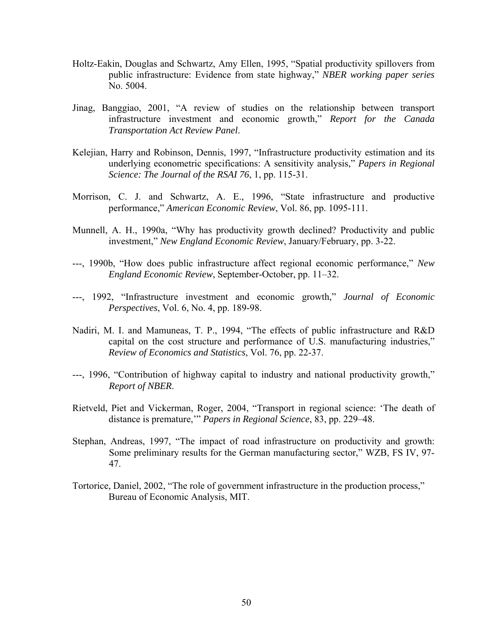- Holtz-Eakin, Douglas and Schwartz, Amy Ellen, 1995, "Spatial productivity spillovers from public infrastructure: Evidence from state highway," *NBER working paper series* No. 5004.
- Jinag, Banggiao, 2001, "A review of studies on the relationship between transport infrastructure investment and economic growth," *Report for the Canada Transportation Act Review Panel*.
- Kelejian, Harry and Robinson, Dennis, 1997, "Infrastructure productivity estimation and its underlying econometric specifications: A sensitivity analysis," *Papers in Regional Science: The Journal of the RSAI 76*, 1, pp. 115-31.
- Morrison, C. J. and Schwartz, A. E., 1996, "State infrastructure and productive performance," *American Economic Review*, Vol. 86, pp. 1095-111.
- Munnell, A. H., 1990a, "Why has productivity growth declined? Productivity and public investment," *New England Economic Review*, January/February, pp. 3-22.
- ---, 1990b, "How does public infrastructure affect regional economic performance," *New England Economic Review*, September-October, pp. 11–32.
- ---, 1992, "Infrastructure investment and economic growth," *Journal of Economic Perspectives*, Vol. 6, No. 4, pp. 189-98.
- Nadiri, M. I. and Mamuneas, T. P., 1994, "The effects of public infrastructure and R&D capital on the cost structure and performance of U.S. manufacturing industries," *Review of Economics and Statistics*, Vol. 76, pp. 22-37.
- ---, 1996, "Contribution of highway capital to industry and national productivity growth," *Report of NBER*.
- Rietveld, Piet and Vickerman, Roger, 2004, "Transport in regional science: 'The death of distance is premature,'" *Papers in Regional Science*, 83, pp. 229–48.
- Stephan, Andreas, 1997, "The impact of road infrastructure on productivity and growth: Some preliminary results for the German manufacturing sector," WZB, FS IV, 97- 47.
- Tortorice, Daniel, 2002, "The role of government infrastructure in the production process," Bureau of Economic Analysis, MIT.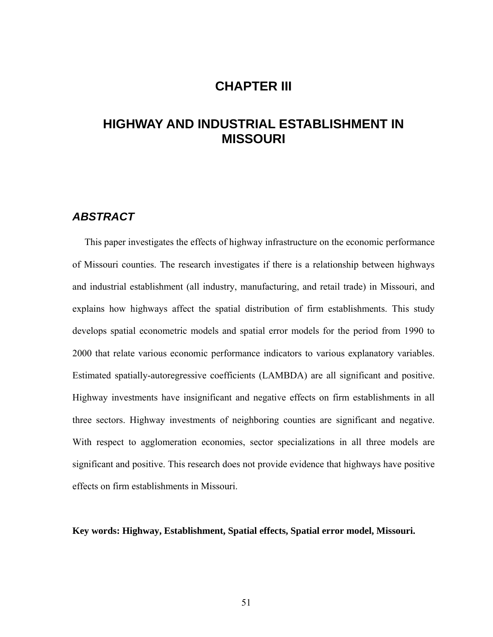## **CHAPTER III**

# **HIGHWAY AND INDUSTRIAL ESTABLISHMENT IN MISSOURI**

### *ABSTRACT*

 This paper investigates the effects of highway infrastructure on the economic performance of Missouri counties. The research investigates if there is a relationship between highways and industrial establishment (all industry, manufacturing, and retail trade) in Missouri, and explains how highways affect the spatial distribution of firm establishments. This study develops spatial econometric models and spatial error models for the period from 1990 to 2000 that relate various economic performance indicators to various explanatory variables. Estimated spatially-autoregressive coefficients (LAMBDA) are all significant and positive. Highway investments have insignificant and negative effects on firm establishments in all three sectors. Highway investments of neighboring counties are significant and negative. With respect to agglomeration economies, sector specializations in all three models are significant and positive. This research does not provide evidence that highways have positive effects on firm establishments in Missouri.

**Key words: Highway, Establishment, Spatial effects, Spatial error model, Missouri.**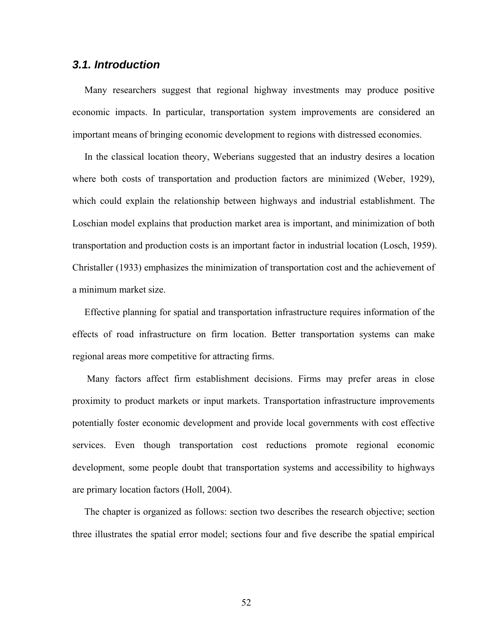### *3.1. Introduction*

 Many researchers suggest that regional highway investments may produce positive economic impacts. In particular, transportation system improvements are considered an important means of bringing economic development to regions with distressed economies.

 In the classical location theory, Weberians suggested that an industry desires a location where both costs of transportation and production factors are minimized (Weber, 1929), which could explain the relationship between highways and industrial establishment. The Loschian model explains that production market area is important, and minimization of both transportation and production costs is an important factor in industrial location (Losch, 1959). Christaller (1933) emphasizes the minimization of transportation cost and the achievement of a minimum market size.

 Effective planning for spatial and transportation infrastructure requires information of the effects of road infrastructure on firm location. Better transportation systems can make regional areas more competitive for attracting firms.

 Many factors affect firm establishment decisions. Firms may prefer areas in close proximity to product markets or input markets. Transportation infrastructure improvements potentially foster economic development and provide local governments with cost effective services. Even though transportation cost reductions promote regional economic development, some people doubt that transportation systems and accessibility to highways are primary location factors (Holl, 2004).

 The chapter is organized as follows: section two describes the research objective; section three illustrates the spatial error model; sections four and five describe the spatial empirical

52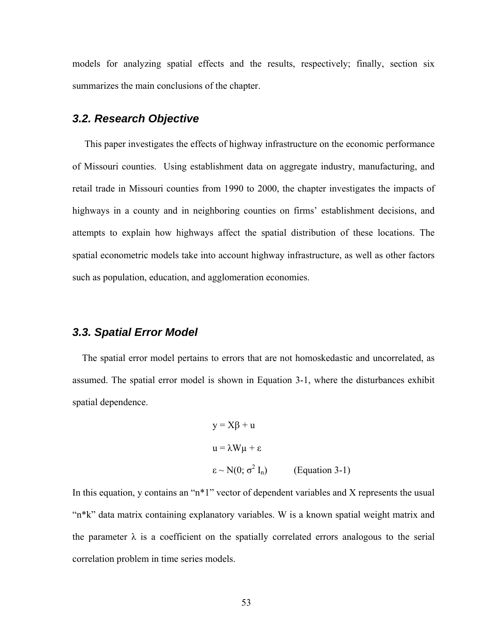models for analyzing spatial effects and the results, respectively; finally, section six summarizes the main conclusions of the chapter.

## *3.2. Research Objective*

 This paper investigates the effects of highway infrastructure on the economic performance of Missouri counties. Using establishment data on aggregate industry, manufacturing, and retail trade in Missouri counties from 1990 to 2000, the chapter investigates the impacts of highways in a county and in neighboring counties on firms' establishment decisions, and attempts to explain how highways affect the spatial distribution of these locations. The spatial econometric models take into account highway infrastructure, as well as other factors such as population, education, and agglomeration economies.

### *3.3. Spatial Error Model*

 The spatial error model pertains to errors that are not homoskedastic and uncorrelated, as assumed. The spatial error model is shown in Equation 3-1, where the disturbances exhibit spatial dependence.

$$
y = X\beta + u
$$
  
\n
$$
u = \lambda W\mu + \varepsilon
$$
  
\n
$$
\varepsilon \sim N(0; \sigma^2 I_n)
$$
 (Equation 3-1)

In this equation, y contains an "n\*1" vector of dependent variables and X represents the usual "n\*k" data matrix containing explanatory variables. W is a known spatial weight matrix and the parameter  $\lambda$  is a coefficient on the spatially correlated errors analogous to the serial correlation problem in time series models.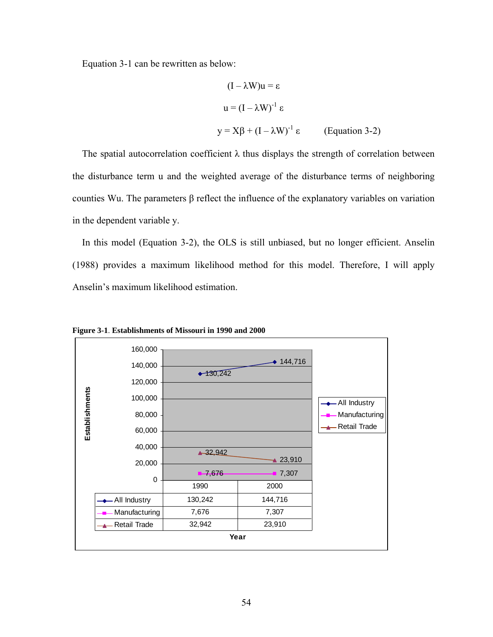Equation 3-1 can be rewritten as below:

$$
(I - \lambda W)u = \varepsilon
$$
  
 
$$
u = (I - \lambda W)^{-1} \varepsilon
$$
  
 
$$
y = X\beta + (I - \lambda W)^{-1} \varepsilon
$$
 (Equation 3-2)

The spatial autocorrelation coefficient  $\lambda$  thus displays the strength of correlation between the disturbance term u and the weighted average of the disturbance terms of neighboring counties Wu. The parameters β reflect the influence of the explanatory variables on variation in the dependent variable y.

 In this model (Equation 3-2), the OLS is still unbiased, but no longer efficient. Anselin (1988) provides a maximum likelihood method for this model. Therefore, I will apply Anselin's maximum likelihood estimation.



**Figure 3-1**. **Establishments of Missouri in 1990 and 2000**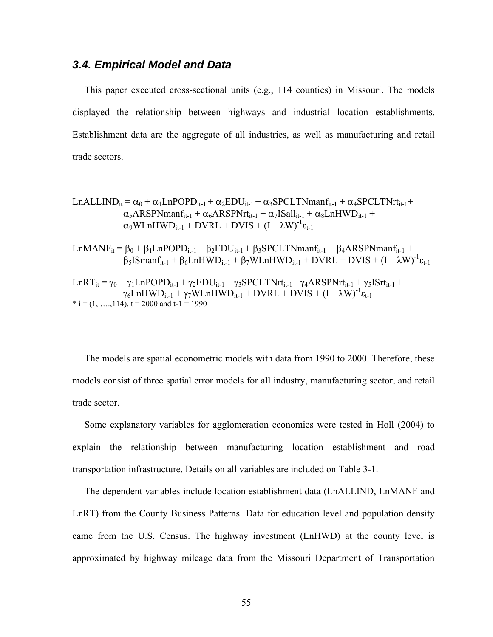### *3.4. Empirical Model and Data*

 This paper executed cross-sectional units (e.g., 114 counties) in Missouri. The models displayed the relationship between highways and industrial location establishments. Establishment data are the aggregate of all industries, as well as manufacturing and retail trade sectors.

$$
LnALLIND_{it} = \alpha_0 + \alpha_1 LnPOPD_{it-1} + \alpha_2 EDU_{it-1} + \alpha_3 SPCLTNmanf_{it-1} + \alpha_4 SPCLTNrt_{it-1} + \alpha_5 ARSPNmanf_{it-1} + \alpha_6 ARSPNrt_{it-1} + \alpha_7 ISall_{it-1} + \alpha_8 LnHWD_{it-1} + \alpha_9 WLnHWD_{it-1} + DVRL + DVIS + (I - \lambda W)^{-1} \epsilon_{t-1}
$$

LnMANF<sub>it</sub> =  $\beta_0 + \beta_1$ LnPOPD<sub>it-1</sub> +  $\beta_2$ EDU<sub>it-1</sub> +  $\beta_3$ SPCLTNmanf<sub>it-1</sub> +  $\beta_4$ ARSPNmanf<sub>it-1</sub> +  $\beta_5$ ISmanf<sub>it-1</sub> +  $\beta_6$ LnHWD<sub>it-1</sub> +  $\beta_7$ WLnHWD<sub>it-1</sub> + DVRL + DVIS +  $(I - \lambda W)^{-1} \epsilon_{t-1}$ 

LnRT<sub>it</sub> =  $\gamma_0$  +  $\gamma_1$ LnPOPD<sub>it-1</sub> +  $\gamma_2$ EDU<sub>it-1</sub> +  $\gamma_3$ SPCLTNrt<sub>it-1</sub> +  $\gamma_4$ ARSPNrt<sub>it-1</sub> +  $\gamma_5$ ISrt<sub>it-1</sub> +  $\gamma_6$ LnHWD<sub>it-1</sub> +  $\gamma_7$ WLnHWD<sub>it-1</sub> + DVRL + DVIS +  $(I - \lambda W)^{-1} \varepsilon_{t-1}$  $*$  i = (1, ..., 114), t = 2000 and t-1 = 1990

 The models are spatial econometric models with data from 1990 to 2000. Therefore, these models consist of three spatial error models for all industry, manufacturing sector, and retail trade sector.

 Some explanatory variables for agglomeration economies were tested in Holl (2004) to explain the relationship between manufacturing location establishment and road transportation infrastructure. Details on all variables are included on Table 3-1.

 The dependent variables include location establishment data (LnALLIND, LnMANF and LnRT) from the County Business Patterns. Data for education level and population density came from the U.S. Census. The highway investment (LnHWD) at the county level is approximated by highway mileage data from the Missouri Department of Transportation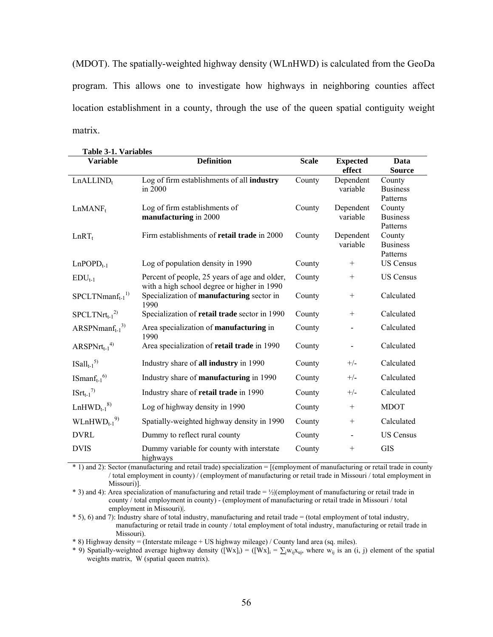(MDOT). The spatially-weighted highway density (WLnHWD) is calculated from the GeoDa program. This allows one to investigate how highways in neighboring counties affect location establishment in a county, through the use of the queen spatial contiguity weight matrix.

| <b>Table 3-1. Variables</b> |                                                                                              |              |                           |                                       |  |
|-----------------------------|----------------------------------------------------------------------------------------------|--------------|---------------------------|---------------------------------------|--|
| <b>Variable</b>             | <b>Definition</b>                                                                            | <b>Scale</b> | <b>Expected</b><br>effect | Data<br><b>Source</b>                 |  |
| LnALLIND <sub>t</sub>       | Log of firm establishments of all industry<br>in 2000                                        | County       | Dependent<br>variable     | County<br><b>Business</b><br>Patterns |  |
| $LnMAP_t$                   | Log of firm establishments of<br>manufacturing in 2000                                       | County       | Dependent<br>variable     | County<br><b>Business</b><br>Patterns |  |
| $LnRT_t$                    | Firm establishments of retail trade in 2000                                                  | County       | Dependent<br>variable     | County<br><b>Business</b><br>Patterns |  |
| $LnPOPD_{t-1}$              | Log of population density in 1990                                                            | County       | $^{+}$                    | <b>US Census</b>                      |  |
| $EDU_{t-1}$                 | Percent of people, 25 years of age and older,<br>with a high school degree or higher in 1990 | County       | $+$                       | <b>US Census</b>                      |  |
| $S PCLT N manf_{t-1}^{1}$   | Specialization of manufacturing sector in<br>1990                                            | County       | $^{+}$                    | Calculated                            |  |
| $S PCLT Nrt_{t-1}^{2)}$     | Specialization of retail trade sector in 1990                                                | County       | $^{+}$                    | Calculated                            |  |
| $ARSPNmanf_{t-1}^{3}$       | Area specialization of manufacturing in<br>1990                                              | County       |                           | Calculated                            |  |
| $ARSPNrt_{t-1}^{4}$         | Area specialization of retail trade in 1990                                                  | County       |                           | Calculated                            |  |
| $ISall_{t-1}^{5}$           | Industry share of all industry in 1990                                                       | County       | $+/-$                     | Calculated                            |  |
| $ISmanf_{t-1}^{(6)}$        | Industry share of manufacturing in 1990                                                      | County       | $+/-$                     | Calculated                            |  |
| $ISrt_{t-1}^{\eta}$         | Industry share of retail trade in 1990                                                       | County       | $+/-$                     | Calculated                            |  |
| $LnHWD_{t-1}^{8}$           | Log of highway density in 1990                                                               | County       | $^{+}$                    | <b>MDOT</b>                           |  |
| $WLnHWD_{t-1}^{9}$          | Spatially-weighted highway density in 1990                                                   | County       | $^{+}$                    | Calculated                            |  |
| <b>DVRL</b>                 | Dummy to reflect rural county                                                                | County       |                           | <b>US Census</b>                      |  |
| <b>DVIS</b>                 | Dummy variable for county with interstate<br>highways                                        | County       | $\qquad \qquad +$         | <b>GIS</b>                            |  |

\* 1) and 2): Sector (manufacturing and retail trade) specialization = [(employment of manufacturing or retail trade in county / total employment in county) / (employment of manufacturing or retail trade in Missouri / total employment in Missouri)].

\* 3) and 4): Area specialization of manufacturing and retail trade = ½|(employment of manufacturing or retail trade in county / total employment in county) - (employment of manufacturing or retail trade in Missouri / total employment in Missouri)|.

\* 5), 6) and 7): Industry share of total industry, manufacturing and retail trade = (total employment of total industry, manufacturing or retail trade in county / total employment of total industry, manufacturing or retail trade in Missouri).

\* 8) Highway density = (Interstate mileage + US highway mileage) / County land area (sq. miles).

\* 9) Spatially-weighted average highway density ([Wx]<sub>i</sub>) = ([Wx]<sub>i</sub> =  $\sum_{i} w_{ij}x_{ui}$ , where  $w_{ij}$  is an (i, j) element of the spatial weights matrix, W (spatial queen matrix).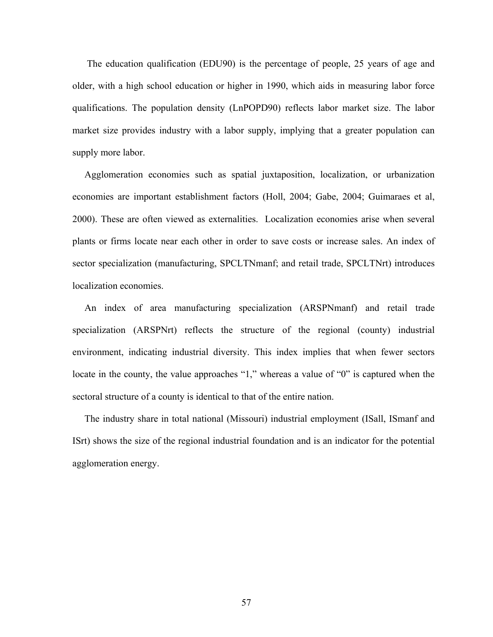The education qualification (EDU90) is the percentage of people, 25 years of age and older, with a high school education or higher in 1990, which aids in measuring labor force qualifications. The population density (LnPOPD90) reflects labor market size. The labor market size provides industry with a labor supply, implying that a greater population can supply more labor.

 Agglomeration economies such as spatial juxtaposition, localization, or urbanization economies are important establishment factors (Holl, 2004; Gabe, 2004; Guimaraes et al, 2000). These are often viewed as externalities.Localization economies arise when several plants or firms locate near each other in order to save costs or increase sales. An index of sector specialization (manufacturing, SPCLTNmanf; and retail trade, SPCLTNrt) introduces localization economies.

 An index of area manufacturing specialization (ARSPNmanf) and retail trade specialization (ARSPNrt) reflects the structure of the regional (county) industrial environment, indicating industrial diversity. This index implies that when fewer sectors locate in the county, the value approaches "1," whereas a value of "0" is captured when the sectoral structure of a county is identical to that of the entire nation.

 The industry share in total national (Missouri) industrial employment (ISall, ISmanf and ISrt) shows the size of the regional industrial foundation and is an indicator for the potential agglomeration energy.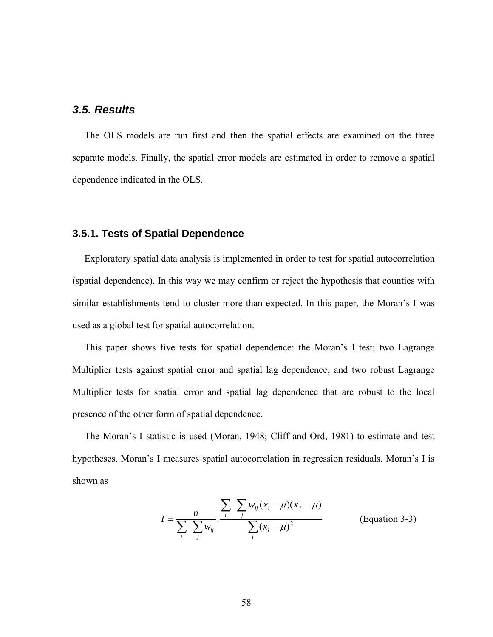### *3.5. Results*

 The OLS models are run first and then the spatial effects are examined on the three separate models. Finally, the spatial error models are estimated in order to remove a spatial dependence indicated in the OLS.

#### **3.5.1. Tests of Spatial Dependence**

 Exploratory spatial data analysis is implemented in order to test for spatial autocorrelation (spatial dependence). In this way we may confirm or reject the hypothesis that counties with similar establishments tend to cluster more than expected. In this paper, the Moran's I was used as a global test for spatial autocorrelation.

 This paper shows five tests for spatial dependence: the Moran's I test; two Lagrange Multiplier tests against spatial error and spatial lag dependence; and two robust Lagrange Multiplier tests for spatial error and spatial lag dependence that are robust to the local presence of the other form of spatial dependence.

 The Moran's I statistic is used (Moran, 1948; Cliff and Ord, 1981) to estimate and test hypotheses. Moran's I measures spatial autocorrelation in regression residuals. Moran's I is shown as

$$
I = \frac{n}{\sum_{i} \sum_{j} w_{ij}} \cdot \frac{\sum_{i} \sum_{j} w_{ij} (x_i - \mu)(x_j - \mu)}{\sum_{i} (x_i - \mu)^2}
$$
 (Equation 3-3)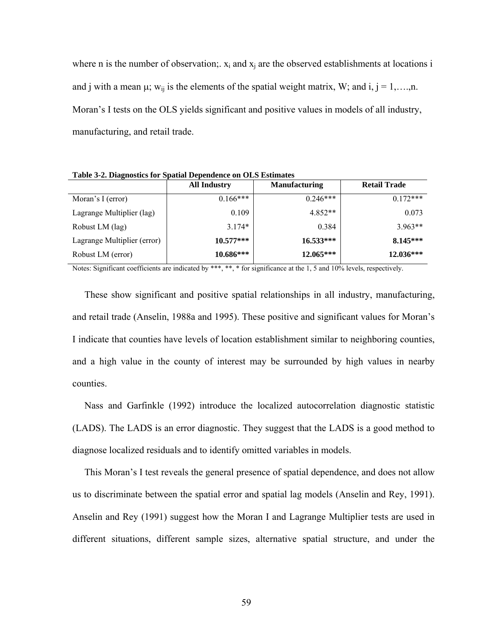where n is the number of observation;  $x_i$  and  $x_j$  are the observed establishments at locations i and j with a mean  $\mu$ ; w<sub>ij</sub> is the elements of the spatial weight matrix, W; and i, j = 1,…,n. Moran's I tests on the OLS yields significant and positive values in models of all industry, manufacturing, and retail trade.

**All Industry Manufacturing Retail Trade**  Moran's I (error) Lagrange Multiplier (lag) Robust LM (lag) Lagrange Multiplier (error) Robust LM (error)  $0.166***$ 0.109 3.174\* **10.577\*\*\* 10.686\*\*\*** 0.246\*\*\* 4.852\*\* 0.384 **16.533\*\*\* 12.065\*\*\***  $0.172***$ 0.073 3.963\*\* **8.145\*\*\* 12.036\*\*\***

**Table 3-2. Diagnostics for Spatial Dependence on OLS Estimates** 

Notes: Significant coefficients are indicated by \*\*\*, \*\*, \* for significance at the 1, 5 and 10% levels, respectively.

 These show significant and positive spatial relationships in all industry, manufacturing, and retail trade (Anselin, 1988a and 1995). These positive and significant values for Moran's I indicate that counties have levels of location establishment similar to neighboring counties, and a high value in the county of interest may be surrounded by high values in nearby counties.

 Nass and Garfinkle (1992) introduce the localized autocorrelation diagnostic statistic (LADS). The LADS is an error diagnostic. They suggest that the LADS is a good method to diagnose localized residuals and to identify omitted variables in models.

 This Moran's I test reveals the general presence of spatial dependence, and does not allow us to discriminate between the spatial error and spatial lag models (Anselin and Rey, 1991). Anselin and Rey (1991) suggest how the Moran I and Lagrange Multiplier tests are used in different situations, different sample sizes, alternative spatial structure, and under the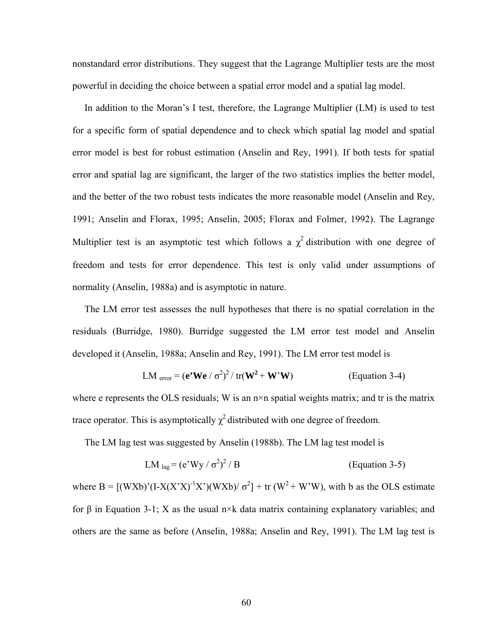nonstandard error distributions. They suggest that the Lagrange Multiplier tests are the most powerful in deciding the choice between a spatial error model and a spatial lag model.

 In addition to the Moran's I test, therefore, the Lagrange Multiplier (LM) is used to test for a specific form of spatial dependence and to check which spatial lag model and spatial error model is best for robust estimation (Anselin and Rey, 1991). If both tests for spatial error and spatial lag are significant, the larger of the two statistics implies the better model, and the better of the two robust tests indicates the more reasonable model (Anselin and Rey, 1991; Anselin and Florax, 1995; Anselin, 2005; Florax and Folmer, 1992). The Lagrange Multiplier test is an asymptotic test which follows a  $\chi^2$  distribution with one degree of freedom and tests for error dependence. This test is only valid under assumptions of normality (Anselin, 1988a) and is asymptotic in nature.

 The LM error test assesses the null hypotheses that there is no spatial correlation in the residuals (Burridge, 1980). Burridge suggested the LM error test model and Anselin developed it (Anselin, 1988a; Anselin and Rey, 1991). The LM error test model is

$$
LM_{error} = (e2We / \sigma2)2 / tr(W2 + W2W)
$$
 (Equation 3-4)

where e represents the OLS residuals; W is an n×n spatial weights matrix; and tr is the matrix trace operator. This is asymptotically  $\chi^2$  distributed with one degree of freedom.

The LM lag test was suggested by Anselin (1988b). The LM lag test model is

$$
LMlag = (e3Wy / \sigma2)2 / B
$$
 (Equation 3-5)

where B =  $[(WXb)'(I-X(X'X)^{-1}X')(WXb) / \sigma^2]$  + tr  $(W^2 + W'W)$ , with b as the OLS estimate for β in Equation 3-1; X as the usual n×k data matrix containing explanatory variables; and others are the same as before (Anselin, 1988a; Anselin and Rey, 1991). The LM lag test is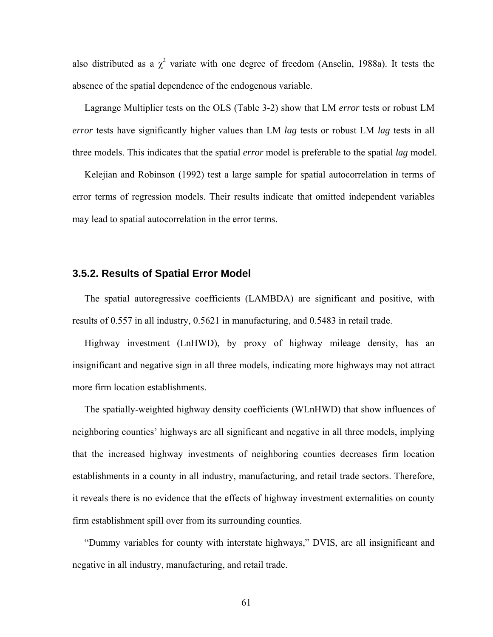also distributed as a  $\chi^2$  variate with one degree of freedom (Anselin, 1988a). It tests the absence of the spatial dependence of the endogenous variable.

 Lagrange Multiplier tests on the OLS (Table 3-2) show that LM *error* tests or robust LM *error* tests have significantly higher values than LM *lag* tests or robust LM *lag* tests in all three models. This indicates that the spatial *error* model is preferable to the spatial *lag* model.

 Kelejian and Robinson (1992) test a large sample for spatial autocorrelation in terms of error terms of regression models. Their results indicate that omitted independent variables may lead to spatial autocorrelation in the error terms.

#### **3.5.2. Results of Spatial Error Model**

 The spatial autoregressive coefficients (LAMBDA) are significant and positive, with results of 0.557 in all industry, 0.5621 in manufacturing, and 0.5483 in retail trade.

 Highway investment (LnHWD), by proxy of highway mileage density, has an insignificant and negative sign in all three models, indicating more highways may not attract more firm location establishments.

 The spatially-weighted highway density coefficients (WLnHWD) that show influences of neighboring counties' highways are all significant and negative in all three models, implying that the increased highway investments of neighboring counties decreases firm location establishments in a county in all industry, manufacturing, and retail trade sectors. Therefore, it reveals there is no evidence that the effects of highway investment externalities on county firm establishment spill over from its surrounding counties.

 "Dummy variables for county with interstate highways," DVIS, are all insignificant and negative in all industry, manufacturing, and retail trade.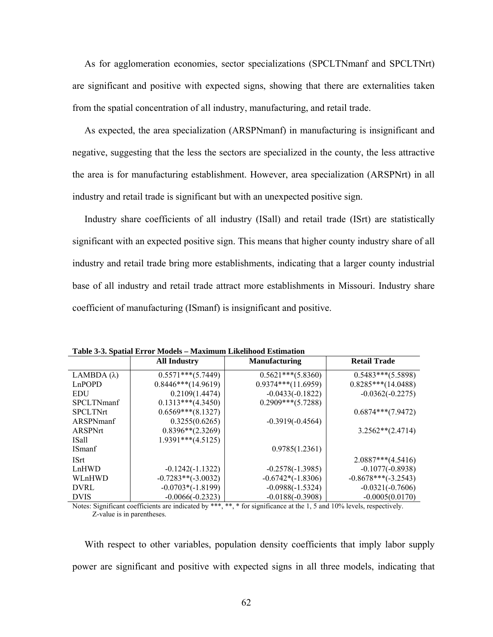As for agglomeration economies, sector specializations (SPCLTNmanf and SPCLTNrt) are significant and positive with expected signs, showing that there are externalities taken from the spatial concentration of all industry, manufacturing, and retail trade.

 As expected, the area specialization (ARSPNmanf) in manufacturing is insignificant and negative, suggesting that the less the sectors are specialized in the county, the less attractive the area is for manufacturing establishment. However, area specialization (ARSPNrt) in all industry and retail trade is significant but with an unexpected positive sign.

 Industry share coefficients of all industry (ISall) and retail trade (ISrt) are statistically significant with an expected positive sign. This means that higher county industry share of all industry and retail trade bring more establishments, indicating that a larger county industrial base of all industry and retail trade attract more establishments in Missouri. Industry share coefficient of manufacturing (ISmanf) is insignificant and positive.

|                    | <b>All Industry</b>  | <b>Manufacturing</b> | <b>Retail Trade</b>   |
|--------------------|----------------------|----------------------|-----------------------|
| LAMBDA $(\lambda)$ | $0.5571***(5.7449)$  | $0.5621***(5.8360)$  | $0.5483***(5.5898)$   |
| LnPOPD             | $0.8446***(14.9619)$ | $0.9374***(11.6959)$ | $0.8285***(14.0488)$  |
| EDU                | 0.2109(1.4474)       | $-0.0433(-0.1822)$   | $-0.0362(-0.2275)$    |
| <b>SPCLTNmanf</b>  | $0.1313***(4.3450)$  | $0.2909***(5.7288)$  |                       |
| <b>SPCLTNrt</b>    | $0.6569***$ (8.1327) |                      | $0.6874***(7.9472)$   |
| ARSPNmanf          | 0.3255(0.6265)       | $-0.3919(-0.4564)$   |                       |
| ARSPNrt            | $0.8396**$ (2.3269)  |                      | $3.2562**$ (2.4714)   |
| ISall              | $1.9391***(4.5125)$  |                      |                       |
| <b>ISmanf</b>      |                      | 0.9785(1.2361)       |                       |
| <b>ISrt</b>        |                      |                      | $2.0887***(4.5416)$   |
| LnHWD              | $-0.1242(-1.1322)$   | $-0.2578(-1.3985)$   | $-0.1077(-0.8938)$    |
| WLnHWD             | $-0.7283**(-3.0032)$ | $-0.6742*(-1.8306)$  | $-0.8678***(-3.2543)$ |
| <b>DVRL</b>        | $-0.0703*(-1.8199)$  | $-0.0988(-1.5324)$   | $-0.0321(-0.7606)$    |
| <b>DVIS</b>        | $-0.0066(-0.2323)$   | $-0.0188(-0.3908)$   | $-0.0005(0.0170)$     |

**Table 3-3. Spatial Error Models – Maximum Likelihood Estimation** 

Notes: Significant coefficients are indicated by \*\*\*, \*\*, \* for significance at the 1, 5 and 10% levels, respectively. Z-value is in parentheses.

With respect to other variables, population density coefficients that imply labor supply power are significant and positive with expected signs in all three models, indicating that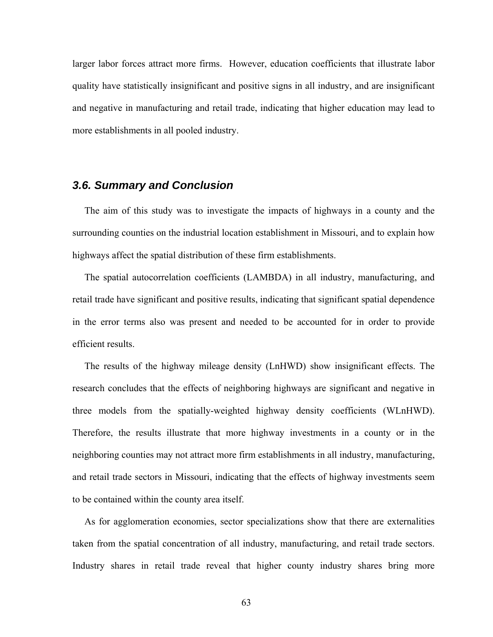larger labor forces attract more firms. However, education coefficients that illustrate labor quality have statistically insignificant and positive signs in all industry, and are insignificant and negative in manufacturing and retail trade, indicating that higher education may lead to more establishments in all pooled industry.

## *3.6. Summary and Conclusion*

 The aim of this study was to investigate the impacts of highways in a county and the surrounding counties on the industrial location establishment in Missouri, and to explain how highways affect the spatial distribution of these firm establishments.

 The spatial autocorrelation coefficients (LAMBDA) in all industry, manufacturing, and retail trade have significant and positive results, indicating that significant spatial dependence in the error terms also was present and needed to be accounted for in order to provide efficient results.

 The results of the highway mileage density (LnHWD) show insignificant effects. The research concludes that the effects of neighboring highways are significant and negative in three models from the spatially-weighted highway density coefficients (WLnHWD). Therefore, the results illustrate that more highway investments in a county or in the neighboring counties may not attract more firm establishments in all industry, manufacturing, and retail trade sectors in Missouri, indicating that the effects of highway investments seem to be contained within the county area itself.

 As for agglomeration economies, sector specializations show that there are externalities taken from the spatial concentration of all industry, manufacturing, and retail trade sectors. Industry shares in retail trade reveal that higher county industry shares bring more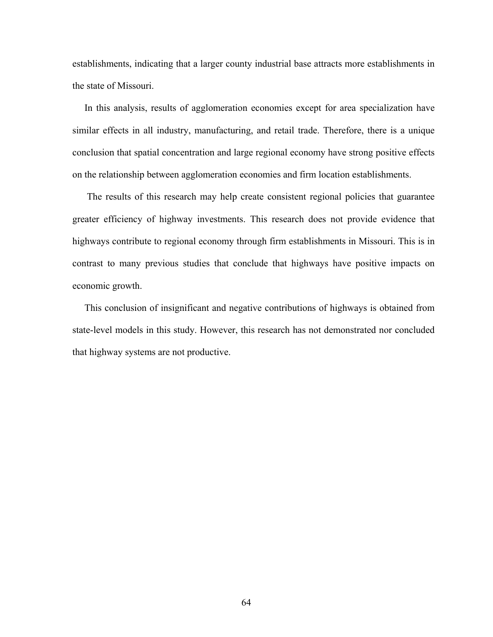establishments, indicating that a larger county industrial base attracts more establishments in the state of Missouri.

 In this analysis, results of agglomeration economies except for area specialization have similar effects in all industry, manufacturing, and retail trade. Therefore, there is a unique conclusion that spatial concentration and large regional economy have strong positive effects on the relationship between agglomeration economies and firm location establishments.

 The results of this research may help create consistent regional policies that guarantee greater efficiency of highway investments. This research does not provide evidence that highways contribute to regional economy through firm establishments in Missouri. This is in contrast to many previous studies that conclude that highways have positive impacts on economic growth.

 This conclusion of insignificant and negative contributions of highways is obtained from state-level models in this study. However, this research has not demonstrated nor concluded that highway systems are not productive.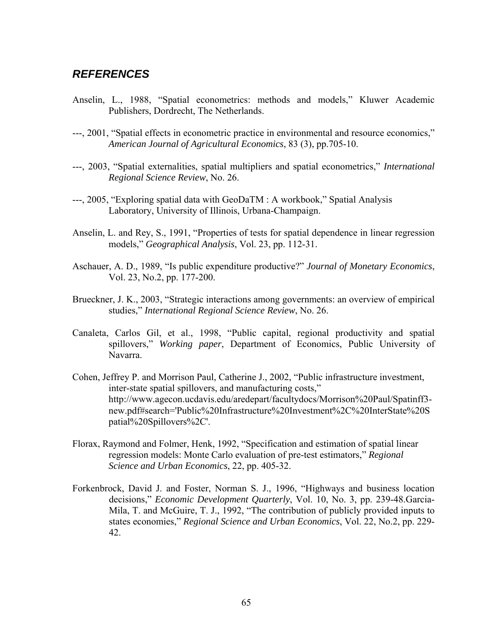## *REFERENCES*

- Anselin, L., 1988, "Spatial econometrics: methods and models," Kluwer Academic Publishers, Dordrecht, The Netherlands.
- ---, 2001, "Spatial effects in econometric practice in environmental and resource economics," *American Journal of Agricultural Economics*, 83 (3), pp.705-10.
- ---, 2003, "Spatial externalities, spatial multipliers and spatial econometrics," *International Regional Science Review*, No. 26.
- ---, 2005, "Exploring spatial data with GeoDaTM : A workbook," Spatial Analysis Laboratory, University of Illinois, Urbana-Champaign.
- Anselin, L. and Rey, S., 1991, "Properties of tests for spatial dependence in linear regression models," *Geographical Analysis*, Vol. 23, pp. 112-31.
- Aschauer, A. D., 1989, "Is public expenditure productive?" *Journal of Monetary Economics*, Vol. 23, No.2, pp. 177-200.
- Brueckner, J. K., 2003, "Strategic interactions among governments: an overview of empirical studies," *International Regional Science Review*, No. 26.
- Canaleta, Carlos Gil, et al., 1998, "Public capital, regional productivity and spatial spillovers," *Working paper*, Department of Economics, Public University of Navarra.
- Cohen, Jeffrey P. and Morrison Paul, Catherine J., 2002, "Public infrastructure investment, inter-state spatial spillovers, and manufacturing costs," http://www.agecon.ucdavis.edu/aredepart/facultydocs/Morrison%20Paul/Spatinff3 new.pdf#search='Public%20Infrastructure%20Investment%2C%20InterState%20S patial%20Spillovers%2C'.
- Florax, Raymond and Folmer, Henk, 1992, "Specification and estimation of spatial linear regression models: Monte Carlo evaluation of pre-test estimators," *Regional Science and Urban Economics*, 22, pp. 405-32.
- Forkenbrock, David J. and Foster, Norman S. J., 1996, "Highways and business location decisions," *Economic Development Quarterly*, Vol. 10, No. 3, pp. 239-48.Garcia-Mila, T. and McGuire, T. J., 1992, "The contribution of publicly provided inputs to states economies," *Regional Science and Urban Economics*, Vol. 22, No.2, pp. 229- 42.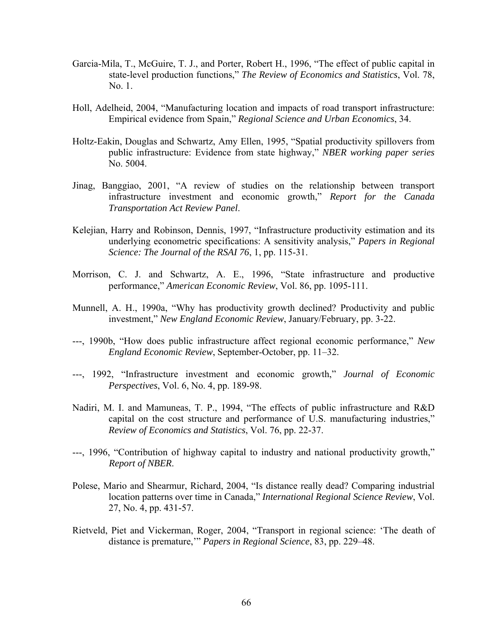- Garcia-Mila, T., McGuire, T. J., and Porter, Robert H., 1996, "The effect of public capital in state-level production functions," *The Review of Economics and Statistics*, Vol. 78, No. 1.
- Holl, Adelheid, 2004, "Manufacturing location and impacts of road transport infrastructure: Empirical evidence from Spain," *Regional Science and Urban Economics*, 34.
- Holtz-Eakin, Douglas and Schwartz, Amy Ellen, 1995, "Spatial productivity spillovers from public infrastructure: Evidence from state highway," *NBER working paper series* No. 5004.
- Jinag, Banggiao, 2001, "A review of studies on the relationship between transport infrastructure investment and economic growth," *Report for the Canada Transportation Act Review Panel*.
- Kelejian, Harry and Robinson, Dennis, 1997, "Infrastructure productivity estimation and its underlying econometric specifications: A sensitivity analysis," *Papers in Regional Science: The Journal of the RSAI 76*, 1, pp. 115-31.
- Morrison, C. J. and Schwartz, A. E., 1996, "State infrastructure and productive performance," *American Economic Review*, Vol. 86, pp. 1095-111.
- Munnell, A. H., 1990a, "Why has productivity growth declined? Productivity and public investment," *New England Economic Review*, January/February, pp. 3-22.
- ---, 1990b, "How does public infrastructure affect regional economic performance," *New England Economic Review*, September-October, pp. 11–32.
- ---, 1992, "Infrastructure investment and economic growth," *Journal of Economic Perspectives*, Vol. 6, No. 4, pp. 189-98.
- Nadiri, M. I. and Mamuneas, T. P., 1994, "The effects of public infrastructure and R&D capital on the cost structure and performance of U.S. manufacturing industries," *Review of Economics and Statistics*, Vol. 76, pp. 22-37.
- ---, 1996, "Contribution of highway capital to industry and national productivity growth," *Report of NBER*.
- Polese, Mario and Shearmur, Richard, 2004, "Is distance really dead? Comparing industrial location patterns over time in Canada," *International Regional Science Review*, Vol. 27, No. 4, pp. 431-57.
- Rietveld, Piet and Vickerman, Roger, 2004, "Transport in regional science: 'The death of distance is premature,'" *Papers in Regional Science*, 83, pp. 229–48.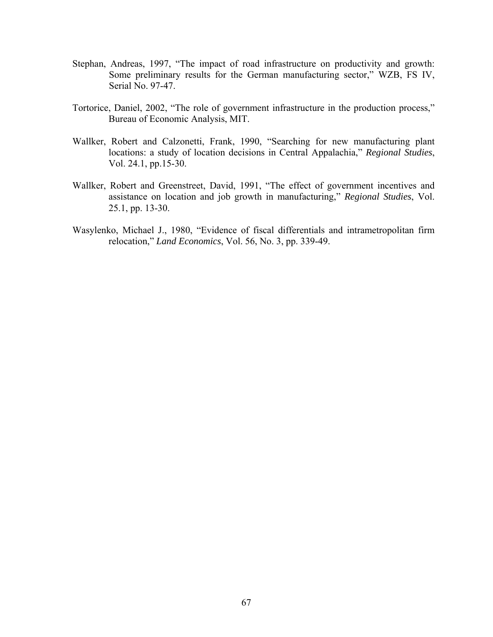- Stephan, Andreas, 1997, "The impact of road infrastructure on productivity and growth: Some preliminary results for the German manufacturing sector," WZB, FS IV, Serial No. 97-47.
- Tortorice, Daniel, 2002, "The role of government infrastructure in the production process," Bureau of Economic Analysis, MIT.
- Wallker, Robert and Calzonetti, Frank, 1990, "Searching for new manufacturing plant locations: a study of location decisions in Central Appalachia," *Regional Studies*, Vol. 24.1, pp.15-30.
- Wallker, Robert and Greenstreet, David, 1991, "The effect of government incentives and assistance on location and job growth in manufacturing," *Regional Studies*, Vol. 25.1, pp. 13-30.
- Wasylenko, Michael J., 1980, "Evidence of fiscal differentials and intrametropolitan firm relocation," *Land Economics*, Vol. 56, No. 3, pp. 339-49.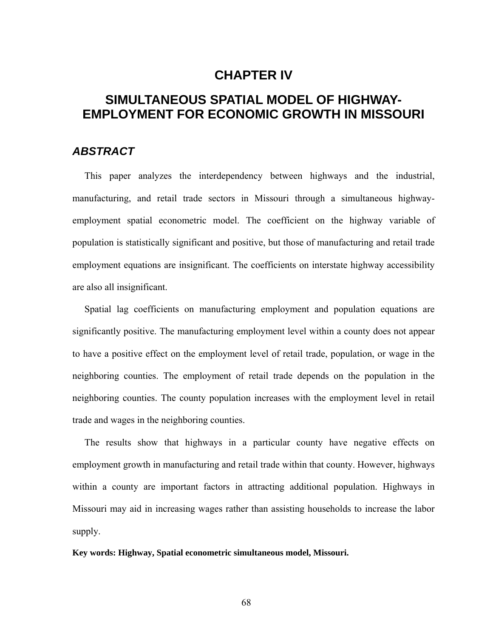## **CHAPTER IV**

# **SIMULTANEOUS SPATIAL MODEL OF HIGHWAY-EMPLOYMENT FOR ECONOMIC GROWTH IN MISSOURI**

## *ABSTRACT*

 This paper analyzes the interdependency between highways and the industrial, manufacturing, and retail trade sectors in Missouri through a simultaneous highwayemployment spatial econometric model. The coefficient on the highway variable of population is statistically significant and positive, but those of manufacturing and retail trade employment equations are insignificant. The coefficients on interstate highway accessibility are also all insignificant.

 Spatial lag coefficients on manufacturing employment and population equations are significantly positive. The manufacturing employment level within a county does not appear to have a positive effect on the employment level of retail trade, population, or wage in the neighboring counties. The employment of retail trade depends on the population in the neighboring counties. The county population increases with the employment level in retail trade and wages in the neighboring counties.

 The results show that highways in a particular county have negative effects on employment growth in manufacturing and retail trade within that county. However, highways within a county are important factors in attracting additional population. Highways in Missouri may aid in increasing wages rather than assisting households to increase the labor supply.

#### **Key words: Highway, Spatial econometric simultaneous model, Missouri.**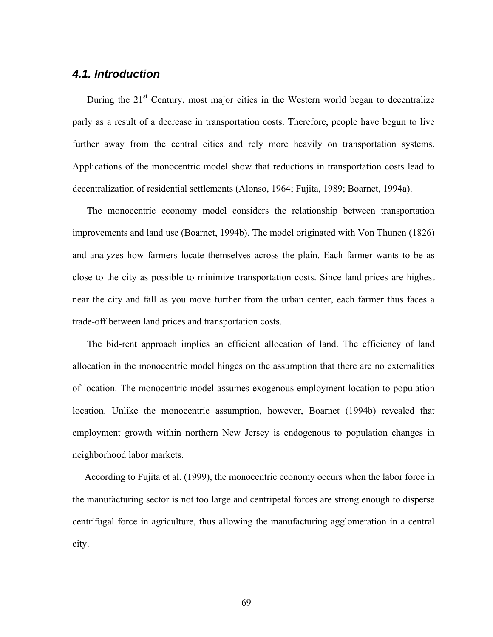## *4.1. Introduction*

During the  $21<sup>st</sup>$  Century, most major cities in the Western world began to decentralize parly as a result of a decrease in transportation costs. Therefore, people have begun to live further away from the central cities and rely more heavily on transportation systems. Applications of the monocentric model show that reductions in transportation costs lead to decentralization of residential settlements (Alonso, 1964; Fujita, 1989; Boarnet, 1994a).

 The monocentric economy model considers the relationship between transportation improvements and land use (Boarnet, 1994b). The model originated with Von Thunen (1826) and analyzes how farmers locate themselves across the plain. Each farmer wants to be as close to the city as possible to minimize transportation costs. Since land prices are highest near the city and fall as you move further from the urban center, each farmer thus faces a trade-off between land prices and transportation costs.

The bid-rent approach implies an efficient allocation of land. The efficiency of land allocation in the monocentric model hinges on the assumption that there are no externalities of location. The monocentric model assumes exogenous employment location to population location. Unlike the monocentric assumption, however, Boarnet (1994b) revealed that employment growth within northern New Jersey is endogenous to population changes in neighborhood labor markets.

 According to Fujita et al. (1999), the monocentric economy occurs when the labor force in the manufacturing sector is not too large and centripetal forces are strong enough to disperse centrifugal force in agriculture, thus allowing the manufacturing agglomeration in a central city.

69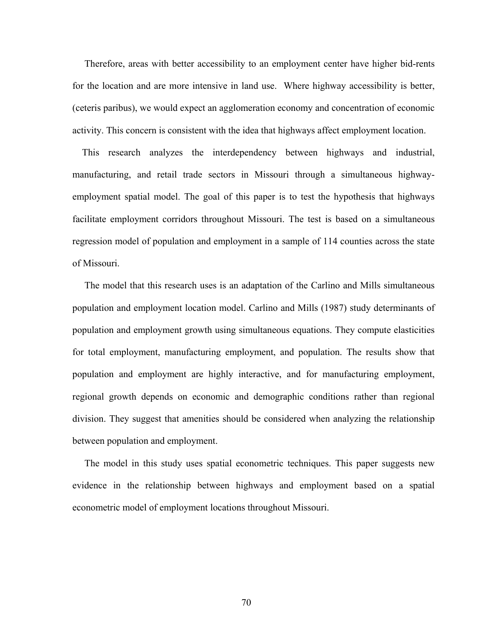Therefore, areas with better accessibility to an employment center have higher bid-rents for the location and are more intensive in land use. Where highway accessibility is better, (ceteris paribus), we would expect an agglomeration economy and concentration of economic activity. This concern is consistent with the idea that highways affect employment location.

 This research analyzes the interdependency between highways and industrial, manufacturing, and retail trade sectors in Missouri through a simultaneous highwayemployment spatial model. The goal of this paper is to test the hypothesis that highways facilitate employment corridors throughout Missouri. The test is based on a simultaneous regression model of population and employment in a sample of 114 counties across the state of Missouri.

 The model that this research uses is an adaptation of the Carlino and Mills simultaneous population and employment location model. Carlino and Mills (1987) study determinants of population and employment growth using simultaneous equations. They compute elasticities for total employment, manufacturing employment, and population. The results show that population and employment are highly interactive, and for manufacturing employment, regional growth depends on economic and demographic conditions rather than regional division. They suggest that amenities should be considered when analyzing the relationship between population and employment.

 The model in this study uses spatial econometric techniques. This paper suggests new evidence in the relationship between highways and employment based on a spatial econometric model of employment locations throughout Missouri.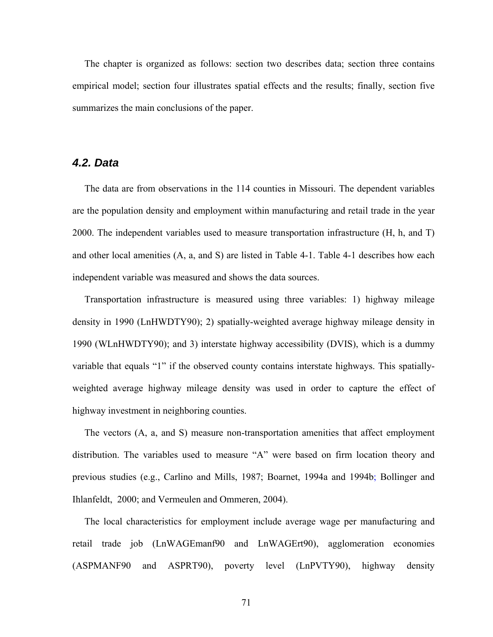The chapter is organized as follows: section two describes data; section three contains empirical model; section four illustrates spatial effects and the results; finally, section five summarizes the main conclusions of the paper.

### *4.2. Data*

 The data are from observations in the 114 counties in Missouri. The dependent variables are the population density and employment within manufacturing and retail trade in the year 2000. The independent variables used to measure transportation infrastructure (H, h, and T) and other local amenities (A, a, and S) are listed in Table 4-1. Table 4-1 describes how each independent variable was measured and shows the data sources.

 Transportation infrastructure is measured using three variables: 1) highway mileage density in 1990 (LnHWDTY90); 2) spatially-weighted average highway mileage density in 1990 (WLnHWDTY90); and 3) interstate highway accessibility (DVIS), which is a dummy variable that equals "1" if the observed county contains interstate highways. This spatiallyweighted average highway mileage density was used in order to capture the effect of highway investment in neighboring counties.

 The vectors (A, a, and S) measure non-transportation amenities that affect employment distribution. The variables used to measure "A" were based on firm location theory and previous studies (e.g., Carlino and Mills, 1987; Boarnet, 1994a and 1994b; Bollinger and Ihlanfeldt, 2000; and Vermeulen and Ommeren, 2004).

 The local characteristics for employment include average wage per manufacturing and retail trade job (LnWAGEmanf90 and LnWAGErt90), agglomeration economies (ASPMANF90 and ASPRT90), poverty level (LnPVTY90), highway density

71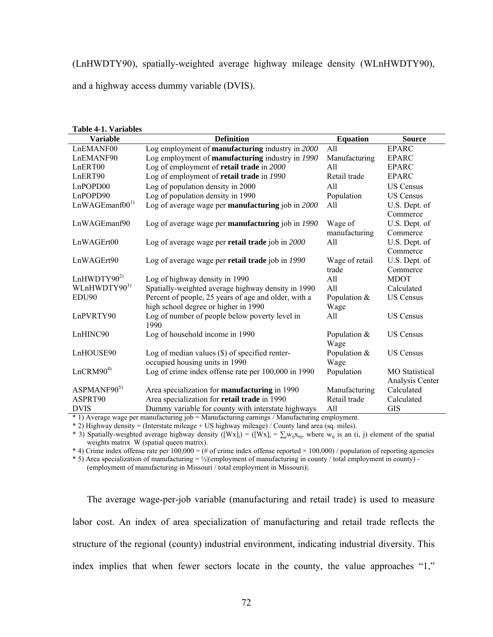(LnHWDTY90), spatially-weighted average highway mileage density (WLnHWDTY90),

and a highway access dummy variable (DVIS).

| <b>Table 4-1. Variables</b> |                                                         |                 |                       |  |  |  |  |  |
|-----------------------------|---------------------------------------------------------|-----------------|-----------------------|--|--|--|--|--|
| <b>Variable</b>             | <b>Definition</b>                                       | <b>Equation</b> | <b>Source</b>         |  |  |  |  |  |
| LnEMANF00                   | Log employment of <b>manufacturing</b> industry in 2000 | All             | <b>EPARC</b>          |  |  |  |  |  |
| LnEMANF90                   | Log employment of manufacturing industry in 1990        | Manufacturing   | <b>EPARC</b>          |  |  |  |  |  |
| LnERT00                     | Log of employment of retail trade in 2000               | All             | <b>EPARC</b>          |  |  |  |  |  |
| LnERT90                     | Log of employment of retail trade in 1990               | Retail trade    | <b>EPARC</b>          |  |  |  |  |  |
| LnPOPD00                    | Log of population density in 2000                       | A11             | <b>US Census</b>      |  |  |  |  |  |
| LnPOPD90                    | Log of population density in 1990                       | Population      | <b>US Census</b>      |  |  |  |  |  |
| LnWAGEmanf00 <sup>1</sup>   | Log of average wage per manufacturing job in 2000       | All             | U.S. Dept. of         |  |  |  |  |  |
|                             |                                                         |                 | Commerce              |  |  |  |  |  |
| LnWAGEmanf90                | Log of average wage per manufacturing job in 1990       | Wage of         | U.S. Dept. of         |  |  |  |  |  |
|                             |                                                         | manufacturing   | Commerce              |  |  |  |  |  |
| LnWAGErt00                  | Log of average wage per retail trade job in 2000        | All             | U.S. Dept. of         |  |  |  |  |  |
|                             |                                                         |                 | Commerce              |  |  |  |  |  |
| LnWAGErt90                  | Log of average wage per retail trade job in 1990        | Wage of retail  | U.S. Dept. of         |  |  |  |  |  |
|                             |                                                         | trade           | Commerce              |  |  |  |  |  |
| LnHWDTY90 <sup>2)</sup>     | Log of highway density in 1990                          | All             | <b>MDOT</b>           |  |  |  |  |  |
| WLnHWDTY903)                | Spatially-weighted average highway density in 1990      | A11             | Calculated            |  |  |  |  |  |
| EDU90                       | Percent of people, 25 years of age and older, with a    | Population &    | <b>US Census</b>      |  |  |  |  |  |
|                             | high school degree or higher in 1990                    | Wage            |                       |  |  |  |  |  |
| LnPVRTY90                   | Log of number of people below poverty level in          | All             | <b>US Census</b>      |  |  |  |  |  |
|                             | 1990                                                    |                 |                       |  |  |  |  |  |
| LnHINC90                    | Log of household income in 1990                         | Population &    | <b>US Census</b>      |  |  |  |  |  |
|                             |                                                         | Wage            |                       |  |  |  |  |  |
| LnHOUSE90                   | Log of median values $(\$)$ of specified renter-        | Population &    | <b>US Census</b>      |  |  |  |  |  |
|                             | occupied housing units in 1990                          | Wage            |                       |  |  |  |  |  |
| LnCRM90 <sup>4</sup>        | Log of crime index offense rate per 100,000 in 1990     | Population      | <b>MO</b> Statistical |  |  |  |  |  |
|                             |                                                         |                 | Analysis Center       |  |  |  |  |  |
| ASPMANF90 <sup>5)</sup>     | Area specialization for <b>manufacturing</b> in 1990    | Manufacturing   | Calculated            |  |  |  |  |  |
| ASPRT90                     | Area specialization for retail trade in 1990            | Retail trade    | Calculated            |  |  |  |  |  |
| <b>DVIS</b>                 | Dummy variable for county with interstate highways      | All             | <b>GIS</b>            |  |  |  |  |  |

\* 1) Average wage per manufacturing job = Manufacturing earnings / Manufacturing employment.

\* 2) Highway density = (Interstate mileage + US highway mileage) / County land area (sq. miles).

\* 3) Spatially-weighted average highway density  $([Wx]_i) = ([Wx]_i = \sum_i w_{ii}x_{ui}$ , where  $w_{ii}$  is an (i, j) element of the spatial weights matrix W (spatial queen matrix).

\* 4) Crime index offense rate per  $100,000 = (\#$  of crime index offense reported  $\times 100,000$  / population of reporting agencies

 $*$  5) Area specialization of manufacturing = ½ $|$ (employment of manufacturing in county / total employment in county) -

(employment of manufacturing in Missouri / total employment in Missouri)|.

The average wage-per-job variable (manufacturing and retail trade) is used to measure labor cost. An index of area specialization of manufacturing and retail trade reflects the structure of the regional (county) industrial environment, indicating industrial diversity. This index implies that when fewer sectors locate in the county, the value approaches "1,"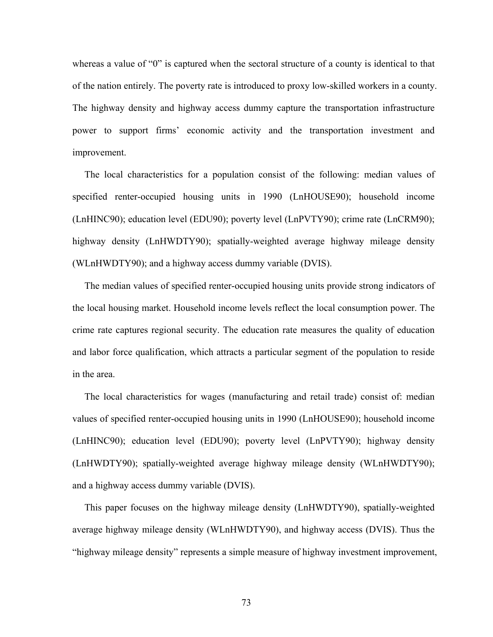whereas a value of "0" is captured when the sectoral structure of a county is identical to that of the nation entirely. The poverty rate is introduced to proxy low-skilled workers in a county. The highway density and highway access dummy capture the transportation infrastructure power to support firms' economic activity and the transportation investment and improvement.

 The local characteristics for a population consist of the following: median values of specified renter-occupied housing units in 1990 (LnHOUSE90); household income (LnHINC90); education level (EDU90); poverty level (LnPVTY90); crime rate (LnCRM90); highway density (LnHWDTY90); spatially-weighted average highway mileage density (WLnHWDTY90); and a highway access dummy variable (DVIS).

 The median values of specified renter-occupied housing units provide strong indicators of the local housing market. Household income levels reflect the local consumption power. The crime rate captures regional security. The education rate measures the quality of education and labor force qualification, which attracts a particular segment of the population to reside in the area.

 The local characteristics for wages (manufacturing and retail trade) consist of: median values of specified renter-occupied housing units in 1990 (LnHOUSE90); household income (LnHINC90); education level (EDU90); poverty level (LnPVTY90); highway density (LnHWDTY90); spatially-weighted average highway mileage density (WLnHWDTY90); and a highway access dummy variable (DVIS).

 This paper focuses on the highway mileage density (LnHWDTY90), spatially-weighted average highway mileage density (WLnHWDTY90), and highway access (DVIS). Thus the "highway mileage density" represents a simple measure of highway investment improvement,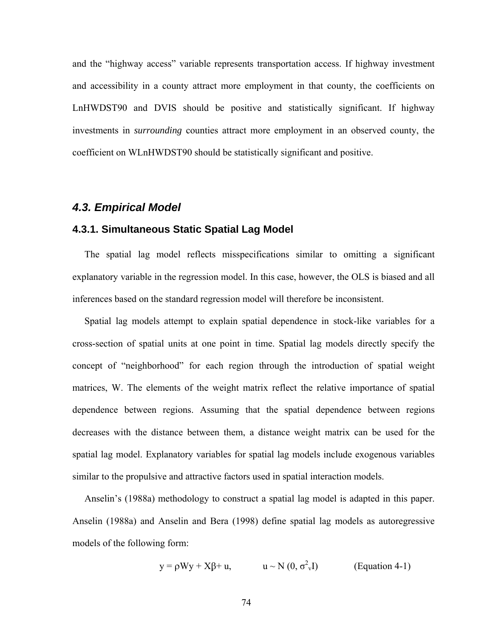and the "highway access" variable represents transportation access. If highway investment and accessibility in a county attract more employment in that county, the coefficients on LnHWDST90 and DVIS should be positive and statistically significant. If highway investments in *surrounding* counties attract more employment in an observed county, the coefficient on WLnHWDST90 should be statistically significant and positive.

## *4.3. Empirical Model*

#### **4.3.1. Simultaneous Static Spatial Lag Model**

 The spatial lag model reflects misspecifications similar to omitting a significant explanatory variable in the regression model. In this case, however, the OLS is biased and all inferences based on the standard regression model will therefore be inconsistent.

 Spatial lag models attempt to explain spatial dependence in stock-like variables for a cross-section of spatial units at one point in time. Spatial lag models directly specify the concept of "neighborhood" for each region through the introduction of spatial weight matrices, W. The elements of the weight matrix reflect the relative importance of spatial dependence between regions. Assuming that the spatial dependence between regions decreases with the distance between them, a distance weight matrix can be used for the spatial lag model. Explanatory variables for spatial lag models include exogenous variables similar to the propulsive and attractive factors used in spatial interaction models.

 Anselin's (1988a) methodology to construct a spatial lag model is adapted in this paper. Anselin (1988a) and Anselin and Bera (1998) define spatial lag models as autoregressive models of the following form:

$$
y = \rho Wy + X\beta + u,
$$
  $u \sim N(0, \sigma_v^2 I)$  (Equation 4-1)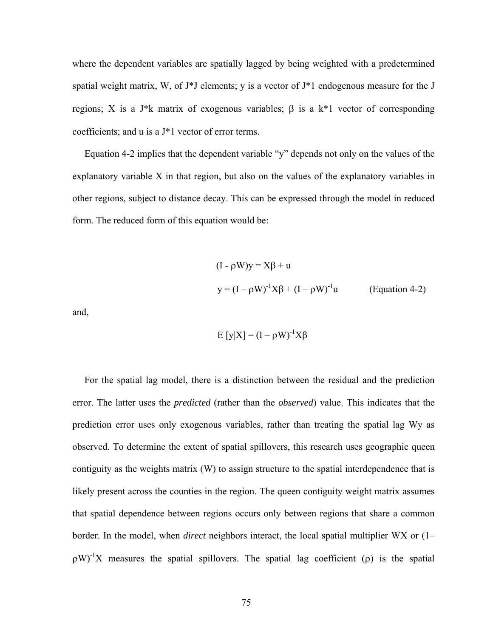where the dependent variables are spatially lagged by being weighted with a predetermined spatial weight matrix, W, of J\*J elements; y is a vector of J\*1 endogenous measure for the J regions; X is a J\*k matrix of exogenous variables;  $\beta$  is a k\*1 vector of corresponding coefficients; and u is a J\*1 vector of error terms.

 Equation 4-2 implies that the dependent variable "y" depends not only on the values of the explanatory variable X in that region, but also on the values of the explanatory variables in other regions, subject to distance decay. This can be expressed through the model in reduced form. The reduced form of this equation would be:

$$
(I - \rho W)y = X\beta + u
$$
  

$$
y = (I - \rho W)^{-1}X\beta + (I - \rho W)^{-1}u
$$
 (Equation 4-2)

and,

$$
E[y|X] = (I - \rho W)^{-1} X\beta
$$

 For the spatial lag model, there is a distinction between the residual and the prediction error. The latter uses the *predicted* (rather than the *observed*) value. This indicates that the prediction error uses only exogenous variables, rather than treating the spatial lag Wy as observed. To determine the extent of spatial spillovers, this research uses geographic queen contiguity as the weights matrix (W) to assign structure to the spatial interdependence that is likely present across the counties in the region. The queen contiguity weight matrix assumes that spatial dependence between regions occurs only between regions that share a common border. In the model, when *direct* neighbors interact, the local spatial multiplier WX or (1–  $\rho W$ <sup>-1</sup>X measures the spatial spillovers. The spatial lag coefficient ( $\rho$ ) is the spatial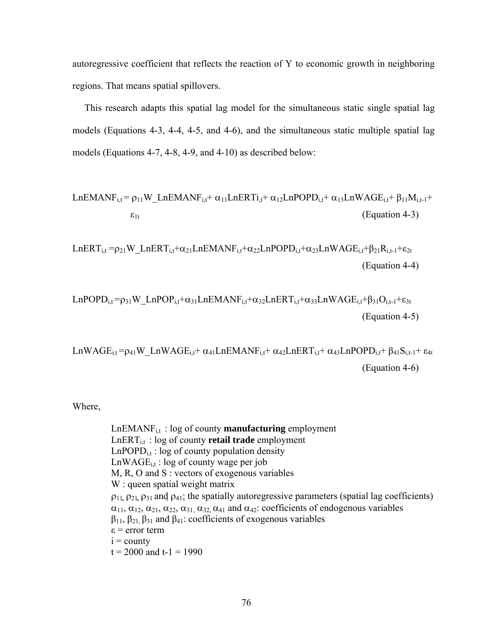autoregressive coefficient that reflects the reaction of Y to economic growth in neighboring regions. That means spatial spillovers.

 This research adapts this spatial lag model for the simultaneous static single spatial lag models (Equations 4-3, 4-4, 4-5, and 4-6), and the simultaneous static multiple spatial lag models (Equations 4-7, 4-8, 4-9, and 4-10) as described below:

$$
LnEMANF_{i,t} = \rho_{11}W\_LnEMANF_{i,t} + \alpha_{11}LnERTi_{,t} + \alpha_{12}LnPOPD_{i,t} + \alpha_{13}LnWAGE_{i,t} + \beta_{11}M_{i,t-1} + \epsilon_{1t}
$$
\n(Equation 4-3)

LnERT<sub>i,t</sub> =  $\rho_{21}$ W\_LnERT<sub>i,t</sub>+ $\alpha_{21}$ LnEMANF<sub>i,t</sub>+ $\alpha_{22}$ LnPOPD<sub>i,t</sub>+ $\alpha_{23}$ LnWAGE<sub>i,t</sub>+ $\beta_{21}R_{i,t-1}$ + $\epsilon_{2t}$ (Equation 4-4)

$$
LnPOPD_{i,t} = \rho_{31}W\_LnPOP_{i,t} + \alpha_{31}LnEMANF_{i,t} + \alpha_{32}LnERT_{i,t} + \alpha_{33}LnWAGE_{i,t} + \beta_{31}O_{i,t-1} + \epsilon_{3t}
$$
\n
$$
(Equation 4-5)
$$

LnWAGE<sub>i,t</sub>= $\rho_{41}$ W\_LnWAGE<sub>i,t</sub>+  $\alpha_{41}$ LnEMANF<sub>i,t</sub>+  $\alpha_{42}$ LnERT<sub>i,t</sub>+  $\alpha_{43}$ LnPOPD<sub>i,t</sub>+  $\beta_{41}S_{i,t-1}$ +  $\epsilon_{4t}$ (Equation 4-6)

Where,

 LnEMANFi,t : log of county **manufacturing** employment LnERTi,t : log of county **retail trade** employment  $LnPOPD_{i,t}$ : log of county population density  $LnWAGE_{i,t}$ : log of county wage per job M, R, O and S : vectors of exogenous variables W : queen spatial weight matrix  $\rho_{11}$ ,  $\rho_{21}$ ,  $\rho_{31}$  and  $\rho_{41}$ ; the spatially autoregressive parameters (spatial lag coefficients)  $\alpha_{11}, \alpha_{12}, \alpha_{21}, \alpha_{22}, \alpha_{31}, \alpha_{32}, \alpha_{41}$  and  $\alpha_{42}$ : coefficients of endogenous variables  $β<sub>11</sub>, β<sub>21</sub>, β<sub>31</sub>$  and  $β<sub>41</sub>$ : coefficients of exogenous variables  $\varepsilon$  = error term  $i =$  county  $t = 2000$  and  $t-1 = 1990$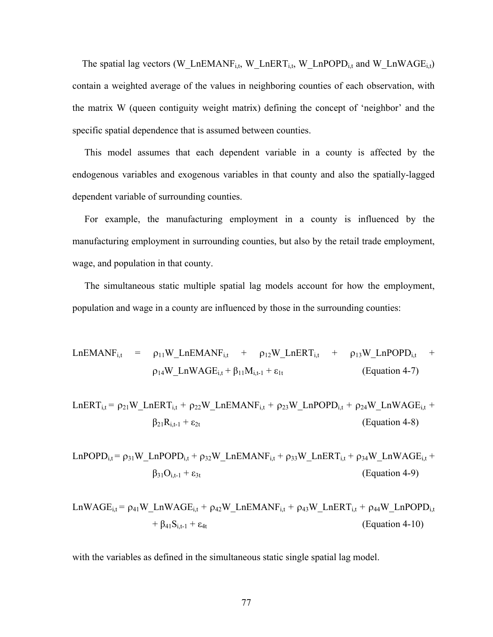The spatial lag vectors (W\_LnEMANF<sub>i,t</sub>, W\_LnERT<sub>i,t</sub>, W\_LnPOPD<sub>i,t</sub> and W\_LnWAGE<sub>i,t</sub>) contain a weighted average of the values in neighboring counties of each observation, with the matrix W (queen contiguity weight matrix) defining the concept of 'neighbor' and the specific spatial dependence that is assumed between counties.

 This model assumes that each dependent variable in a county is affected by the endogenous variables and exogenous variables in that county and also the spatially-lagged dependent variable of surrounding counties.

 For example, the manufacturing employment in a county is influenced by the manufacturing employment in surrounding counties, but also by the retail trade employment, wage, and population in that county.

 The simultaneous static multiple spatial lag models account for how the employment, population and wage in a county are influenced by those in the surrounding counties:

$$
LnEMANF_{i,t} = \rho_{11}W_LnEMANF_{i,t} + \rho_{12}W_LnERT_{i,t} + \rho_{13}W_LnPOPD_{i,t} + \rho_{14}W_LnWAGE_{i,t} + \beta_{11}M_{i,t-1} + \epsilon_{1t}
$$
 (Equation 4-7)

$$
LnERT_{i,t} = \rho_{21}W_LnERT_{i,t} + \rho_{22}W_LnEMANF_{i,t} + \rho_{23}W_LnPOPD_{i,t} + \rho_{24}W_LnWAGE_{i,t} + \beta_{21}R_{i,t-1} + \epsilon_{2t}
$$
\n(Equation 4-8)

$$
LnPOPD_{i,t} = \rho_{31}W\_LnPOPD_{i,t} + \rho_{32}W\_LnEMANF_{i,t} + \rho_{33}W\_LnERT_{i,t} + \rho_{34}W\_LnWAGE_{i,t} + \beta_{31}O_{i,t-1} + \epsilon_{3t}
$$
\n(Equation 4-9)

$$
LnWAGE_{i,t} = \rho_{41}W\_LnWAGE_{i,t} + \rho_{42}W\_LnEMANF_{i,t} + \rho_{43}W\_LnERT_{i,t} + \rho_{44}W\_LnPOPD_{i,t} + \beta_{41}S_{i,t-1} + \epsilon_{4t}
$$
\n(Equation 4-10)

with the variables as defined in the simultaneous static single spatial lag model.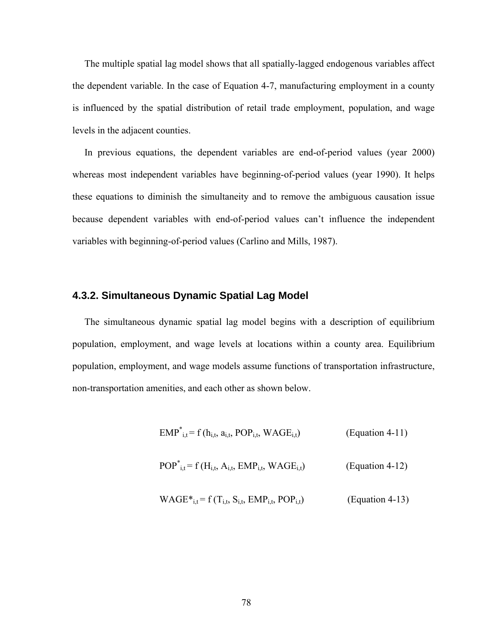The multiple spatial lag model shows that all spatially-lagged endogenous variables affect the dependent variable. In the case of Equation 4-7, manufacturing employment in a county is influenced by the spatial distribution of retail trade employment, population, and wage levels in the adjacent counties.

 In previous equations, the dependent variables are end-of-period values (year 2000) whereas most independent variables have beginning-of-period values (year 1990). It helps these equations to diminish the simultaneity and to remove the ambiguous causation issue because dependent variables with end-of-period values can't influence the independent variables with beginning-of-period values (Carlino and Mills, 1987).

### **4.3.2. Simultaneous Dynamic Spatial Lag Model**

 The simultaneous dynamic spatial lag model begins with a description of equilibrium population, employment, and wage levels at locations within a county area. Equilibrium population, employment, and wage models assume functions of transportation infrastructure, non-transportation amenities, and each other as shown below.

$$
EMP^*_{i,t} = f(h_{i,t}, a_{i,t}, POP_{i,t}, WAGE_{i,t})
$$
 (Equation 4-11)

$$
POP^*_{i,t} = f(H_{i,t}, A_{i,t}, EMP_{i,t}, WAGE_{i,t})
$$
 (Equation 4-12)

$$
WAGE*_{i,t} = f(T_{i,t}, S_{i,t}, EMP_{i,t}, POP_{i,t})
$$
 (Equation 4-13)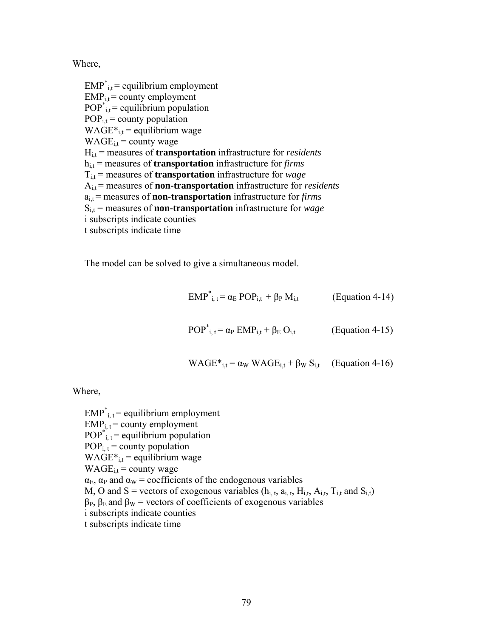Where,

 $EMP^*_{i,t}$  = equilibrium employment  $EMP_{i,t}$  = county employment  $POP^*_{i,t} = \text{equilibrium population}$  $POP_{i,t} = county$  population  $WAGE*_{i,t} =$  equilibrium wage  $WAGE_{i,t} = county \text{ wage}$  Hi,t = measures of **transportation** infrastructure for *residents* hi,t = measures of **transportation** infrastructure for *firms* Ti,t = measures of **transportation** infrastructure for *wage* A<sub>i,t</sub> = measures of **non-transportation** infrastructure for *residents*  ai,t = measures of **non-transportation** infrastructure for *firms* Si,t = measures of **non-transportation** infrastructure for *wage* i subscripts indicate counties t subscripts indicate time

The model can be solved to give a simultaneous model.

 $EMP^*_{i,t} = \alpha_E POP_{i,t} + \beta_P M_{i,t}$  (Equation 4-14)

$$
POP*i, t = \alpha_P EMPi,t + \beta_E Oi,t
$$
 (Equation 4-15)

$$
WAGE*_{i,t} = \alpha_W WAGE_{i,t} + \beta_W S_{i,t}
$$
 (Equation 4-16)

Where,

 $EMP^*_{i,t}$  = equilibrium employment  $EMP_{i, t}$  = county employment  $POP^*_{i,t} = equilibrium$  population  $POP_{i,t} = county$  population  $WAGE*_{i,t} =$  equilibrium wage  $WAGE_{i,t} =$  county wage  $\alpha_{\rm E}$ ,  $\alpha_{\rm P}$  and  $\alpha_{\rm W}$  = coefficients of the endogenous variables M, O and S = vectors of exogenous variables  $(h<sub>i,t</sub>, a<sub>i,t</sub>, H<sub>i,t</sub>, A<sub>i,t</sub>, T<sub>i,t</sub>$  and  $S<sub>i,t</sub>$ )  $β<sub>P</sub>, β<sub>E</sub>$  and  $β<sub>W</sub>$  = vectors of coefficients of exogenous variables i subscripts indicate counties t subscripts indicate time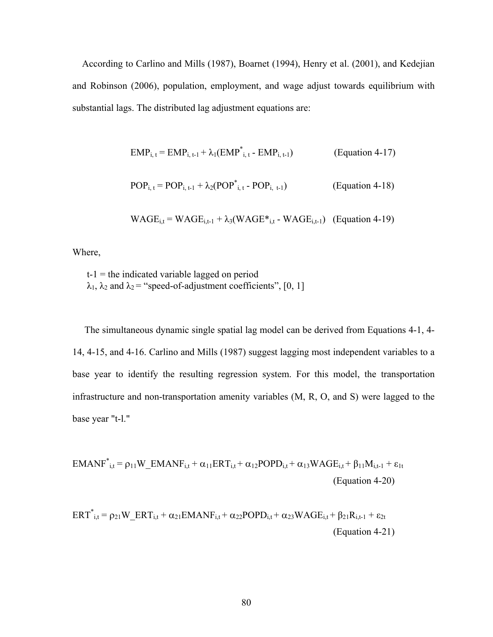According to Carlino and Mills (1987), Boarnet (1994), Henry et al. (2001), and Kedejian and Robinson (2006), population, employment, and wage adjust towards equilibrium with substantial lags. The distributed lag adjustment equations are:

$$
EMP_{i, t} = EMP_{i, t-1} + \lambda_1 (EMP^*_{i, t} - EMP_{i, t-1})
$$
 (Equation 4-17)

$$
POP_{i, t} = POP_{i, t-1} + \lambda_2 (POP^*_{i, t} - POP_{i, t-1})
$$
 (Equation 4-18)

$$
WAGE_{i,t} = WAGE_{i,t-1} + \lambda_3(WAGE^*_{i,t} - WAGE_{i,t-1})
$$
 (Equation 4-19)

Where,

 $t-1$  = the indicated variable lagged on period  $\lambda_1$ ,  $\lambda_2$  and  $\lambda_2$  = "speed-of-adjustment coefficients", [0, 1]

 The simultaneous dynamic single spatial lag model can be derived from Equations 4-1, 4- 14, 4-15, and 4-16. Carlino and Mills (1987) suggest lagging most independent variables to a base year to identify the resulting regression system. For this model, the transportation infrastructure and non-transportation amenity variables (M, R, O, and S) were lagged to the base year "t-l."

$$
EMANF^*_{i,t} = \rho_{11}W\_EMANF_{i,t} + \alpha_{11}ERT_{i,t} + \alpha_{12}POPD_{i,t} + \alpha_{13} WAGE_{i,t} + \beta_{11}M_{i,t-1} + \epsilon_{1t}
$$
\n(Equation 4-20)

$$
ERT_{i,t}^{*} = \rho_{21}W\_ERT_{i,t} + \alpha_{21}EMANF_{i,t} + \alpha_{22}POPD_{i,t} + \alpha_{23}WAGE_{i,t} + \beta_{21}R_{i,t-1} + \epsilon_{2t}
$$
\n
$$
(Equation 4-21)
$$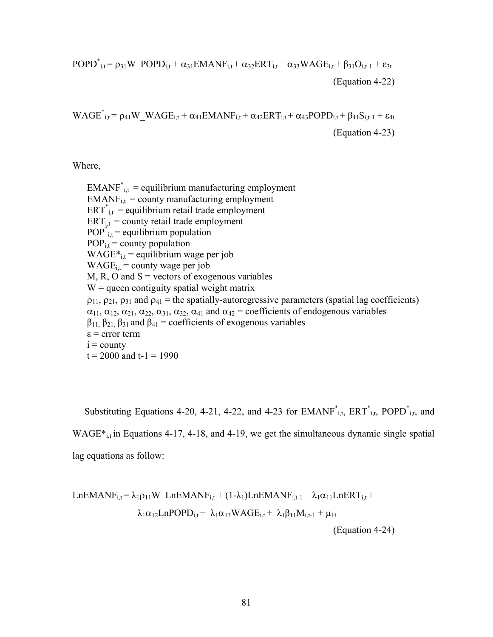POPD\* i,t = ρ31W\_POPDi,t + α31EMANFi,t + α32ERTi,t + α33WAGEi,t + β31Oi,t-1 + ε3t (Equation 4-22)

 $WAGE^*_{i,t} = \rho_{41}W_WAGE_{i,t} + \alpha_{41}EMANF_{i,t} + \alpha_{42}ERT_{i,t} + \alpha_{43}POPD_{i,t} + \beta_{41}S_{i,t-1} + \epsilon_{4t}$ (Equation 4-23)

Where,

 $EMANF^*_{i,t}$  = equilibrium manufacturing employment  $EMANF_{i,t} =$  county manufacturing employment  $ERT^*_{i,t}$  = equilibrium retail trade employment  $ERT_{i,t}$  = county retail trade employment  $POP^*_{i,t} = \text{equilibrium population}$  $POP_{i,t} = county$  population WAGE $*_i$ <sub>i,t</sub> = equilibrium wage per job  $WAGE_{i,t} = \text{county wage per job}$  $M$ , R, O and S = vectors of exogenous variables  $W =$  queen contiguity spatial weight matrix  $\rho_{11}$ ,  $\rho_{21}$ ,  $\rho_{31}$  and  $\rho_{41}$  = the spatially-autoregressive parameters (spatial lag coefficients)  $\alpha_{11}, \alpha_{12}, \alpha_{21}, \alpha_{22}, \alpha_{31}, \alpha_{32}, \alpha_{41}$  and  $\alpha_{42}$  = coefficients of endogenous variables  $β_{11}$ ,  $β_{21}$ ,  $β_{31}$  and  $β_{41}$  = coefficients of exogenous variables  $\varepsilon$  = error term  $i =$  county  $t = 2000$  and  $t-1 = 1990$ 

Substituting Equations 4-20, 4-21, 4-22, and 4-23 for  $EMANF^*_{i,t}$ ,  $ERT^*_{i,t}$ , POPD $^*_{i,t}$ , and  $WAGE*_{it}$  in Equations 4-17, 4-18, and 4-19, we get the simultaneous dynamic single spatial lag equations as follow:

LnEMANFi,t = λ1ρ11W\_LnEMANFi,t + (1-λ1)LnEMANFi,t-1 + λ1α11LnERTi,t + λ1α12LnPOPDi,t + λ1α13WAGEi,t + λ1β11Mi,t-1 + µ1t (Equation 4-24)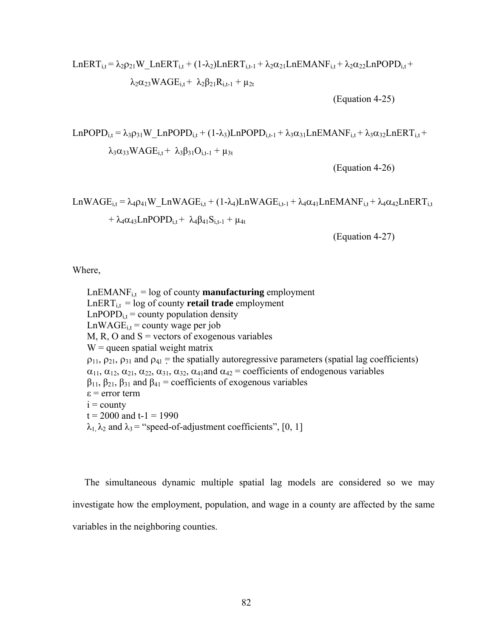$$
LnERT_{i,t} = \lambda_2 \rho_{21} W\_LnERT_{i,t} + (1-\lambda_2) LnERT_{i,t-1} + \lambda_2 \alpha_{21} LnEMANF_{i,t} + \lambda_2 \alpha_{22} LnPOPD_{i,t} + \lambda_2 \alpha_{23} WAGE_{i,t} + \lambda_2 \beta_{21} R_{i,t-1} + \mu_{2t}
$$

(Equation 4-25)

LnPOPD<sub>i,t</sub> =  $\lambda_3 \rho_{31} W$  LnPOPD<sub>i,t</sub> + (1- $\lambda_3$ )LnPOPD<sub>i,t-1</sub> +  $\lambda_3 \alpha_{31} L$ nEMANF<sub>i,t</sub> +  $\lambda_3 \alpha_{32} L$ nERT<sub>i,t</sub> +  $\lambda_3 \alpha_{33} W \text{AGE}_{i} + \lambda_3 \beta_{31} \text{O}_{i,j+1} + \mu_{3j}$ 

(Equation 4-26)

LnWAGE<sub>i,t</sub> =  $\lambda_4 \rho_{41}$ W\_LnWAGE<sub>i,t</sub> + (1- $\lambda_4$ )LnWAGE<sub>i,t-1</sub> +  $\lambda_4 \alpha_{41}$ LnEMANF<sub>i,t</sub> +  $\lambda_4 \alpha_{42}$ LnERT<sub>i,t</sub> +  $\lambda_4 \alpha_{43}$ LnPOPD<sub>i,t</sub> +  $\lambda_4 \beta_{41} S_{i,t-1}$  +  $\mu_{4t}$ 

(Equation 4-27)

Where,

 $LnEMANF<sub>i,t</sub> = log of county **manufacturing** employment$  $LnERT_{i,t} = log of county$  **retail trade** employment  $LnPOPD_{i,t} = county$  population density  $LnWAGE_{i,t} = county$  wage per job  $M$ , R, O and S = vectors of exogenous variables  $W =$  queen spatial weight matrix  $\rho_{11}$ ,  $\rho_{21}$ ,  $\rho_{31}$  and  $\rho_{41}$  = the spatially autoregressive parameters (spatial lag coefficients)  $\alpha_{11}, \alpha_{12}, \alpha_{21}, \alpha_{22}, \alpha_{31}, \alpha_{32}, \alpha_{41}$  and  $\alpha_{42}$  = coefficients of endogenous variables  $β<sub>11</sub>, β<sub>21</sub>, β<sub>31</sub>$  and  $β<sub>41</sub> = coefficients of exogenous variables$ ε = error term  $i =$  county  $t = 2000$  and  $t-1 = 1990$  $\lambda_1, \lambda_2$  and  $\lambda_3$  = "speed-of-adjustment coefficients", [0, 1]

 The simultaneous dynamic multiple spatial lag models are considered so we may investigate how the employment, population, and wage in a county are affected by the same variables in the neighboring counties.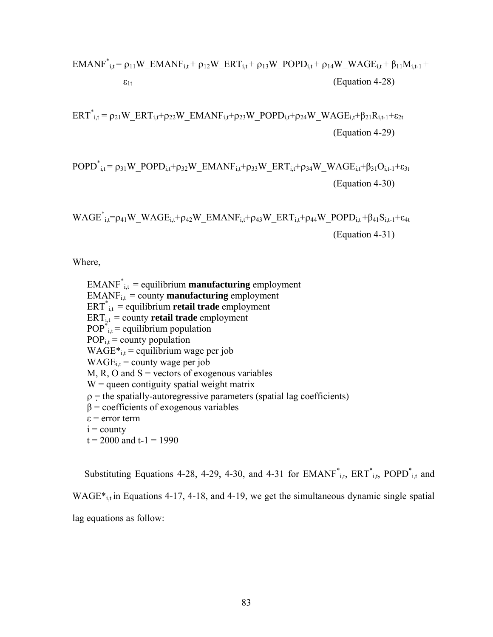$$
EMANF*i,t = ρ11W–EMANFi,t + ρ12W–ERTi,t + ρ13W–POPDi,t + ρ14W–WAGEi,t + β11Mi,t-1 + ε1t
$$
\n(Equation 4-28)

$$
ERT^*_{i,t} = \rho_{21}W\_ERT_{i,t} + \rho_{22}W\_EMANF_{i,t} + \rho_{23}W\_POPD_{i,t} + \rho_{24}W\_WAGE_{i,t} + \beta_{21}R_{i,t-1} + \epsilon_{2t}
$$
\n(Equation 4-29)

$$
POPD*i,t = ρ31W-POPDi,t + ρ32W-EMANFi,t + ρ33W-ERTi,t + ρ34W-WAGEi,t + β31Oi,t-1 + ε3t
$$
\n(Equation 4-30)

 $WAGE^*_{i,t} = \rho_{41}W_WAGE_{i,t} + \rho_{42}W_EMANF_{i,t} + \rho_{43}W_ERT_{i,t} + \rho_{44}W_POPD_{i,t} + \beta_{41}S_{i,t-1} + \epsilon_{4t}$ (Equation 4-31)

Where,

EMANF\* i,t = equilibrium **manufacturing** employment  $EMANF_{i,t} =$  county **manufacturing** employment ERT\* i,t = equilibrium **retail trade** employment  $ERT_{i,t}$  = county **retail trade** employment  $POP^*_{i,t} = \text{equilibrium population}$  $POP_{i,t} = county$  population  $WAGE*_{i,t} =$  equilibrium wage per job  $WAGE_{i,t} = \text{county wage per job}$  $M$ , R, O and S = vectors of exogenous variables  $W =$  queen contiguity spatial weight matrix  $\rho$  = the spatially-autoregressive parameters (spatial lag coefficients)  $β = coefficients of exogenous variables$  $\varepsilon$  = error term  $i =$  county  $t = 2000$  and  $t-1 = 1990$ 

Substituting Equations 4-28, 4-29, 4-30, and 4-31 for  $EMANF^*_{i,t}$ ,  $ERT^*_{i,t}$ ,  $POPD^*_{i,t}$  and  $WAGE*_{i,t}$  in Equations 4-17, 4-18, and 4-19, we get the simultaneous dynamic single spatial lag equations as follow: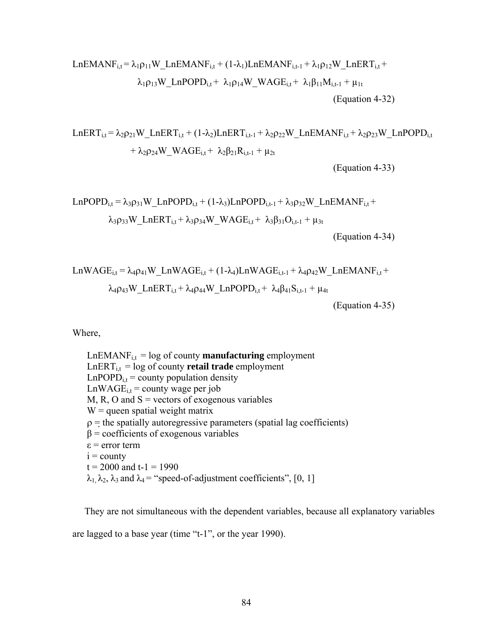$$
LnEMANF_{i,t} = \lambda_1 \rho_{11} W_L nEMANF_{i,t} + (1 - \lambda_1) LnEMANF_{i,t-1} + \lambda_1 \rho_{12} W_L nERT_{i,t} + \lambda_1 \rho_{13} W_L nPOPD_{i,t} + \lambda_1 \rho_{14} W_L WAGE_{i,t} + \lambda_1 \beta_{11} M_{i,t-1} + \mu_{1t}
$$
\n(Equation 4-32)

$$
\begin{aligned}[t] LnERT_{i,t} & = \lambda_2 \rho_{21} W\_LnERT_{i,t} + (1-\lambda_2) LnERT_{i,t-1} + \lambda_2 \rho_{22} W\_LnEMANF_{i,t} + \lambda_2 \rho_{23} W\_LnPOPD_{i,t} \\ & + \lambda_2 \rho_{24} W\_WAGE_{i,t} + \ \lambda_2 \beta_{21} R_{i,t-1} + \mu_{2t} \end{aligned}
$$

(Equation 4-33)

$$
LnPOPD_{i,t} = \lambda_3 \rho_{31} W\_LnPOPD_{i,t} + (1-\lambda_3) Ln POPD_{i,t-1} + \lambda_3 \rho_{32} W\_LnEMANF_{i,t} + \lambda_3 \rho_{33} W\_LnERT_{i,t} + \lambda_3 \rho_{34} W\_WAGE_{i,t} + \lambda_3 \beta_{31} O_{i,t-1} + \mu_{3t}
$$

(Equation 4-34)

$$
LnWAGE_{i,t} = \lambda_4 \rho_{41} W\_LnWAGE_{i,t} + (1-\lambda_4) LnWAGE_{i,t-1} + \lambda_4 \rho_{42} W\_LnEMANF_{i,t} +\lambda_4 \rho_{43} W\_LnERT_{i,t} + \lambda_4 \rho_{44} W\_LnPOPD_{i,t} + \lambda_4 \beta_{41} S_{i,t-1} + \mu_{4t}
$$

(Equation 4-35)

Where,

 $LnEMANF<sub>i,t</sub> = log of county **manufacturing** employment$  $LnERT_{i,t} = log of count$  **retail trade** employment  $LnPOPD_{i,t} = county$  population density  $LnWAGE_{i,t} = county$  wage per job M, R, O and  $S =$  vectors of exogenous variables  $W =$  queen spatial weight matrix  $\rho$  = the spatially autoregressive parameters (spatial lag coefficients)  $β = coefficients of exogenous variables$ ε = error term  $i =$  county  $t = 2000$  and  $t-1 = 1990$  $\lambda_1, \lambda_2, \lambda_3$  and  $\lambda_4$  = "speed-of-adjustment coefficients", [0, 1]

 They are not simultaneous with the dependent variables, because all explanatory variables are lagged to a base year (time "t-1", or the year 1990).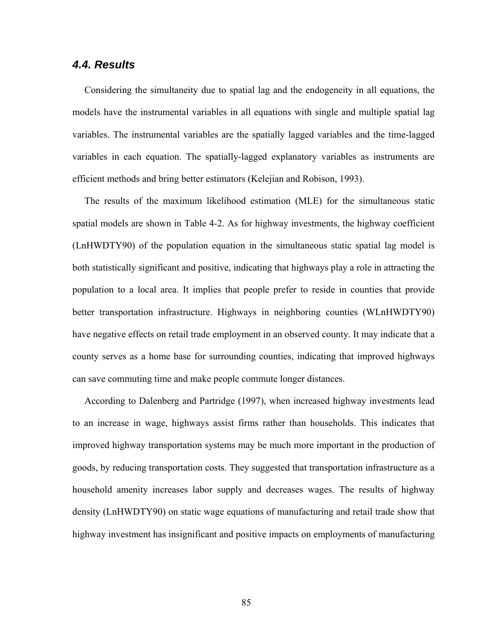## *4.4. Results*

 Considering the simultaneity due to spatial lag and the endogeneity in all equations, the models have the instrumental variables in all equations with single and multiple spatial lag variables. The instrumental variables are the spatially lagged variables and the time-lagged variables in each equation. The spatially-lagged explanatory variables as instruments are efficient methods and bring better estimators (Kelejian and Robison, 1993).

 The results of the maximum likelihood estimation (MLE) for the simultaneous static spatial models are shown in Table 4-2. As for highway investments, the highway coefficient (LnHWDTY90) of the population equation in the simultaneous static spatial lag model is both statistically significant and positive, indicating that highways play a role in attracting the population to a local area. It implies that people prefer to reside in counties that provide better transportation infrastructure. Highways in neighboring counties (WLnHWDTY90) have negative effects on retail trade employment in an observed county. It may indicate that a county serves as a home base for surrounding counties, indicating that improved highways can save commuting time and make people commute longer distances.

 According to Dalenberg and Partridge (1997), when increased highway investments lead to an increase in wage, highways assist firms rather than households. This indicates that improved highway transportation systems may be much more important in the production of goods, by reducing transportation costs. They suggested that transportation infrastructure as a household amenity increases labor supply and decreases wages. The results of highway density (LnHWDTY90) on static wage equations of manufacturing and retail trade show that highway investment has insignificant and positive impacts on employments of manufacturing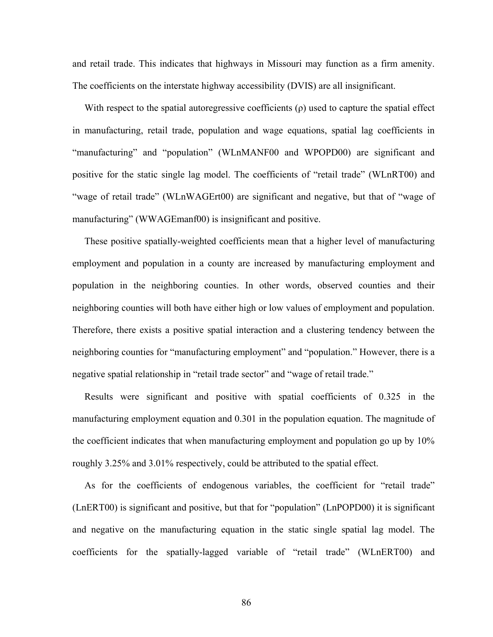and retail trade. This indicates that highways in Missouri may function as a firm amenity. The coefficients on the interstate highway accessibility (DVIS) are all insignificant.

With respect to the spatial autoregressive coefficients  $(\rho)$  used to capture the spatial effect in manufacturing, retail trade, population and wage equations, spatial lag coefficients in "manufacturing" and "population" (WLnMANF00 and WPOPD00) are significant and positive for the static single lag model. The coefficients of "retail trade" (WLnRT00) and "wage of retail trade" (WLnWAGErt00) are significant and negative, but that of "wage of manufacturing" (WWAGEmanf00) is insignificant and positive.

 These positive spatially-weighted coefficients mean that a higher level of manufacturing employment and population in a county are increased by manufacturing employment and population in the neighboring counties. In other words, observed counties and their neighboring counties will both have either high or low values of employment and population. Therefore, there exists a positive spatial interaction and a clustering tendency between the neighboring counties for "manufacturing employment" and "population." However, there is a negative spatial relationship in "retail trade sector" and "wage of retail trade."

 Results were significant and positive with spatial coefficients of 0.325 in the manufacturing employment equation and 0.301 in the population equation. The magnitude of the coefficient indicates that when manufacturing employment and population go up by 10% roughly 3.25% and 3.01% respectively, could be attributed to the spatial effect.

 As for the coefficients of endogenous variables, the coefficient for "retail trade" (LnERT00) is significant and positive, but that for "population" (LnPOPD00) it is significant and negative on the manufacturing equation in the static single spatial lag model. The coefficients for the spatially-lagged variable of "retail trade" (WLnERT00) and

86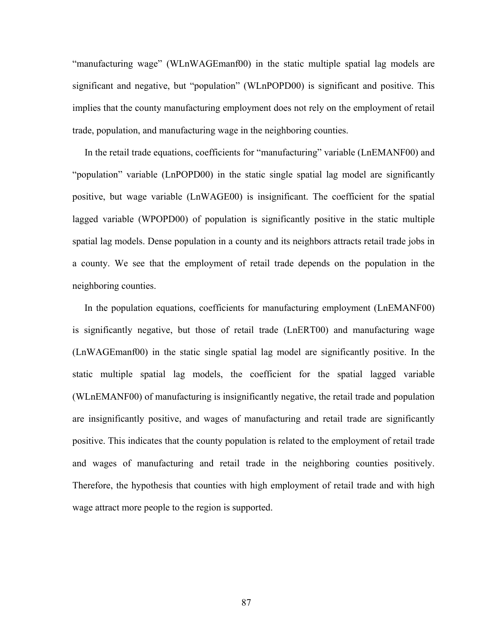"manufacturing wage" (WLnWAGEmanf00) in the static multiple spatial lag models are significant and negative, but "population" (WLnPOPD00) is significant and positive. This implies that the county manufacturing employment does not rely on the employment of retail trade, population, and manufacturing wage in the neighboring counties.

 In the retail trade equations, coefficients for "manufacturing" variable (LnEMANF00) and "population" variable (LnPOPD00) in the static single spatial lag model are significantly positive, but wage variable (LnWAGE00) is insignificant. The coefficient for the spatial lagged variable (WPOPD00) of population is significantly positive in the static multiple spatial lag models. Dense population in a county and its neighbors attracts retail trade jobs in a county. We see that the employment of retail trade depends on the population in the neighboring counties.

 In the population equations, coefficients for manufacturing employment (LnEMANF00) is significantly negative, but those of retail trade (LnERT00) and manufacturing wage (LnWAGEmanf00) in the static single spatial lag model are significantly positive. In the static multiple spatial lag models, the coefficient for the spatial lagged variable (WLnEMANF00) of manufacturing is insignificantly negative, the retail trade and population are insignificantly positive, and wages of manufacturing and retail trade are significantly positive. This indicates that the county population is related to the employment of retail trade and wages of manufacturing and retail trade in the neighboring counties positively. Therefore, the hypothesis that counties with high employment of retail trade and with high wage attract more people to the region is supported.

87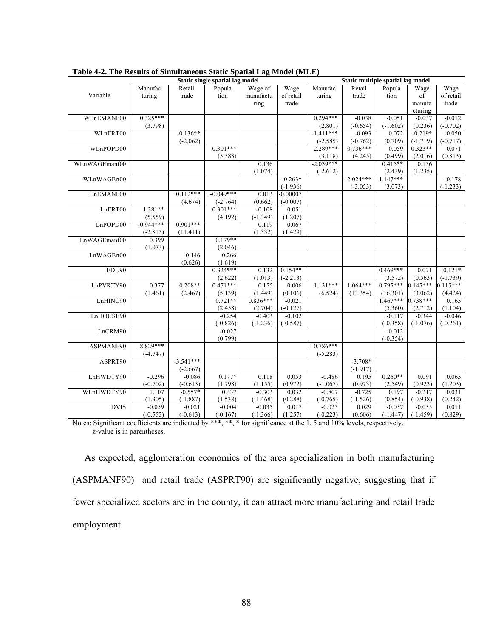|               | $\tau$ <b>2.</b> The results of simulative state spatial Eag model (mill)<br>Static single spatial lag model |                        |                          |                        |                  | Static multiple spatial lag model |                     |                     |                                                                                                    |                  |
|---------------|--------------------------------------------------------------------------------------------------------------|------------------------|--------------------------|------------------------|------------------|-----------------------------------|---------------------|---------------------|----------------------------------------------------------------------------------------------------|------------------|
|               | Manufac                                                                                                      | Retail                 | Popula                   | Wage of                | Wage             | Manufac                           | Retail              | Popula              | Wage                                                                                               | Wage             |
| Variable      | turing                                                                                                       | trade                  | tion                     | manufactu              | of retail        | turing                            | trade               | tion                | $% \left( \left( \mathcal{A},\mathcal{A}\right) \right) =\left( \mathcal{A},\mathcal{A}\right)$ of | of retail        |
|               |                                                                                                              |                        |                          | ring                   | trade            |                                   |                     |                     | manufa                                                                                             | trade            |
|               |                                                                                                              |                        |                          |                        |                  |                                   |                     |                     | cturing                                                                                            |                  |
| WLnEMANF00    | $0.325***$                                                                                                   |                        |                          |                        |                  | $0.294***$                        | $-0.038$            | $-0.051$            | $-0.037$                                                                                           | $-0.012$         |
|               | (3.798)                                                                                                      |                        |                          |                        |                  | (2.801)                           | $(-0.654)$          | $(-1.602)$          | (0.236)                                                                                            | $(-0.702)$       |
| WLnERT00      |                                                                                                              | $-0.136**$             |                          |                        |                  | $-1.411***$                       | $-0.093$            | 0.072               | $-0.219*$                                                                                          | $-0.050$         |
|               |                                                                                                              | $(-2.062)$             |                          |                        |                  | $(-2.585)$                        | $(-0.762)$          | (0.709)             | $(-1.719)$                                                                                         | $(-0.717)$       |
| WLnPOPD00     |                                                                                                              |                        | $0.301***$               |                        |                  | 2.289***                          | $0.736***$          | 0.059               | $0.323**$                                                                                          | 0.071            |
|               |                                                                                                              |                        | (5.383)                  |                        |                  | (3.118)                           | (4.245)             | (0.499)             | (2.016)                                                                                            | (0.813)          |
| WLnWAGEmanf00 |                                                                                                              |                        |                          | 0.136                  |                  | $-2.039***$                       |                     | $0.415**$           | 0.156                                                                                              |                  |
|               |                                                                                                              |                        |                          | (1.074)                |                  | $(-2.612)$                        |                     | (2.439)             | (1.235)                                                                                            |                  |
| WLnWAGErt00   |                                                                                                              |                        |                          |                        | $-0.263*$        |                                   | $-2.024***$         | $1.147***$          |                                                                                                    | $-0.178$         |
|               |                                                                                                              |                        |                          |                        | $(-1.936)$       |                                   | $(-3.053)$          | (3.073)             |                                                                                                    | $(-1.233)$       |
| LnEMANF00     |                                                                                                              | $0.112***$             | $-0.049***$              | 0.013                  | $-0.00007$       |                                   |                     |                     |                                                                                                    |                  |
| LnERT00       | 1.381**                                                                                                      | (4.674)                | $(-2.764)$<br>$0.301***$ | (0.662)<br>$-0.108$    | $(-0.007)$       |                                   |                     |                     |                                                                                                    |                  |
|               |                                                                                                              |                        |                          |                        | 0.051<br>(1.207) |                                   |                     |                     |                                                                                                    |                  |
| LnPOPD00      | (5.559)<br>$-0.944***$                                                                                       | $0.901***$             | (4.192)                  | $(-1.349)$<br>0.119    | 0.067            |                                   |                     |                     |                                                                                                    |                  |
|               | $(-2.815)$                                                                                                   | (11.411)               |                          | (1.332)                | (1.429)          |                                   |                     |                     |                                                                                                    |                  |
| LnWAGEmanf00  | 0.399                                                                                                        |                        | $0.179**$                |                        |                  |                                   |                     |                     |                                                                                                    |                  |
|               | (1.073)                                                                                                      |                        | (2.046)                  |                        |                  |                                   |                     |                     |                                                                                                    |                  |
| LnWAGErt00    |                                                                                                              | 0.146                  | 0.266                    |                        |                  |                                   |                     |                     |                                                                                                    |                  |
|               |                                                                                                              | (0.626)                | (1.619)                  |                        |                  |                                   |                     |                     |                                                                                                    |                  |
| EDU90         |                                                                                                              |                        | $0.324***$               | 0.132                  | $-0.154**$       |                                   |                     | $0.469***$          | 0.071                                                                                              | $-0.121*$        |
|               |                                                                                                              |                        | (2.622)                  | (1.013)                | $(-2.213)$       |                                   |                     | (3.572)             | (0.563)                                                                                            | $(-1.739)$       |
| LnPVRTY90     | 0.377                                                                                                        | $0.208**$              | $0.471***$               | 0.155                  | 0.006            | $1.131***$                        | $1.064***$          | $0.795***$          | $0.145***$                                                                                         | $0.115***$       |
|               | (1.461)                                                                                                      | (2.467)                | (5.139)                  | (1.449)                | (0.106)          | (6.524)                           | (13.354)            | (16.301)            | (3.062)                                                                                            | (4.424)          |
| LnHINC90      |                                                                                                              |                        | $0.721**$                | $0.836***$             | $-0.021$         |                                   |                     | $1.467***$          | $0.738***$                                                                                         | 0.165            |
|               |                                                                                                              |                        | (2.458)                  | (2.704)                | $(-0.127)$       |                                   |                     | (5.360)             | (2.712)                                                                                            | (1.104)          |
| LnHOUSE90     |                                                                                                              |                        | $-0.254$                 | $-0.403$               | $-0.102$         |                                   |                     | $-0.117$            | $-0.344$                                                                                           | $-0.046$         |
|               |                                                                                                              |                        | $(-0.826)$               | $(-1.236)$             | $(-0.587)$       |                                   |                     | $(-0.358)$          | $(-1.076)$                                                                                         | $(-0.261)$       |
| LnCRM90       |                                                                                                              |                        | $-0.027$                 |                        |                  |                                   |                     | $-0.013$            |                                                                                                    |                  |
|               |                                                                                                              |                        | (0.799)                  |                        |                  |                                   |                     | $(-0.354)$          |                                                                                                    |                  |
| ASPMANF90     | $-8.829***$                                                                                                  |                        |                          |                        |                  | $-10.786***$                      |                     |                     |                                                                                                    |                  |
|               | $(-4.747)$                                                                                                   |                        |                          |                        |                  | $(-5.283)$                        |                     |                     |                                                                                                    |                  |
| ASPRT90       |                                                                                                              | $-3.541***$            |                          |                        |                  |                                   | $-3.708*$           |                     |                                                                                                    |                  |
|               |                                                                                                              | $(-2.667)$             |                          |                        |                  |                                   | $(-1.917)$          |                     |                                                                                                    |                  |
| LnHWDTY90     | $-0.296$                                                                                                     | $-0.086$               | $0.177*$                 | 0.118                  | 0.053            | $-0.486$                          | 0.195               | $0.260**$           | 0.091                                                                                              | 0.065            |
|               | $(-0.702)$                                                                                                   | $(-0.613)$             | (1.798)                  | (1.155)                | (0.972)          | $(-1.067)$                        | (0.973)             | (2.549)             | (0.923)                                                                                            | (1.203)          |
| WLnHWDTY90    | 1.107                                                                                                        | $-0.557*$              | 0.337                    | $-0.303$               | 0.032            | $-0.807$                          | $-0.725$            | 0.197               | $-0.217$                                                                                           | 0.031            |
| <b>DVIS</b>   | (1.305)<br>$-0.059$                                                                                          | $(-1.887)$             | (1.538)<br>$-0.004$      | $(-1.468)$<br>$-0.035$ | (0.288)<br>0.017 | $(-0.765)$<br>$-0.025$            | $(-1.526)$<br>0.029 | (0.854)<br>$-0.037$ | $(-0.938)$                                                                                         | (0.242)<br>0.011 |
|               | $(-0.553)$                                                                                                   | $-0.021$<br>$(-0.613)$ |                          |                        |                  |                                   | (0.606)             |                     | $-0.035$<br>$(-1.459)$                                                                             |                  |
|               |                                                                                                              |                        | $(-0.167)$               | $(-1.366)$             | (1.257)          | $(-0.223)$                        |                     | $(-1.447)$          |                                                                                                    | (0.829)          |

**Table 4-2. The Results of Simultaneous Static Spatial Lag Model (MLE)** 

Notes: Significant coefficients are indicated by \*\*\*, \*\*, \* for significance at the 1, 5 and 10% levels, respectively. z-value is in parentheses.

 As expected, agglomeration economies of the area specialization in both manufacturing (ASPMANF90) and retail trade (ASPRT90) are significantly negative, suggesting that if fewer specialized sectors are in the county, it can attract more manufacturing and retail trade employment.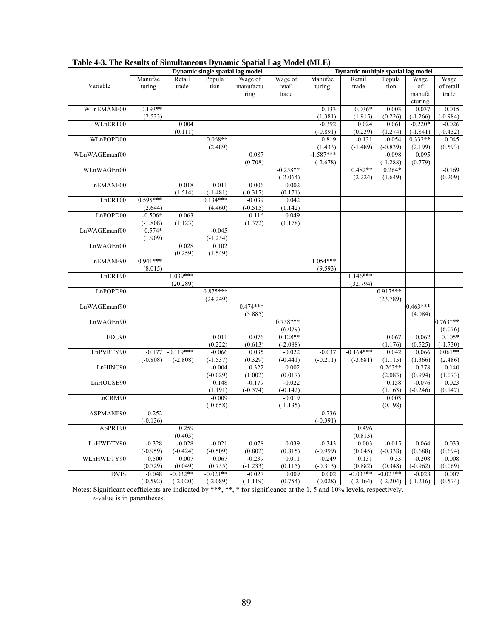|               |            | Dynamic single spatial lag model | Dynamic multiple spatial lag model |            |                  |                        |             |                        |                  |            |
|---------------|------------|----------------------------------|------------------------------------|------------|------------------|------------------------|-------------|------------------------|------------------|------------|
|               | Manufac    | Retail                           | Popula                             | Wage of    | Wage of          | Manufac                | Retail      | Popula                 | Wage             | Wage       |
| Variable      | turing     | trade                            | tion                               | manufactu  | retail           | turing                 | trade       | tion                   | of               | of retail  |
|               |            |                                  |                                    | ring       | trade            |                        |             |                        | manufa           | trade      |
|               |            |                                  |                                    |            |                  |                        |             |                        | cturing          |            |
| WLnEMANF00    | $0.193**$  |                                  |                                    |            |                  | 0.133                  | $0.036*$    | 0.003                  | $-0.037$         | $-0.015$   |
|               | (2.533)    |                                  |                                    |            |                  | (1.381)                | (1.915)     | (0.226)                | $(-1.266)$       | $(-0.984)$ |
| WLnERT00      |            | 0.004                            |                                    |            |                  | $-0.392$               | 0.024       | 0.061                  | $-0.220*$        | $-0.026$   |
|               |            | (0.111)                          |                                    |            |                  | $(-0.891)$             | (0.239)     | (1.274)                | $(-1.841)$       | $(-0.432)$ |
| WLnPOPD00     |            |                                  | $0.068**$                          |            |                  | 0.819                  | $-0.131$    | $-0.054$               | $0.332**$        | 0.045      |
| WLnWAGEmanf00 |            |                                  | (2.489)                            | 0.087      |                  | (1.433)<br>$-1.587***$ | $(-1.489)$  | $(-0.839)$<br>$-0.098$ | (2.199)<br>0.095 | (0.593)    |
|               |            |                                  |                                    | (0.708)    |                  | $(-2.678)$             |             | $(-1.288)$             | (0.779)          |            |
| WLnWAGErt00   |            |                                  |                                    |            | $-0.258**$       |                        | $0.482**$   | $0.264*$               |                  | $-0.169$   |
|               |            |                                  |                                    |            | $(-2.064)$       |                        | (2.224)     | (1.649)                |                  | (0.209)    |
| LnEMANF00     |            | 0.018                            | $-0.011$                           | $-0.006$   | 0.002            |                        |             |                        |                  |            |
|               |            | (1.514)                          | $(-1.481)$                         | $(-0.317)$ | (0.171)          |                        |             |                        |                  |            |
| LnERT00       | $0.595***$ |                                  | $0.134***$                         | $-0.039$   | 0.042            |                        |             |                        |                  |            |
|               | (2.644)    |                                  | (4.460)                            | $(-0.515)$ | (1.142)          |                        |             |                        |                  |            |
| LnPOPD00      | $-0.506*$  | 0.063                            |                                    | 0.116      | 0.049            |                        |             |                        |                  |            |
|               | $(-1.808)$ | (1.123)                          |                                    | (1.372)    | (1.178)          |                        |             |                        |                  |            |
| LnWAGEmanf00  | $0.574*$   |                                  | $-0.045$                           |            |                  |                        |             |                        |                  |            |
|               | (1.909)    |                                  | $(-1.254)$                         |            |                  |                        |             |                        |                  |            |
| LnWAGErt00    |            | 0.028                            | 0.102                              |            |                  |                        |             |                        |                  |            |
|               |            | (0.259)                          | (1.549)                            |            |                  |                        |             |                        |                  |            |
| LnEMANF90     | $0.941***$ |                                  |                                    |            |                  | $1.054***$             |             |                        |                  |            |
|               | (8.015)    |                                  |                                    |            |                  | (9.593)                |             |                        |                  |            |
| LnERT90       |            | $1.039***$                       |                                    |            |                  |                        | $1.146***$  |                        |                  |            |
|               |            | (20.289)                         |                                    |            |                  |                        | (32.794)    |                        |                  |            |
| LnPOPD90      |            |                                  | $0.875***$                         |            |                  |                        |             | $0.917***$             |                  |            |
|               |            |                                  | (24.249)                           |            |                  |                        |             | (23.789)               |                  |            |
| LnWAGEmanf90  |            |                                  |                                    | $0.474***$ |                  |                        |             |                        | $0.463***$       |            |
| LnWAGErt90    |            |                                  |                                    | (3.885)    | $0.758***$       |                        |             |                        | (4.084)          | $0.763***$ |
|               |            |                                  |                                    |            | (6.079)          |                        |             |                        |                  | (6.076)    |
| EDU90         |            |                                  | 0.011                              | 0.076      | $-0.128**$       |                        |             | 0.067                  | 0.062            | $-0.105*$  |
|               |            |                                  | (0.222)                            | (0.613)    | $(-2.088)$       |                        |             | (1.176)                | (0.525)          | $(-1.730)$ |
| LnPVRTY90     | $-0.177$   | $-0.119***$                      | $-0.066$                           | 0.035      | $-0.022$         | $-0.037$               | $-0.164***$ | 0.042                  | 0.066            | $0.061**$  |
|               | $(-0.808)$ | $(-2.808)$                       | $(-1.537)$                         | (0.329)    | $(-0.441)$       | $(-0.211)$             | $(-3.681)$  | (1.115)                | (1.366)          | (2.486)    |
| LnHINC90      |            |                                  | $-0.004$                           | 0.322      | 0.002            |                        |             | $0.263**$              | 0.278            | 0.140      |
|               |            |                                  | $(-0.029)$                         | (1.002)    | (0.017)          |                        |             | (2.083)                | (0.994)          | (1.073)    |
| LnHOUSE90     |            |                                  | 0.148                              | $-0.179$   | $-0.022$         |                        |             | 0.158                  | $-0.076$         | 0.023      |
|               |            |                                  | (1.191)                            | $(-0.574)$ | $(-0.142)$       |                        |             | (1.163)                | $(-0.246)$       | (0.147)    |
| LnCRM90       |            |                                  | $-0.009$                           |            | $-0.019$         |                        |             | 0.003                  |                  |            |
|               |            |                                  | $(-0.658)$                         |            | $(-1.135)$       |                        |             | (0.198)                |                  |            |
| ASPMANF90     | $-0.252$   |                                  |                                    |            |                  | $-0.736$               |             |                        |                  |            |
|               | $(-0.136)$ |                                  |                                    |            |                  | $(-0.391)$             |             |                        |                  |            |
| ASPRT90       |            | 0.259                            |                                    |            |                  |                        | 0.496       |                        |                  |            |
|               |            | (0.403)                          |                                    |            |                  |                        | (0.813)     |                        |                  |            |
| LnHWDTY90     | $-0.328$   | $-0.028$                         | $-0.021$                           | 0.078      | 0.039            | $-0.343$               | 0.003       | $-0.015$               | 0.064            | 0.033      |
|               | $(-0.959)$ | $(-0.424)$                       | $(-0.509)$                         | (0.802)    | (0.815)          | $(-0.999)$             | (0.045)     | $(-0.338)$             | (0.688)          | (0.694)    |
| WLnHWDTY90    | 0.500      | 0.007                            | 0.067                              | $-0.239$   | 0.011            | $-0.249$               | 0.131       | 0.33                   | $-0.208$         | 0.008      |
|               | (0.729)    | (0.049)                          | (0.755)                            | $(-1.233)$ | (0.115)          | $(-0.313)$             | (0.882)     | (0.348)                | $(-0.962)$       | (0.069)    |
| <b>DVIS</b>   | $-0.048$   | $-0.032**$                       | $-0.021**$                         | $-0.027$   | 0.009<br>(0.754) | 0.002                  | $-0.033**$  | $0.023**$              | $-0.028$         | 0.007      |
|               | $(-0.592)$ | $(-2.020)$                       | $(-2.089)$                         | $(-1.119)$ |                  | (0.028)                | $(-2.164)$  | $(-2.204)$             | $(-1.216)$       | (0.574)    |

**Table 4-3. The Results of Simultaneous Dynamic Spatial Lag Model (MLE)** 

Notes: Significant coefficients are indicated by \*\*\*, \*\*, \* for significance at the 1, 5 and 10% levels, respectively. z-value is in parentheses.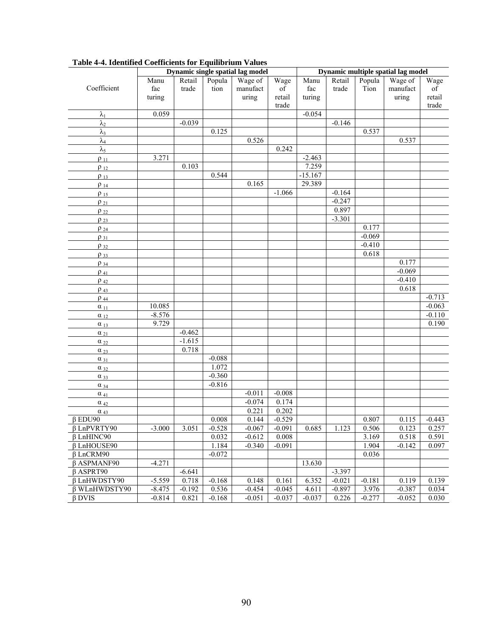|                           | Dynamic single spatial lag model |          |          |          |          | Dynamic multiple spatial lag model |          |          |          |          |  |
|---------------------------|----------------------------------|----------|----------|----------|----------|------------------------------------|----------|----------|----------|----------|--|
|                           | Manu                             | Retail   | Popula   | Wage of  | Wage     | Manu                               | Retail   | Popula   | Wage of  | Wage     |  |
| Coefficient               | fac                              | trade    | tion     | manufact | of       | fac                                | trade    | Tion     | manufact | of       |  |
|                           | turing                           |          |          | uring    | retail   | turing                             |          |          | uring    | retail   |  |
|                           |                                  |          |          |          | trade    |                                    |          |          |          | trade    |  |
| $\lambda_1$               | 0.059                            |          |          |          |          | $-0.054$                           |          |          |          |          |  |
| $\lambda_2$               |                                  | $-0.039$ |          |          |          |                                    | $-0.146$ |          |          |          |  |
| $\lambda_3$               |                                  |          | 0.125    |          |          |                                    |          | 0.537    |          |          |  |
| $\lambda_4$               |                                  |          |          | 0.526    |          |                                    |          |          | 0.537    |          |  |
| $\lambda_5$               |                                  |          |          |          | 0.242    |                                    |          |          |          |          |  |
| $\rho_{11}$               | 3.271                            |          |          |          |          | $-2.463$                           |          |          |          |          |  |
| $\rho_{12}$               |                                  | 0.103    |          |          |          | 7.259                              |          |          |          |          |  |
| $\rho_{13}$               |                                  |          | 0.544    |          |          | $-15.167$                          |          |          |          |          |  |
| $\rho_{14}$               |                                  |          |          | 0.165    |          | 29.389                             |          |          |          |          |  |
| $\rho_{15}$               |                                  |          |          |          | $-1.066$ |                                    | $-0.164$ |          |          |          |  |
| $\rho_{21}$               |                                  |          |          |          |          |                                    | $-0.247$ |          |          |          |  |
| $\rho_{22}$               |                                  |          |          |          |          |                                    | 0.897    |          |          |          |  |
| $\rho_{23}$               |                                  |          |          |          |          |                                    | $-3.301$ |          |          |          |  |
| $\rho_{24}$               |                                  |          |          |          |          |                                    |          | 0.177    |          |          |  |
| $\rho_{31}$               |                                  |          |          |          |          |                                    |          | $-0.069$ |          |          |  |
| $\rho_{32}$               |                                  |          |          |          |          |                                    |          | $-0.410$ |          |          |  |
| $\rho_{33}$               |                                  |          |          |          |          |                                    |          | 0.618    |          |          |  |
| $\rho_{34}$               |                                  |          |          |          |          |                                    |          |          | 0.177    |          |  |
| $\rho_{41}$               |                                  |          |          |          |          |                                    |          |          | $-0.069$ |          |  |
| $\rho_{42}$               |                                  |          |          |          |          |                                    |          |          | $-0.410$ |          |  |
| $\rho$ 43                 |                                  |          |          |          |          |                                    |          |          | 0.618    |          |  |
| $\rho$ 44                 |                                  |          |          |          |          |                                    |          |          |          | $-0.713$ |  |
| $\alpha_{11}$             | 10.085                           |          |          |          |          |                                    |          |          |          | $-0.063$ |  |
| $\alpha_{12}$             | $-8.576$                         |          |          |          |          |                                    |          |          |          | $-0.110$ |  |
| $\alpha_{13}$             | 9.729                            |          |          |          |          |                                    |          |          |          | 0.190    |  |
| $\alpha_{21}$             |                                  | $-0.462$ |          |          |          |                                    |          |          |          |          |  |
| $\alpha_{22}$             |                                  | $-1.615$ |          |          |          |                                    |          |          |          |          |  |
| $\alpha_{23}$             |                                  | 0.718    |          |          |          |                                    |          |          |          |          |  |
| $\alpha_{31}$             |                                  |          | $-0.088$ |          |          |                                    |          |          |          |          |  |
| $\alpha_{32}$             |                                  |          | 1.072    |          |          |                                    |          |          |          |          |  |
| $\alpha_{33}$             |                                  |          | $-0.360$ |          |          |                                    |          |          |          |          |  |
| $\alpha_{34}$             |                                  |          | $-0.816$ |          |          |                                    |          |          |          |          |  |
| $\alpha$ 41               |                                  |          |          | $-0.011$ | $-0.008$ |                                    |          |          |          |          |  |
| $\alpha$ 42               |                                  |          |          | $-0.074$ | 0.174    |                                    |          |          |          |          |  |
| $\underline{\alpha}_{43}$ |                                  |          |          | 0.221    | 0.202    |                                    |          |          |          |          |  |
| $\beta$ EDU90             |                                  |          | 0.008    | 0.144    | $-0.529$ |                                    |          | 0.807    | 0.115    | $-0.443$ |  |
| $\beta$ LnPVRTY90         | $-3.000$                         | 3.051    | $-0.528$ | $-0.067$ | $-0.091$ | 0.685                              | 1.123    | 0.506    | 0.123    | 0.257    |  |
| $\beta$ LnHINC90          |                                  |          | 0.032    | $-0.612$ | 0.008    |                                    |          | 3.169    | 0.518    | 0.591    |  |
| $\beta$ LnHOUSE90         |                                  |          | 1.184    | $-0.340$ | $-0.091$ |                                    |          | 1.904    | $-0.142$ | 0.097    |  |
| $\beta$ LnCRM90           |                                  |          | $-0.072$ |          |          |                                    |          | 0.036    |          |          |  |
| $\beta$ ASPMANF90         | $-4.271$                         |          |          |          |          | 13.630                             |          |          |          |          |  |
| $\beta$ ASPRT90           |                                  | $-6.641$ |          |          |          |                                    | $-3.397$ |          |          |          |  |
| β LnHWDSTY90              | $-5.559$                         | 0.718    | $-0.168$ | 0.148    | 0.161    | 6.352                              | $-0.021$ | $-0.181$ | 0.119    | 0.139    |  |
| β WLnHWDSTY90             | $-8.475$                         | $-0.192$ | 0.536    | $-0.454$ | $-0.045$ | 4.611                              | $-0.897$ | 3.976    | $-0.387$ | 0.034    |  |
| $\beta$ DVIS              | $-0.814$                         | 0.821    | $-0.168$ | $-0.051$ | $-0.037$ | $-0.037$                           | 0.226    | $-0.277$ | $-0.052$ | 0.030    |  |

**Table 4-4. Identified Coefficients for Equilibrium Values**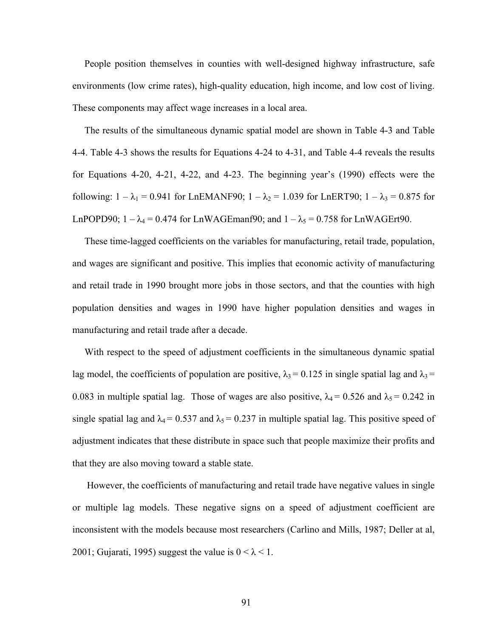People position themselves in counties with well-designed highway infrastructure, safe environments (low crime rates), high-quality education, high income, and low cost of living. These components may affect wage increases in a local area.

 The results of the simultaneous dynamic spatial model are shown in Table 4-3 and Table 4-4. Table 4-3 shows the results for Equations 4-24 to 4-31, and Table 4-4 reveals the results for Equations 4-20, 4-21, 4-22, and 4-23. The beginning year's (1990) effects were the following:  $1 - \lambda_1 = 0.941$  for LnEMANF90;  $1 - \lambda_2 = 1.039$  for LnERT90;  $1 - \lambda_3 = 0.875$  for LnPOPD90;  $1 - \lambda_4 = 0.474$  for LnWAGEmanf90; and  $1 - \lambda_5 = 0.758$  for LnWAGErt90.

 These time-lagged coefficients on the variables for manufacturing, retail trade, population, and wages are significant and positive. This implies that economic activity of manufacturing and retail trade in 1990 brought more jobs in those sectors, and that the counties with high population densities and wages in 1990 have higher population densities and wages in manufacturing and retail trade after a decade.

 With respect to the speed of adjustment coefficients in the simultaneous dynamic spatial lag model, the coefficients of population are positive,  $\lambda_3 = 0.125$  in single spatial lag and  $\lambda_3 =$ 0.083 in multiple spatial lag. Those of wages are also positive,  $\lambda_4 = 0.526$  and  $\lambda_5 = 0.242$  in single spatial lag and  $\lambda_4 = 0.537$  and  $\lambda_5 = 0.237$  in multiple spatial lag. This positive speed of adjustment indicates that these distribute in space such that people maximize their profits and that they are also moving toward a stable state.

However, the coefficients of manufacturing and retail trade have negative values in single or multiple lag models. These negative signs on a speed of adjustment coefficient are inconsistent with the models because most researchers (Carlino and Mills, 1987; Deller at al, 2001; Gujarati, 1995) suggest the value is  $0 < \lambda < 1$ .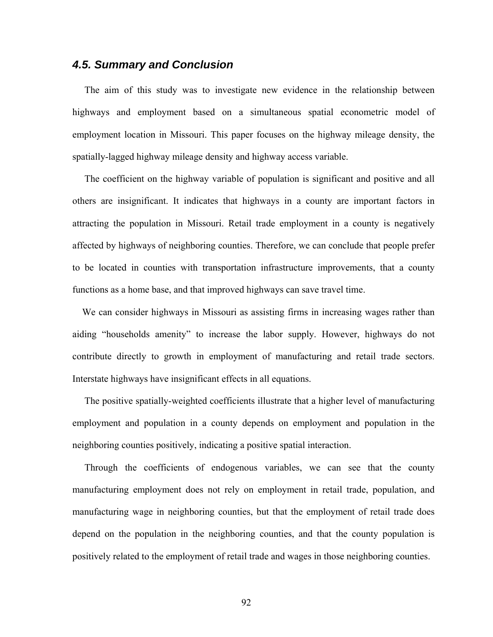## *4.5. Summary and Conclusion*

 The aim of this study was to investigate new evidence in the relationship between highways and employment based on a simultaneous spatial econometric model of employment location in Missouri. This paper focuses on the highway mileage density, the spatially-lagged highway mileage density and highway access variable.

 The coefficient on the highway variable of population is significant and positive and all others are insignificant. It indicates that highways in a county are important factors in attracting the population in Missouri. Retail trade employment in a county is negatively affected by highways of neighboring counties. Therefore, we can conclude that people prefer to be located in counties with transportation infrastructure improvements, that a county functions as a home base, and that improved highways can save travel time.

 We can consider highways in Missouri as assisting firms in increasing wages rather than aiding "households amenity" to increase the labor supply. However, highways do not contribute directly to growth in employment of manufacturing and retail trade sectors. Interstate highways have insignificant effects in all equations.

 The positive spatially-weighted coefficients illustrate that a higher level of manufacturing employment and population in a county depends on employment and population in the neighboring counties positively, indicating a positive spatial interaction.

 Through the coefficients of endogenous variables, we can see that the county manufacturing employment does not rely on employment in retail trade, population, and manufacturing wage in neighboring counties, but that the employment of retail trade does depend on the population in the neighboring counties, and that the county population is positively related to the employment of retail trade and wages in those neighboring counties.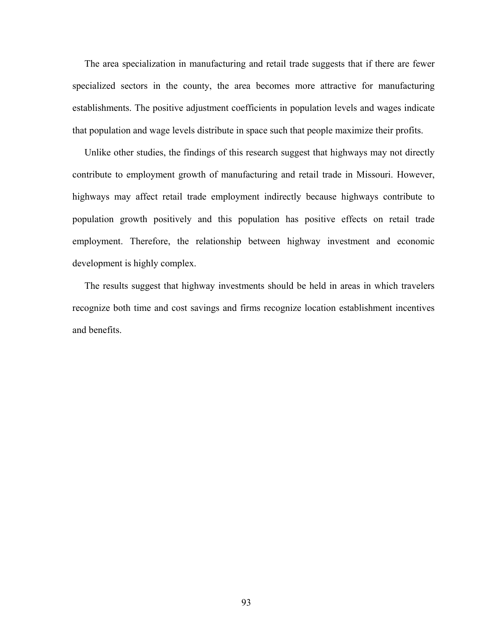The area specialization in manufacturing and retail trade suggests that if there are fewer specialized sectors in the county, the area becomes more attractive for manufacturing establishments. The positive adjustment coefficients in population levels and wages indicate that population and wage levels distribute in space such that people maximize their profits.

 Unlike other studies, the findings of this research suggest that highways may not directly contribute to employment growth of manufacturing and retail trade in Missouri. However, highways may affect retail trade employment indirectly because highways contribute to population growth positively and this population has positive effects on retail trade employment. Therefore, the relationship between highway investment and economic development is highly complex.

 The results suggest that highway investments should be held in areas in which travelers recognize both time and cost savings and firms recognize location establishment incentives and benefits.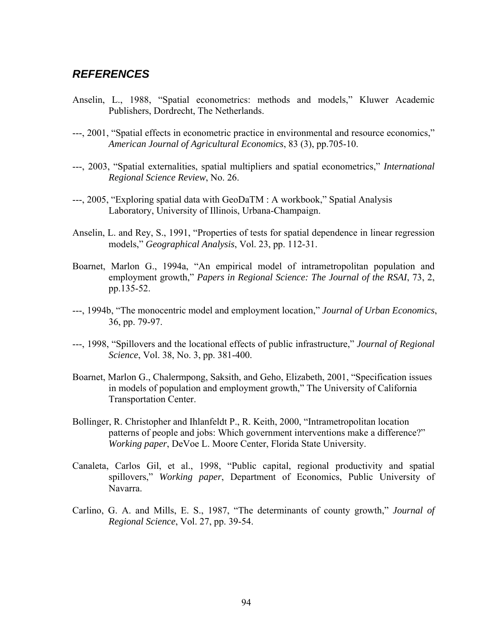## *REFERENCES*

- Anselin, L., 1988, "Spatial econometrics: methods and models," Kluwer Academic Publishers, Dordrecht, The Netherlands.
- ---, 2001, "Spatial effects in econometric practice in environmental and resource economics," *American Journal of Agricultural Economics*, 83 (3), pp.705-10.
- ---, 2003, "Spatial externalities, spatial multipliers and spatial econometrics," *International Regional Science Review*, No. 26.
- ---, 2005, "Exploring spatial data with GeoDaTM : A workbook," Spatial Analysis Laboratory, University of Illinois, Urbana-Champaign.
- Anselin, L. and Rey, S., 1991, "Properties of tests for spatial dependence in linear regression models," *Geographical Analysis*, Vol. 23, pp. 112-31.
- Boarnet, Marlon G., 1994a, "An empirical model of intrametropolitan population and employment growth," *Papers in Regional Science: The Journal of the RSAI*, 73, 2, pp.135-52.
- ---, 1994b, "The monocentric model and employment location," *Journal of Urban Economics*, 36, pp. 79-97.
- ---, 1998, "Spillovers and the locational effects of public infrastructure," *Journal of Regional Science*, Vol. 38, No. 3, pp. 381-400.
- Boarnet, Marlon G., Chalermpong, Saksith, and Geho, Elizabeth, 2001, "Specification issues in models of population and employment growth," The University of California Transportation Center.
- Bollinger, R. Christopher and Ihlanfeldt P., R. Keith, 2000, "Intrametropolitan location patterns of people and jobs: Which government interventions make a difference?" *Working paper*, DeVoe L. Moore Center, Florida State University.
- Canaleta, Carlos Gil, et al., 1998, "Public capital, regional productivity and spatial spillovers," *Working paper*, Department of Economics, Public University of Navarra.
- Carlino, G. A. and Mills, E. S., 1987, "The determinants of county growth," *Journal of Regional Science*, Vol. 27, pp. 39-54.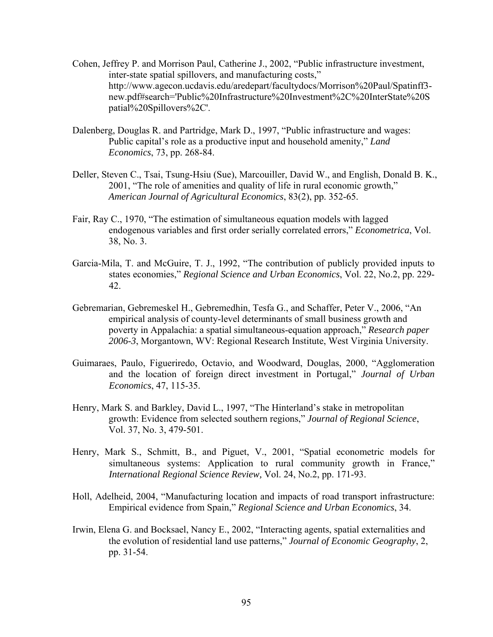- Cohen, Jeffrey P. and Morrison Paul, Catherine J., 2002, "Public infrastructure investment, inter-state spatial spillovers, and manufacturing costs," http://www.agecon.ucdavis.edu/aredepart/facultydocs/Morrison%20Paul/Spatinff3 new.pdf#search='Public%20Infrastructure%20Investment%2C%20InterState%20S patial%20Spillovers%2C'.
- Dalenberg, Douglas R. and Partridge, Mark D., 1997, "Public infrastructure and wages: Public capital's role as a productive input and household amenity," *Land Economics*, 73, pp. 268-84.
- Deller, Steven C., Tsai, Tsung-Hsiu (Sue), Marcouiller, David W., and English, Donald B. K., 2001, "The role of amenities and quality of life in rural economic growth," *American Journal of Agricultural Economics*, 83(2), pp. 352-65.
- Fair, Ray C., 1970, "The estimation of simultaneous equation models with lagged endogenous variables and first order serially correlated errors," *Econometrica*, Vol. 38, No. 3.
- Garcia-Mila, T. and McGuire, T. J., 1992, "The contribution of publicly provided inputs to states economies," *Regional Science and Urban Economics*, Vol. 22, No.2, pp. 229- 42.
- Gebremarian, Gebremeskel H., Gebremedhin, Tesfa G., and Schaffer, Peter V., 2006, "An empirical analysis of county-level determinants of small business growth and poverty in Appalachia: a spatial simultaneous-equation approach," *Research paper 2006-3*, Morgantown, WV: Regional Research Institute, West Virginia University.
- Guimaraes, Paulo, Figueriredo, Octavio, and Woodward, Douglas, 2000, "Agglomeration and the location of foreign direct investment in Portugal," *Journal of Urban Economics*, 47, 115-35.
- Henry, Mark S. and Barkley, David L., 1997, "The Hinterland's stake in metropolitan growth: Evidence from selected southern regions," *Journal of Regional Science*, Vol. 37, No. 3, 479-501.
- Henry, Mark S., Schmitt, B., and Piguet, V., 2001, "Spatial econometric models for simultaneous systems: Application to rural community growth in France," *International Regional Science Review,* Vol. 24, No.2, pp. 171-93.
- Holl, Adelheid, 2004, "Manufacturing location and impacts of road transport infrastructure: Empirical evidence from Spain," *Regional Science and Urban Economics*, 34.
- Irwin, Elena G. and Bocksael, Nancy E., 2002, "Interacting agents, spatial externalities and the evolution of residential land use patterns," *Journal of Economic Geography*, 2, pp. 31-54.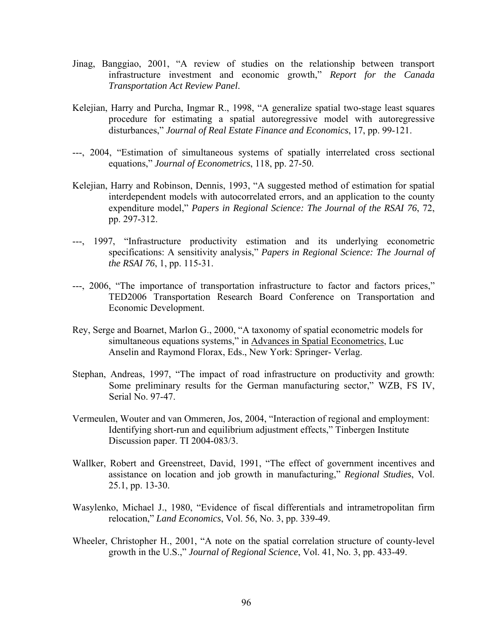- Jinag, Banggiao, 2001, "A review of studies on the relationship between transport infrastructure investment and economic growth," *Report for the Canada Transportation Act Review Panel*.
- Kelejian, Harry and Purcha, Ingmar R., 1998, "A generalize spatial two-stage least squares procedure for estimating a spatial autoregressive model with autoregressive disturbances," *Journal of Real Estate Finance and Economics*, 17, pp. 99-121.
- ---, 2004, "Estimation of simultaneous systems of spatially interrelated cross sectional equations," *Journal of Econometrics*, 118, pp. 27-50.
- Kelejian, Harry and Robinson, Dennis, 1993, "A suggested method of estimation for spatial interdependent models with autocorrelated errors, and an application to the county expenditure model," *Papers in Regional Science: The Journal of the RSAI 76*, 72, pp. 297-312.
- ---, 1997, "Infrastructure productivity estimation and its underlying econometric specifications: A sensitivity analysis," *Papers in Regional Science: The Journal of the RSAI 76*, 1, pp. 115-31.
- ---, 2006, "The importance of transportation infrastructure to factor and factors prices," TED2006 Transportation Research Board Conference on Transportation and Economic Development.
- Rey, Serge and Boarnet, Marlon G., 2000, "A taxonomy of spatial econometric models for simultaneous equations systems," in Advances in Spatial Econometrics, Luc Anselin and Raymond Florax, Eds., New York: Springer- Verlag.
- Stephan, Andreas, 1997, "The impact of road infrastructure on productivity and growth: Some preliminary results for the German manufacturing sector," WZB, FS IV, Serial No. 97-47.
- Vermeulen, Wouter and van Ommeren, Jos, 2004, "Interaction of regional and employment: Identifying short-run and equilibrium adjustment effects," Tinbergen Institute Discussion paper. TI 2004-083/3.
- Wallker, Robert and Greenstreet, David, 1991, "The effect of government incentives and assistance on location and job growth in manufacturing," *Regional Studies*, Vol. 25.1, pp. 13-30.
- Wasylenko, Michael J., 1980, "Evidence of fiscal differentials and intrametropolitan firm relocation," *Land Economics*, Vol. 56, No. 3, pp. 339-49.
- Wheeler, Christopher H., 2001, "A note on the spatial correlation structure of county-level growth in the U.S.," *Journal of Regional Science*, Vol. 41, No. 3, pp. 433-49.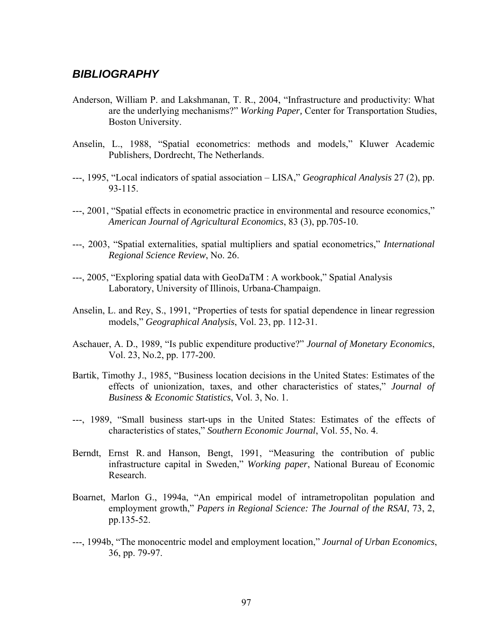## *BIBLIOGRAPHY*

- Anderson, William P. and Lakshmanan, T. R., 2004, "Infrastructure and productivity: What are the underlying mechanisms?" *Working Paper,* Center for Transportation Studies, Boston University.
- Anselin, L., 1988, "Spatial econometrics: methods and models," Kluwer Academic Publishers, Dordrecht, The Netherlands.
- ---, 1995, "Local indicators of spatial association LISA," *Geographical Analysis* 27 (2), pp. 93-115.
- ---, 2001, "Spatial effects in econometric practice in environmental and resource economics," *American Journal of Agricultural Economics*, 83 (3), pp.705-10.
- ---, 2003, "Spatial externalities, spatial multipliers and spatial econometrics," *International Regional Science Review*, No. 26.
- ---, 2005, "Exploring spatial data with GeoDaTM : A workbook," Spatial Analysis Laboratory, University of Illinois, Urbana-Champaign.
- Anselin, L. and Rey, S., 1991, "Properties of tests for spatial dependence in linear regression models," *Geographical Analysis*, Vol. 23, pp. 112-31.
- Aschauer, A. D., 1989, "Is public expenditure productive?" *Journal of Monetary Economics*, Vol. 23, No.2, pp. 177-200.
- Bartik, Timothy J., 1985, "Business location decisions in the United States: Estimates of the effects of unionization, taxes, and other characteristics of states," *Journal of Business & Economic Statistics*, Vol. 3, No. 1.
- ---, 1989, "Small business start-ups in the United States: Estimates of the effects of characteristics of states," *Southern Economic Journal*, Vol. 55, No. 4.
- Berndt, Ernst R. and Hanson, Bengt, 1991, "Measuring the contribution of public infrastructure capital in Sweden," *Working paper*, National Bureau of Economic Research.
- Boarnet, Marlon G., 1994a, "An empirical model of intrametropolitan population and employment growth," *Papers in Regional Science: The Journal of the RSAI*, 73, 2, pp.135-52.
- ---, 1994b, "The monocentric model and employment location," *Journal of Urban Economics*, 36, pp. 79-97.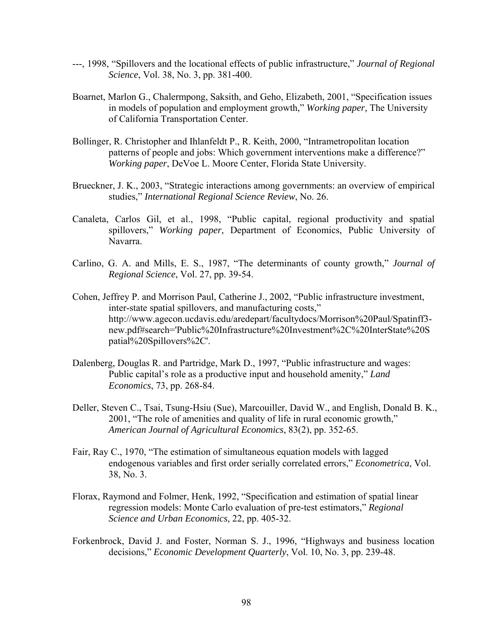- ---, 1998, "Spillovers and the locational effects of public infrastructure," *Journal of Regional Science*, Vol. 38, No. 3, pp. 381-400.
- Boarnet, Marlon G., Chalermpong, Saksith, and Geho, Elizabeth, 2001, "Specification issues in models of population and employment growth," *Working paper,* The University of California Transportation Center.
- Bollinger, R. Christopher and Ihlanfeldt P., R. Keith, 2000, "Intrametropolitan location patterns of people and jobs: Which government interventions make a difference?" *Working paper*, DeVoe L. Moore Center, Florida State University.
- Brueckner, J. K., 2003, "Strategic interactions among governments: an overview of empirical studies," *International Regional Science Review*, No. 26.
- Canaleta, Carlos Gil, et al., 1998, "Public capital, regional productivity and spatial spillovers," *Working paper*, Department of Economics, Public University of Navarra.
- Carlino, G. A. and Mills, E. S., 1987, "The determinants of county growth," *Journal of Regional Science*, Vol. 27, pp. 39-54.
- Cohen, Jeffrey P. and Morrison Paul, Catherine J., 2002, "Public infrastructure investment, inter-state spatial spillovers, and manufacturing costs," http://www.agecon.ucdavis.edu/aredepart/facultydocs/Morrison%20Paul/Spatinff3 new.pdf#search='Public%20Infrastructure%20Investment%2C%20InterState%20S patial%20Spillovers%2C'.
- Dalenberg, Douglas R. and Partridge, Mark D., 1997, "Public infrastructure and wages: Public capital's role as a productive input and household amenity," *Land Economics*, 73, pp. 268-84.
- Deller, Steven C., Tsai, Tsung-Hsiu (Sue), Marcouiller, David W., and English, Donald B. K., 2001, "The role of amenities and quality of life in rural economic growth," *American Journal of Agricultural Economics*, 83(2), pp. 352-65.
- Fair, Ray C., 1970, "The estimation of simultaneous equation models with lagged endogenous variables and first order serially correlated errors," *Econometrica*, Vol. 38, No. 3.
- Florax, Raymond and Folmer, Henk, 1992, "Specification and estimation of spatial linear regression models: Monte Carlo evaluation of pre-test estimators," *Regional Science and Urban Economics*, 22, pp. 405-32.
- Forkenbrock, David J. and Foster, Norman S. J., 1996, "Highways and business location decisions," *Economic Development Quarterly*, Vol. 10, No. 3, pp. 239-48.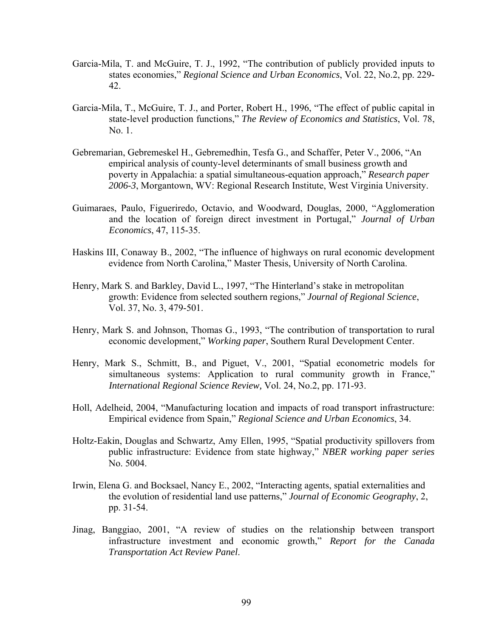- Garcia-Mila, T. and McGuire, T. J., 1992, "The contribution of publicly provided inputs to states economies," *Regional Science and Urban Economics*, Vol. 22, No.2, pp. 229- 42.
- Garcia-Mila, T., McGuire, T. J., and Porter, Robert H., 1996, "The effect of public capital in state-level production functions," *The Review of Economics and Statistics*, Vol. 78, No. 1.
- Gebremarian, Gebremeskel H., Gebremedhin, Tesfa G., and Schaffer, Peter V., 2006, "An empirical analysis of county-level determinants of small business growth and poverty in Appalachia: a spatial simultaneous-equation approach," *Research paper 2006-3*, Morgantown, WV: Regional Research Institute, West Virginia University.
- Guimaraes, Paulo, Figueriredo, Octavio, and Woodward, Douglas, 2000, "Agglomeration and the location of foreign direct investment in Portugal," *Journal of Urban Economics*, 47, 115-35.
- Haskins III, Conaway B., 2002, "The influence of highways on rural economic development evidence from North Carolina," Master Thesis, University of North Carolina.
- Henry, Mark S. and Barkley, David L., 1997, "The Hinterland's stake in metropolitan growth: Evidence from selected southern regions," *Journal of Regional Science*, Vol. 37, No. 3, 479-501.
- Henry, Mark S. and Johnson, Thomas G., 1993, "The contribution of transportation to rural economic development," *Working paper*, Southern Rural Development Center.
- Henry, Mark S., Schmitt, B., and Piguet, V., 2001, "Spatial econometric models for simultaneous systems: Application to rural community growth in France," *International Regional Science Review,* Vol. 24, No.2, pp. 171-93.
- Holl, Adelheid, 2004, "Manufacturing location and impacts of road transport infrastructure: Empirical evidence from Spain," *Regional Science and Urban Economics*, 34.
- Holtz-Eakin, Douglas and Schwartz, Amy Ellen, 1995, "Spatial productivity spillovers from public infrastructure: Evidence from state highway," *NBER working paper series* No. 5004.
- Irwin, Elena G. and Bocksael, Nancy E., 2002, "Interacting agents, spatial externalities and the evolution of residential land use patterns," *Journal of Economic Geography*, 2, pp. 31-54.
- Jinag, Banggiao, 2001, "A review of studies on the relationship between transport infrastructure investment and economic growth," *Report for the Canada Transportation Act Review Panel*.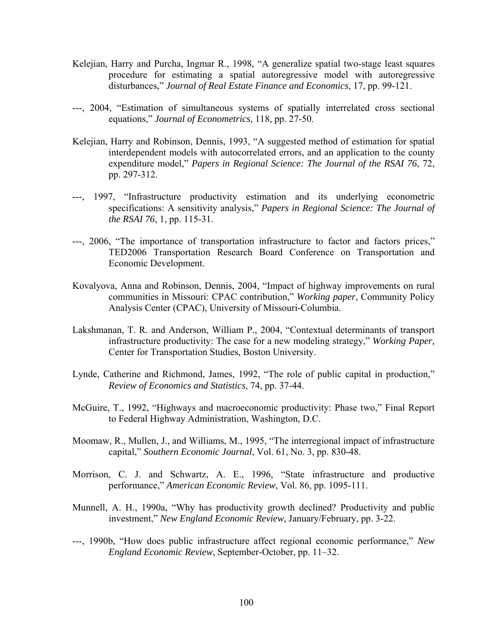- Kelejian, Harry and Purcha, Ingmar R., 1998, "A generalize spatial two-stage least squares procedure for estimating a spatial autoregressive model with autoregressive disturbances," *Journal of Real Estate Finance and Economics*, 17, pp. 99-121.
- ---, 2004, "Estimation of simultaneous systems of spatially interrelated cross sectional equations," *Journal of Econometrics*, 118, pp. 27-50.
- Kelejian, Harry and Robinson, Dennis, 1993, "A suggested method of estimation for spatial interdependent models with autocorrelated errors, and an application to the county expenditure model," *Papers in Regional Science: The Journal of the RSAI 76*, 72, pp. 297-312.
- ---, 1997, "Infrastructure productivity estimation and its underlying econometric specifications: A sensitivity analysis," *Papers in Regional Science: The Journal of the RSAI 76*, 1, pp. 115-31.
- ---, 2006, "The importance of transportation infrastructure to factor and factors prices," TED2006 Transportation Research Board Conference on Transportation and Economic Development.
- Kovalyova, Anna and Robinson, Dennis, 2004, "Impact of highway improvements on rural communities in Missouri: CPAC contribution," *Working paper*, Community Policy Analysis Center (CPAC), University of Missouri-Columbia.
- Lakshmanan, T. R. and Anderson, William P., 2004, "Contextual determinants of transport infrastructure productivity: The case for a new modeling strategy," *Working Paper,*  Center for Transportation Studies, Boston University.
- Lynde, Catherine and Richmond, James, 1992, "The role of public capital in production," *Review of Economics and Statistics*, 74, pp. 37-44.
- McGuire, T., 1992, "Highways and macroeconomic productivity: Phase two," Final Report to Federal Highway Administration, Washington, D.C.
- Moomaw, R., Mullen, J., and Williams, M., 1995, "The interregional impact of infrastructure capital," *Southern Economic Journal*, Vol. 61, No. 3, pp. 830-48.
- Morrison, C. J. and Schwartz, A. E., 1996, "State infrastructure and productive performance," *American Economic Review*, Vol. 86, pp. 1095-111.
- Munnell, A. H., 1990a, "Why has productivity growth declined? Productivity and public investment," *New England Economic Review*, January/February, pp. 3-22.
- ---, 1990b, "How does public infrastructure affect regional economic performance," *New England Economic Review*, September-October, pp. 11–32.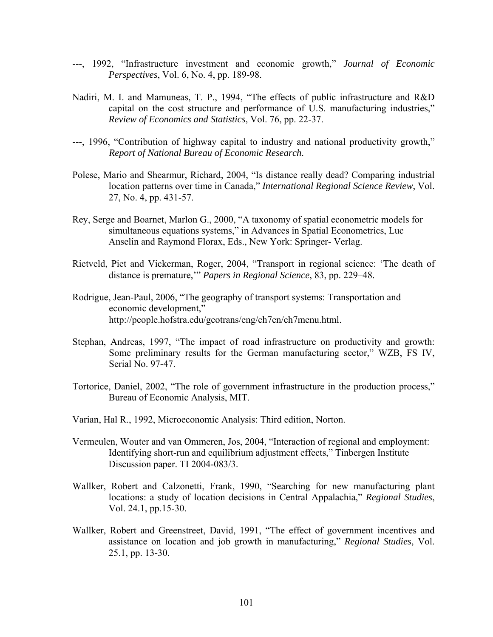- ---, 1992, "Infrastructure investment and economic growth," *Journal of Economic Perspectives*, Vol. 6, No. 4, pp. 189-98.
- Nadiri, M. I. and Mamuneas, T. P., 1994, "The effects of public infrastructure and R&D capital on the cost structure and performance of U.S. manufacturing industries," *Review of Economics and Statistics*, Vol. 76, pp. 22-37.
- ---, 1996, "Contribution of highway capital to industry and national productivity growth," *Report of National Bureau of Economic Research*.
- Polese, Mario and Shearmur, Richard, 2004, "Is distance really dead? Comparing industrial location patterns over time in Canada," *International Regional Science Review*, Vol. 27, No. 4, pp. 431-57.
- Rey, Serge and Boarnet, Marlon G., 2000, "A taxonomy of spatial econometric models for simultaneous equations systems," in Advances in Spatial Econometrics, Luc Anselin and Raymond Florax, Eds., New York: Springer- Verlag.
- Rietveld, Piet and Vickerman, Roger, 2004, "Transport in regional science: 'The death of distance is premature,'" *Papers in Regional Science*, 83, pp. 229–48.
- Rodrigue, Jean-Paul, 2006, "The geography of transport systems: Transportation and economic development," http://people.hofstra.edu/geotrans/eng/ch7en/ch7menu.html.
- Stephan, Andreas, 1997, "The impact of road infrastructure on productivity and growth: Some preliminary results for the German manufacturing sector," WZB, FS IV, Serial No. 97-47.
- Tortorice, Daniel, 2002, "The role of government infrastructure in the production process," Bureau of Economic Analysis, MIT.
- Varian, Hal R., 1992, Microeconomic Analysis: Third edition, Norton.
- Vermeulen, Wouter and van Ommeren, Jos, 2004, "Interaction of regional and employment: Identifying short-run and equilibrium adjustment effects," Tinbergen Institute Discussion paper. TI 2004-083/3.
- Wallker, Robert and Calzonetti, Frank, 1990, "Searching for new manufacturing plant locations: a study of location decisions in Central Appalachia," *Regional Studies*, Vol. 24.1, pp.15-30.
- Wallker, Robert and Greenstreet, David, 1991, "The effect of government incentives and assistance on location and job growth in manufacturing," *Regional Studies*, Vol. 25.1, pp. 13-30.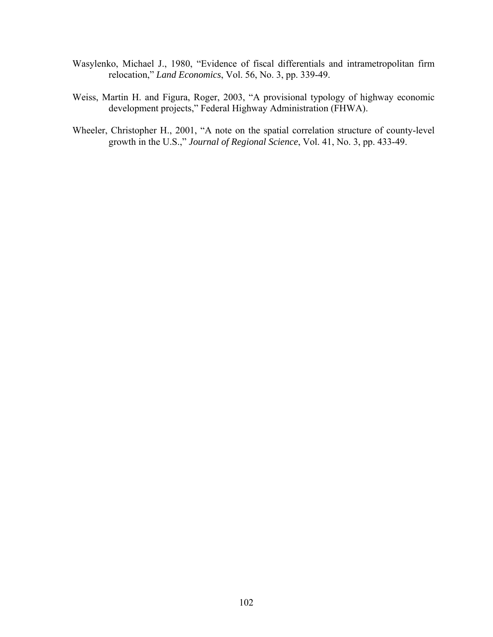- Wasylenko, Michael J., 1980, "Evidence of fiscal differentials and intrametropolitan firm relocation," *Land Economics*, Vol. 56, No. 3, pp. 339-49.
- Weiss, Martin H. and Figura, Roger, 2003, "A provisional typology of highway economic development projects," Federal Highway Administration (FHWA).
- Wheeler, Christopher H., 2001, "A note on the spatial correlation structure of county-level growth in the U.S.," *Journal of Regional Science*, Vol. 41, No. 3, pp. 433-49.